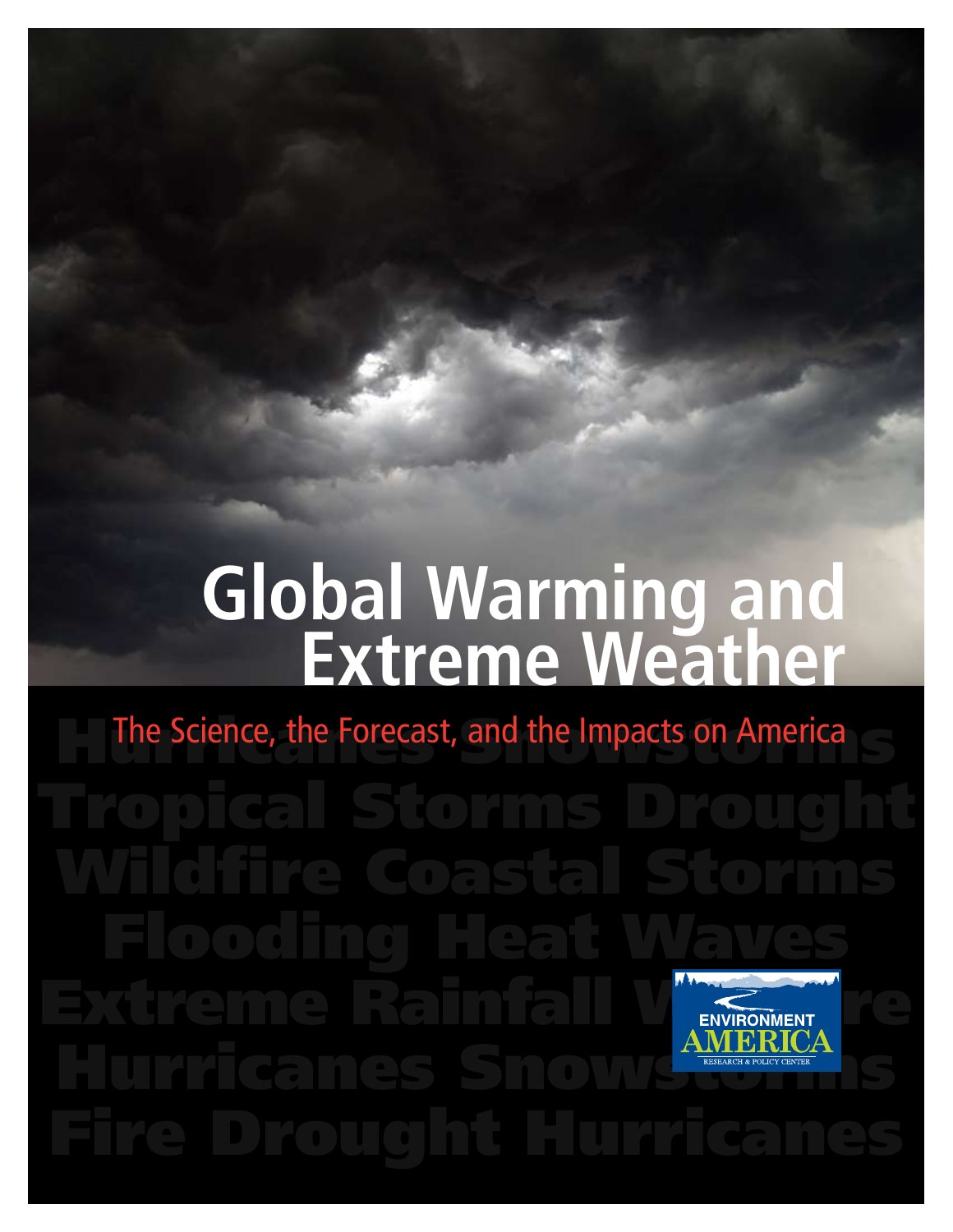# **Global Warming and Extreme Weather**

The Science, the Forecast, and the Impacts on America Flooding Heat Waves ENVIRONMENT Hurricanes Snowstorms Snowstorms Snowstorms Snowstorms Snowstorms Snowstorms Snowstorms Snowstorms Snowstorms Snowstorms Snowstorms Snowstorms Snowstorms Snowstorms Snowstorms Snowstorms Snowstorms Snowstorms Snowstorms Sn Fire Drought Hurricanes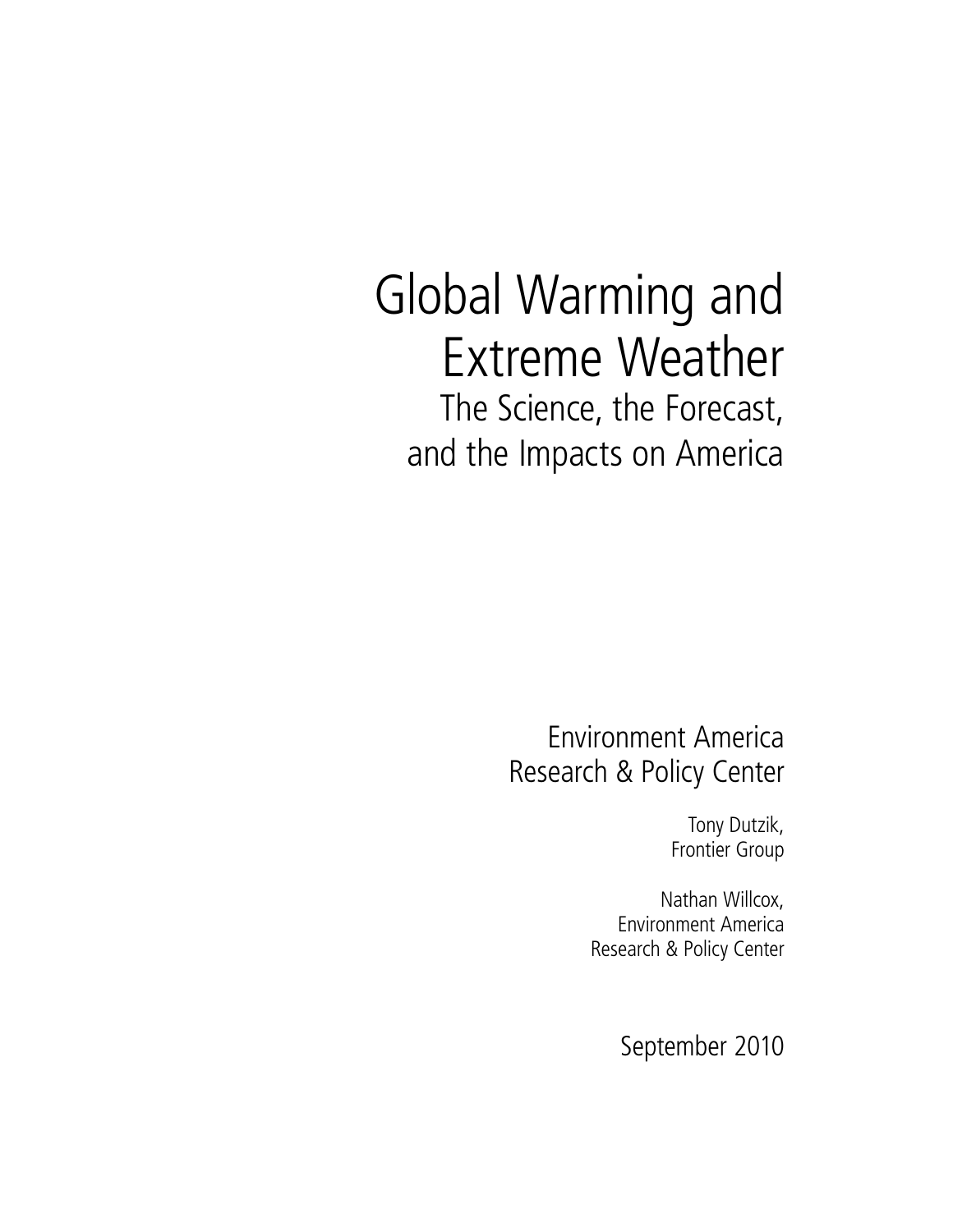# Global Warming and Extreme Weather The Science, the Forecast, and the Impacts on America

Environment America Research & Policy Center

> Tony Dutzik, Frontier Group

Nathan Willcox, Environment America Research & Policy Center

September 2010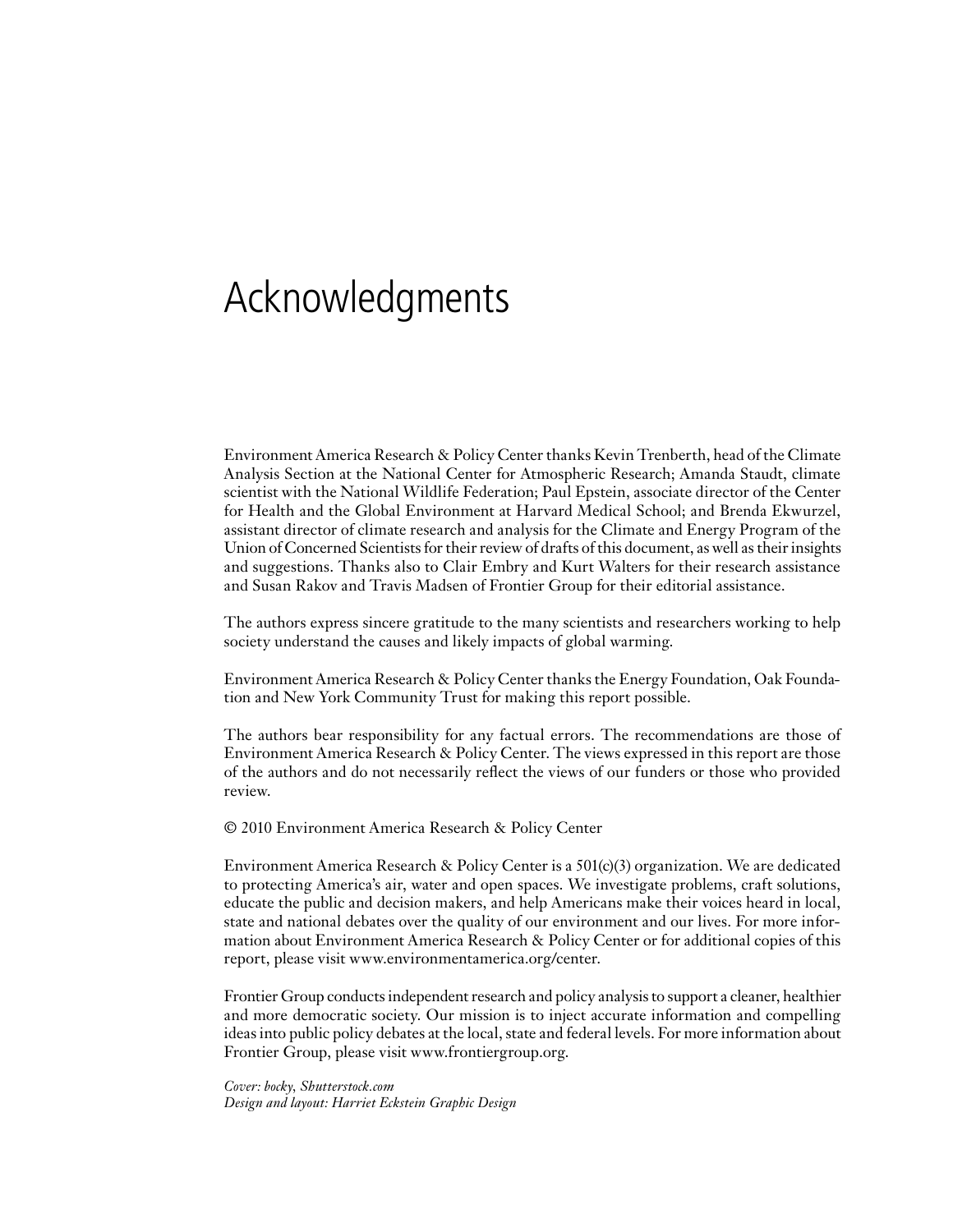# Acknowledgments

Environment America Research & Policy Center thanks Kevin Trenberth, head of the Climate Analysis Section at the National Center for Atmospheric Research; Amanda Staudt, climate scientist with the National Wildlife Federation; Paul Epstein, associate director of the Center for Health and the Global Environment at Harvard Medical School; and Brenda Ekwurzel, assistant director of climate research and analysis for the Climate and Energy Program of the Union of Concerned Scientists for their review of drafts of this document, as well as their insights and suggestions. Thanks also to Clair Embry and Kurt Walters for their research assistance and Susan Rakov and Travis Madsen of Frontier Group for their editorial assistance.

The authors express sincere gratitude to the many scientists and researchers working to help society understand the causes and likely impacts of global warming.

Environment America Research & Policy Center thanks the Energy Foundation, Oak Foundation and New York Community Trust for making this report possible.

The authors bear responsibility for any factual errors. The recommendations are those of Environment America Research & Policy Center. The views expressed in this report are those of the authors and do not necessarily reflect the views of our funders or those who provided review.

© 2010 Environment America Research & Policy Center

Environment America Research & Policy Center is a  $501(c)(3)$  organization. We are dedicated to protecting America's air, water and open spaces. We investigate problems, craft solutions, educate the public and decision makers, and help Americans make their voices heard in local, state and national debates over the quality of our environment and our lives. For more information about Environment America Research & Policy Center or for additional copies of this report, please visit www.environmentamerica.org/center.

Frontier Group conducts independent research and policy analysis to support a cleaner, healthier and more democratic society. Our mission is to inject accurate information and compelling ideas into public policy debates at the local, state and federal levels. For more information about Frontier Group, please visit www.frontiergroup.org.

*Cover: bocky, Shutterstock.com Design and layout: Harriet Eckstein Graphic Design*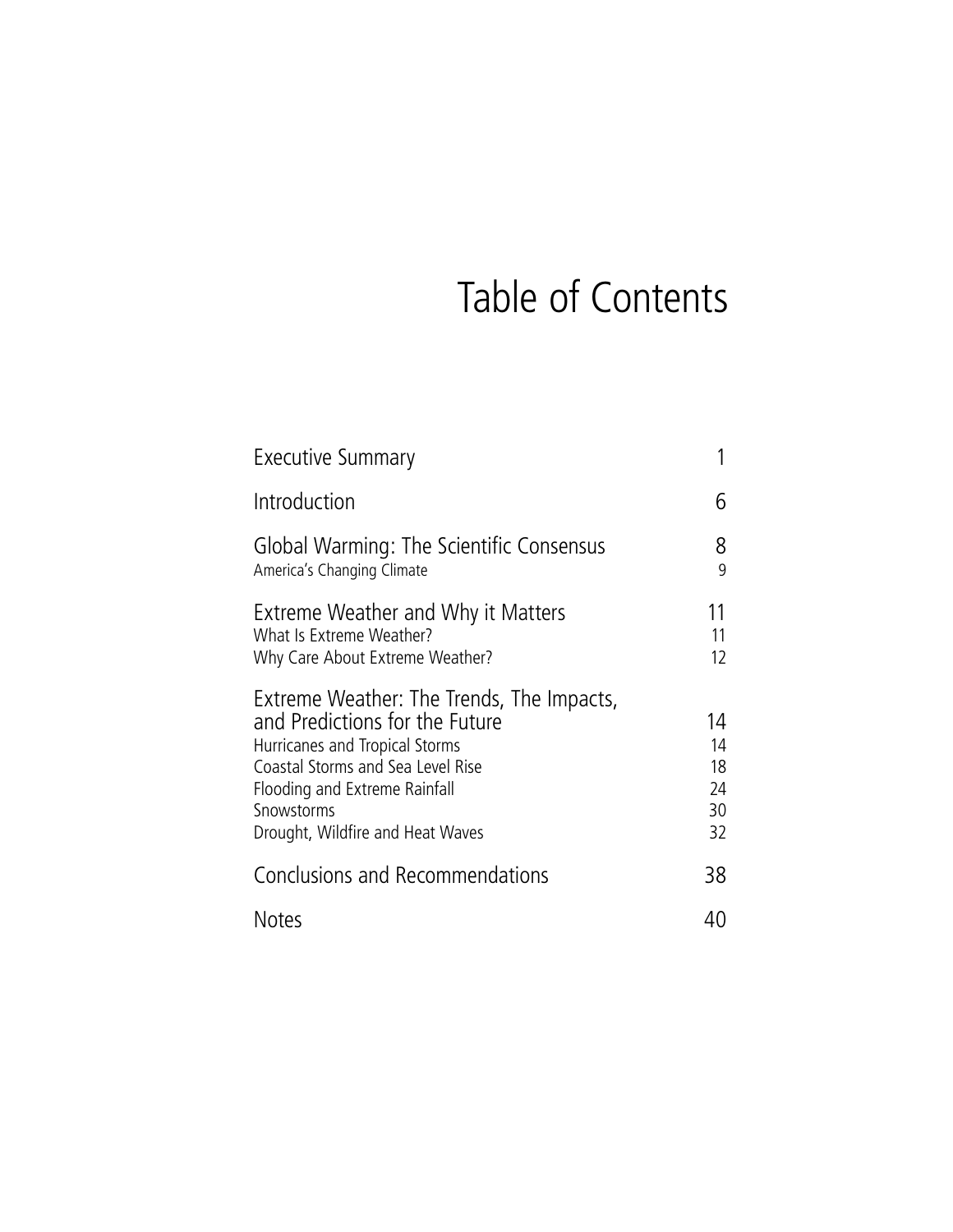# Table of Contents

| Executive Summary                                                                                                                                                                                                                     |                                  |
|---------------------------------------------------------------------------------------------------------------------------------------------------------------------------------------------------------------------------------------|----------------------------------|
| Introduction                                                                                                                                                                                                                          | 6                                |
| Global Warming: The Scientific Consensus<br>America's Changing Climate                                                                                                                                                                | 8<br>9                           |
| Extreme Weather and Why it Matters<br>What Is Extreme Weather?<br>Why Care About Extreme Weather?                                                                                                                                     | 11<br>11<br>12                   |
| Extreme Weather: The Trends, The Impacts,<br>and Predictions for the Future<br>Hurricanes and Tropical Storms<br>Coastal Storms and Sea Level Rise<br>Flooding and Extreme Rainfall<br>Snowstorms<br>Drought, Wildfire and Heat Waves | 14<br>14<br>18<br>24<br>30<br>32 |
| Conclusions and Recommendations                                                                                                                                                                                                       | 38                               |
| <b>Notes</b>                                                                                                                                                                                                                          | 40                               |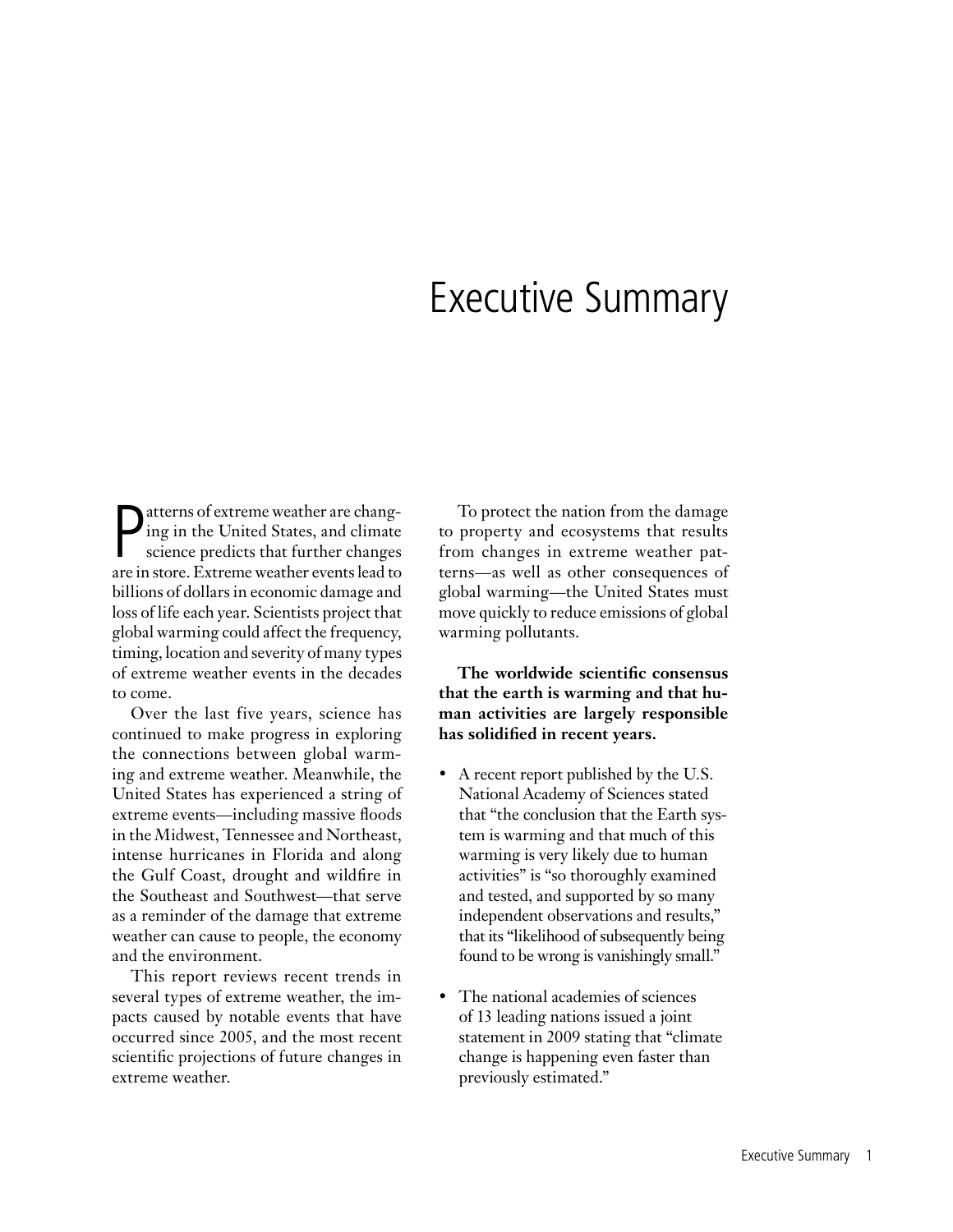# Executive Summary

**P** atterns of extreme weather are changing in the United States, and climate science predicts that further changes are in store. Extreme weather events lead to atterns of extreme weather are changing in the United States, and climate science predicts that further changes billions of dollars in economic damage and loss of life each year. Scientists project that global warming could affect the frequency, timing, location and severity of many types of extreme weather events in the decades to come.

Over the last five years, science has continued to make progress in exploring the connections between global warming and extreme weather. Meanwhile, the United States has experienced a string of extreme events—including massive floods in the Midwest, Tennessee and Northeast, intense hurricanes in Florida and along the Gulf Coast, drought and wildfire in the Southeast and Southwest—that serve as a reminder of the damage that extreme weather can cause to people, the economy and the environment.

This report reviews recent trends in several types of extreme weather, the impacts caused by notable events that have occurred since 2005, and the most recent scientific projections of future changes in extreme weather.

To protect the nation from the damage to property and ecosystems that results from changes in extreme weather patterns—as well as other consequences of global warming—the United States must move quickly to reduce emissions of global warming pollutants.

## **The worldwide scientific consensus that the earth is warming and that human activities are largely responsible has solidified in recent years.**

- A recent report published by the U.S. National Academy of Sciences stated that "the conclusion that the Earth system is warming and that much of this warming is very likely due to human activities" is "so thoroughly examined and tested, and supported by so many independent observations and results," that its "likelihood of subsequently being found to be wrong is vanishingly small."
- The national academies of sciences of 13 leading nations issued a joint statement in 2009 stating that "climate change is happening even faster than previously estimated."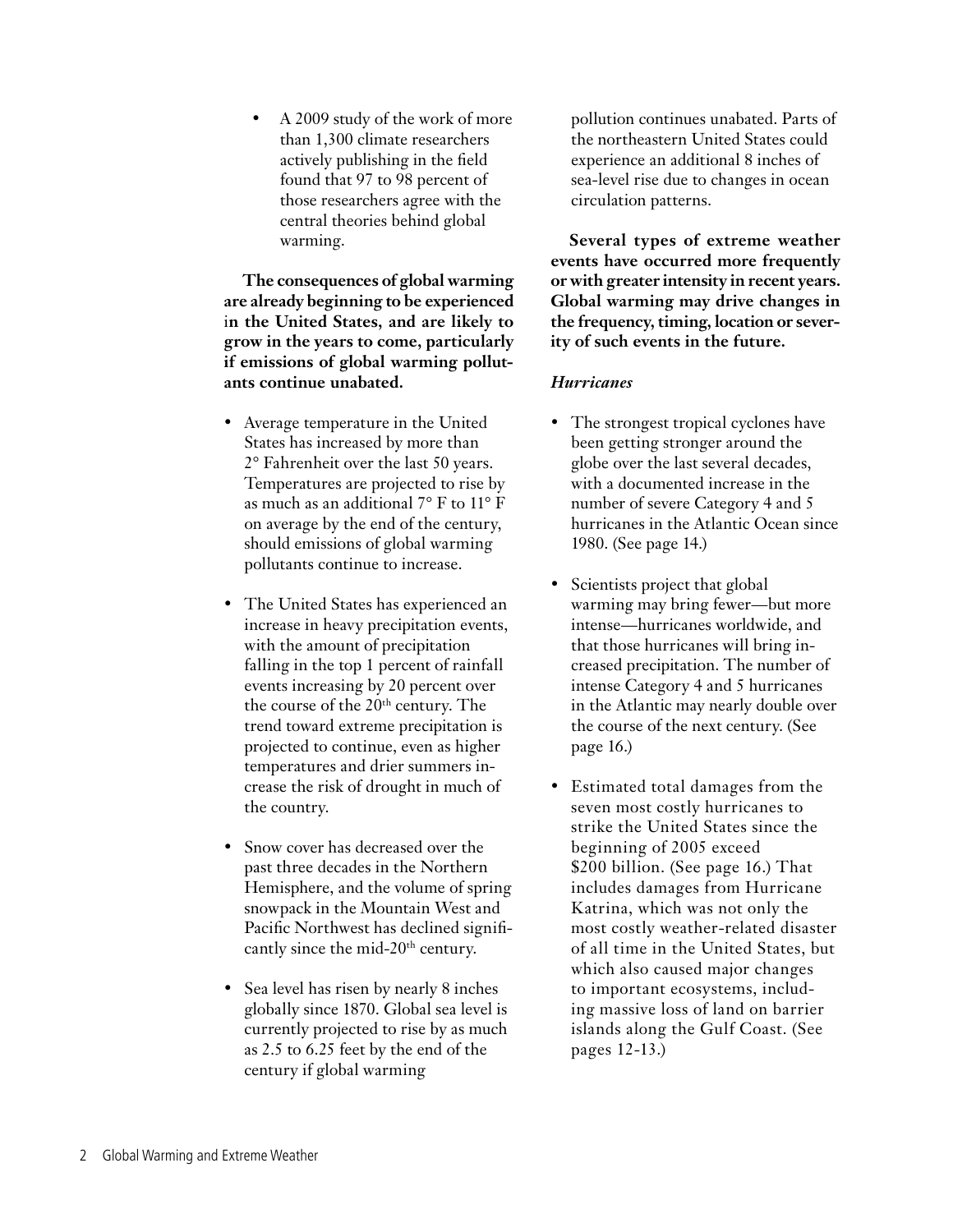• A 2009 study of the work of more than 1,300 climate researchers actively publishing in the field found that 97 to 98 percent of those researchers agree with the central theories behind global warming.

**The consequences of global warming are already beginning to be experienced** i**n the United States, and are likely to grow in the years to come, particularly if emissions of global warming pollutants continue unabated.** 

- Average temperature in the United States has increased by more than 2° Fahrenheit over the last 50 years. Temperatures are projected to rise by as much as an additional 7° F to 11° F on average by the end of the century, should emissions of global warming pollutants continue to increase.
- The United States has experienced an increase in heavy precipitation events, with the amount of precipitation falling in the top 1 percent of rainfall events increasing by 20 percent over the course of the  $20<sup>th</sup>$  century. The trend toward extreme precipitation is projected to continue, even as higher temperatures and drier summers increase the risk of drought in much of the country.
- Snow cover has decreased over the past three decades in the Northern Hemisphere, and the volume of spring snowpack in the Mountain West and Pacific Northwest has declined significantly since the mid-20th century.
- Sea level has risen by nearly 8 inches globally since 1870. Global sea level is currently projected to rise by as much as 2.5 to 6.25 feet by the end of the century if global warming

pollution continues unabated. Parts of the northeastern United States could experience an additional 8 inches of sea-level rise due to changes in ocean circulation patterns.

**Several types of extreme weather events have occurred more frequently or with greater intensity in recent years. Global warming may drive changes in the frequency, timing, location or severity of such events in the future.**

## *Hurricanes*

- The strongest tropical cyclones have been getting stronger around the globe over the last several decades, with a documented increase in the number of severe Category 4 and 5 hurricanes in the Atlantic Ocean since 1980. (See page 14.)
- Scientists project that global warming may bring fewer—but more intense—hurricanes worldwide, and that those hurricanes will bring increased precipitation. The number of intense Category 4 and 5 hurricanes in the Atlantic may nearly double over the course of the next century. (See page 16.)
- Estimated total damages from the seven most costly hurricanes to strike the United States since the beginning of 2005 exceed \$200 billion. (See page 16.) That includes damages from Hurricane Katrina, which was not only the most costly weather-related disaster of all time in the United States, but which also caused major changes to important ecosystems, including massive loss of land on barrier islands along the Gulf Coast. (See pages 12-13.)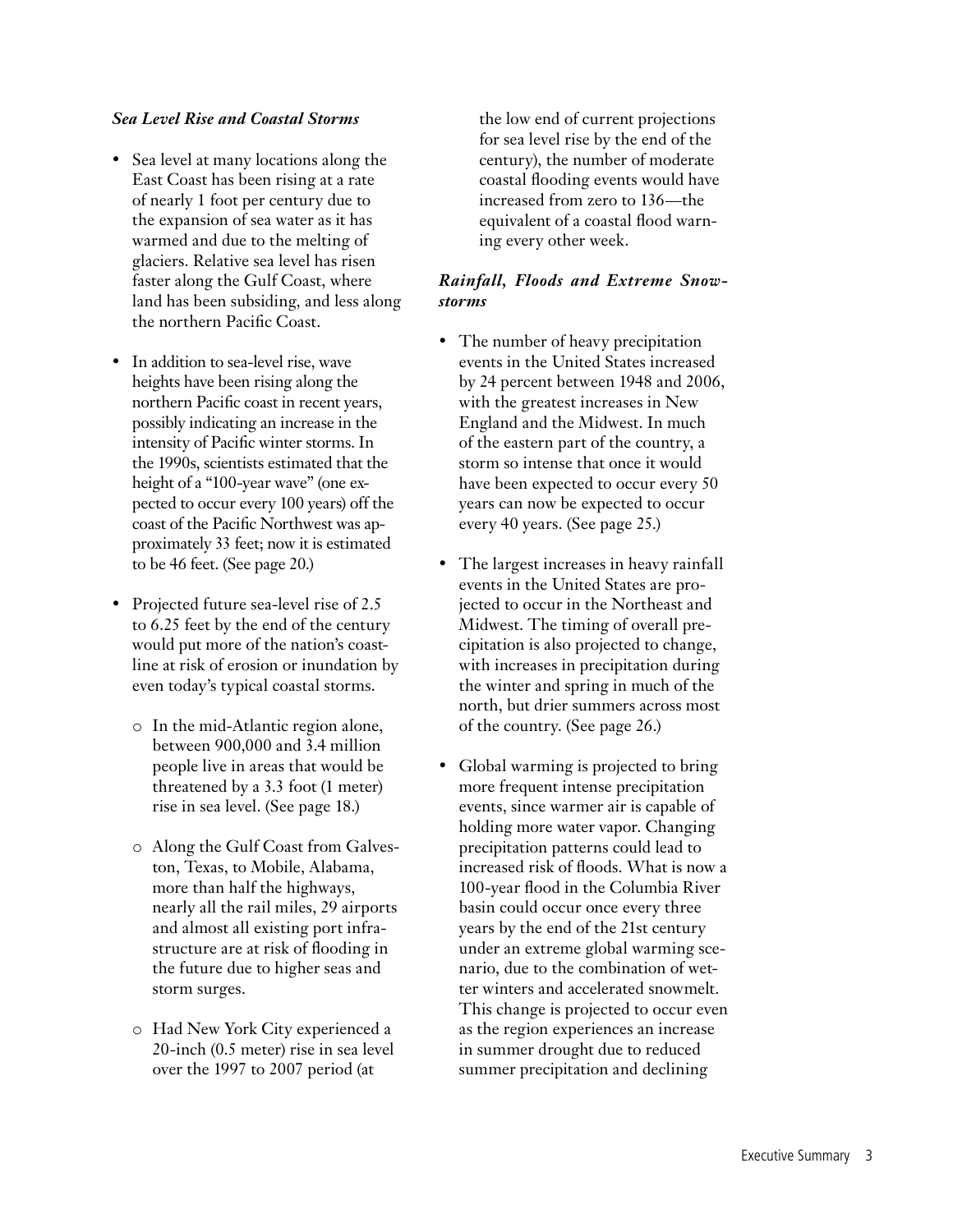## *Sea Level Rise and Coastal Storms*

- Sea level at many locations along the East Coast has been rising at a rate of nearly 1 foot per century due to the expansion of sea water as it has warmed and due to the melting of glaciers. Relative sea level has risen faster along the Gulf Coast, where land has been subsiding, and less along the northern Pacific Coast.
- In addition to sea-level rise, wave heights have been rising along the northern Pacific coast in recent years, possibly indicating an increase in the intensity of Pacific winter storms. In the 1990s, scientists estimated that the height of a "100-year wave" (one expected to occur every 100 years) off the coast of the Pacific Northwest was approximately 33 feet; now it is estimated to be 46 feet. (See page 20.)
- Projected future sea-level rise of 2.5 to 6.25 feet by the end of the century would put more of the nation's coastline at risk of erosion or inundation by even today's typical coastal storms.
	- o In the mid-Atlantic region alone, between 900,000 and 3.4 million people live in areas that would be threatened by a 3.3 foot (1 meter) rise in sea level. (See page 18.)
	- o Along the Gulf Coast from Galveston, Texas, to Mobile, Alabama, more than half the highways, nearly all the rail miles, 29 airports and almost all existing port infrastructure are at risk of flooding in the future due to higher seas and storm surges.
	- o Had New York City experienced a 20-inch (0.5 meter) rise in sea level over the 1997 to 2007 period (at

the low end of current projections for sea level rise by the end of the century), the number of moderate coastal flooding events would have increased from zero to 136—the equivalent of a coastal flood warning every other week.

## *Rainfall, Floods and Extreme Snowstorms*

- The number of heavy precipitation events in the United States increased by 24 percent between 1948 and 2006, with the greatest increases in New England and the Midwest. In much of the eastern part of the country, a storm so intense that once it would have been expected to occur every 50 years can now be expected to occur every 40 years. (See page 25.)
- The largest increases in heavy rainfall events in the United States are projected to occur in the Northeast and Midwest. The timing of overall precipitation is also projected to change, with increases in precipitation during the winter and spring in much of the north, but drier summers across most of the country. (See page 26.)
- Global warming is projected to bring more frequent intense precipitation events, since warmer air is capable of holding more water vapor. Changing precipitation patterns could lead to increased risk of floods. What is now a 100-year flood in the Columbia River basin could occur once every three years by the end of the 21st century under an extreme global warming scenario, due to the combination of wetter winters and accelerated snowmelt. This change is projected to occur even as the region experiences an increase in summer drought due to reduced summer precipitation and declining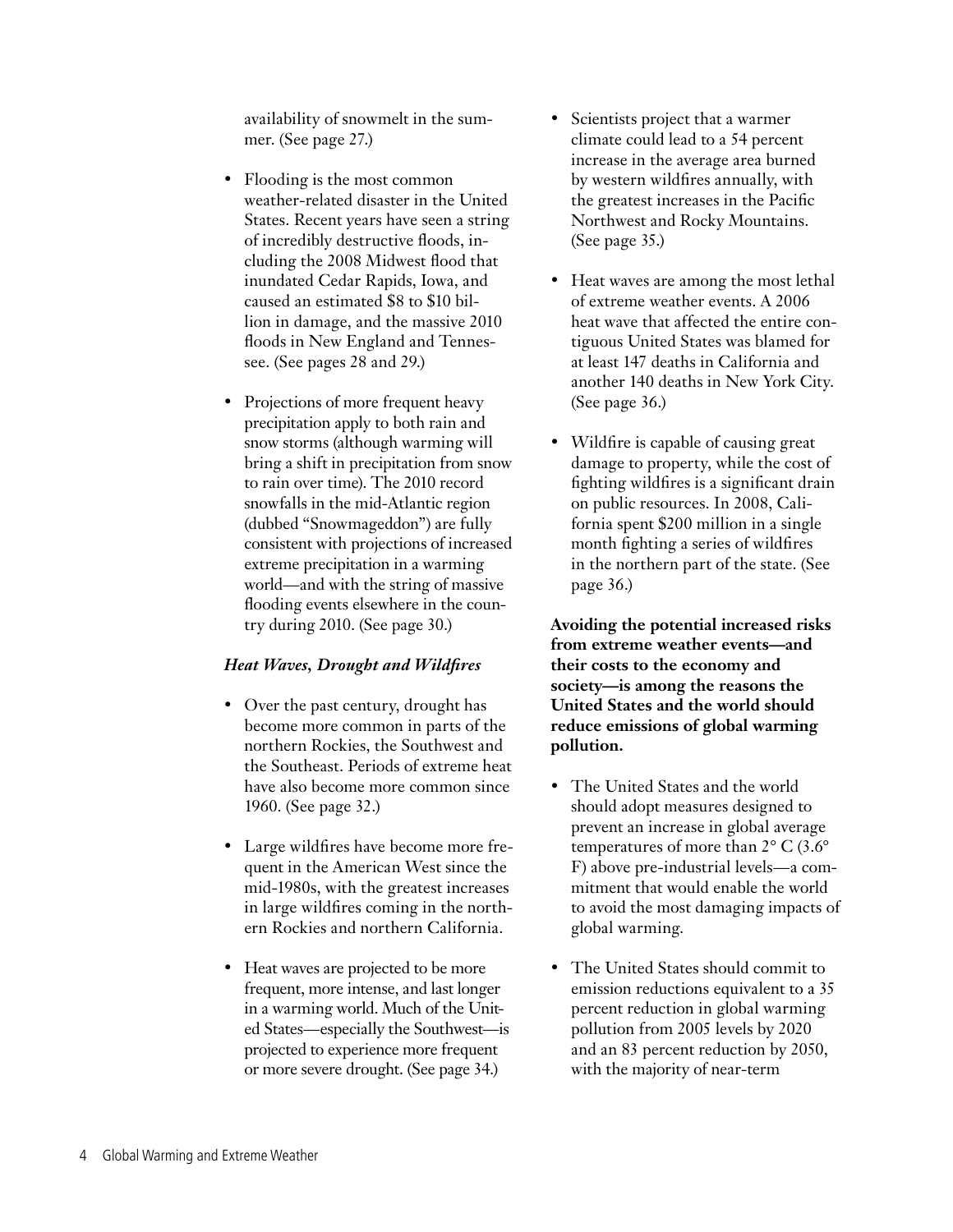availability of snowmelt in the summer. (See page 27.)

- Flooding is the most common weather-related disaster in the United States. Recent years have seen a string of incredibly destructive floods, including the 2008 Midwest flood that inundated Cedar Rapids, Iowa, and caused an estimated \$8 to \$10 billion in damage, and the massive 2010 floods in New England and Tennessee. (See pages 28 and 29.)
- Projections of more frequent heavy precipitation apply to both rain and snow storms (although warming will bring a shift in precipitation from snow to rain over time). The 2010 record snowfalls in the mid-Atlantic region (dubbed "Snowmageddon") are fully consistent with projections of increased extreme precipitation in a warming world—and with the string of massive flooding events elsewhere in the country during 2010. (See page 30.)

## *Heat Waves, Drought and Wildfires*

- Over the past century, drought has become more common in parts of the northern Rockies, the Southwest and the Southeast. Periods of extreme heat have also become more common since 1960. (See page 32.)
- Large wildfires have become more frequent in the American West since the mid-1980s, with the greatest increases in large wildfires coming in the northern Rockies and northern California.
- Heat waves are projected to be more frequent, more intense, and last longer in a warming world. Much of the United States—especially the Southwest—is projected to experience more frequent or more severe drought. (See page 34.)
- Scientists project that a warmer climate could lead to a 54 percent increase in the average area burned by western wildfires annually, with the greatest increases in the Pacific Northwest and Rocky Mountains. (See page 35.)
- Heat waves are among the most lethal of extreme weather events. A 2006 heat wave that affected the entire contiguous United States was blamed for at least 147 deaths in California and another 140 deaths in New York City. (See page 36.)
- Wildfire is capable of causing great damage to property, while the cost of fighting wildfires is a significant drain on public resources. In 2008, California spent \$200 million in a single month fighting a series of wildfires in the northern part of the state. (See page 36.)

**Avoiding the potential increased risks from extreme weather events—and their costs to the economy and society—is among the reasons the United States and the world should reduce emissions of global warming pollution.** 

- The United States and the world should adopt measures designed to prevent an increase in global average temperatures of more than 2° C (3.6° F) above pre-industrial levels—a commitment that would enable the world to avoid the most damaging impacts of global warming.
- The United States should commit to emission reductions equivalent to a 35 percent reduction in global warming pollution from 2005 levels by 2020 and an 83 percent reduction by 2050, with the majority of near-term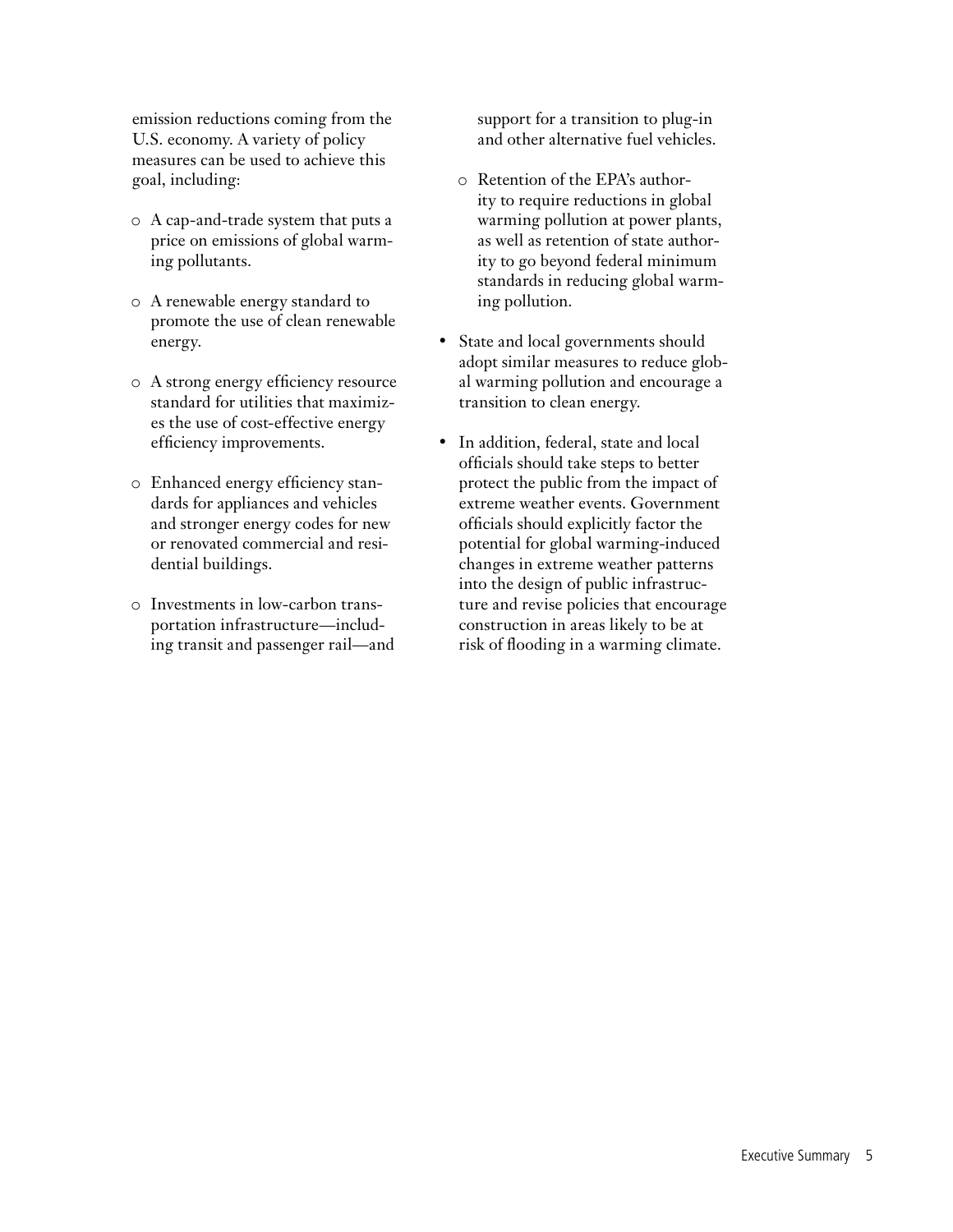emission reductions coming from the U.S. economy. A variety of policy measures can be used to achieve this goal, including:

- o A cap-and-trade system that puts a price on emissions of global warming pollutants.
- o A renewable energy standard to promote the use of clean renewable energy.
- o A strong energy efficiency resource standard for utilities that maximizes the use of cost-effective energy efficiency improvements.
- o Enhanced energy efficiency standards for appliances and vehicles and stronger energy codes for new or renovated commercial and residential buildings.
- o Investments in low-carbon transportation infrastructure—including transit and passenger rail—and

support for a transition to plug-in and other alternative fuel vehicles.

- o Retention of the EPA's authority to require reductions in global warming pollution at power plants, as well as retention of state authority to go beyond federal minimum standards in reducing global warming pollution.
- State and local governments should adopt similar measures to reduce global warming pollution and encourage a transition to clean energy.
- In addition, federal, state and local officials should take steps to better protect the public from the impact of extreme weather events. Government officials should explicitly factor the potential for global warming-induced changes in extreme weather patterns into the design of public infrastructure and revise policies that encourage construction in areas likely to be at risk of flooding in a warming climate.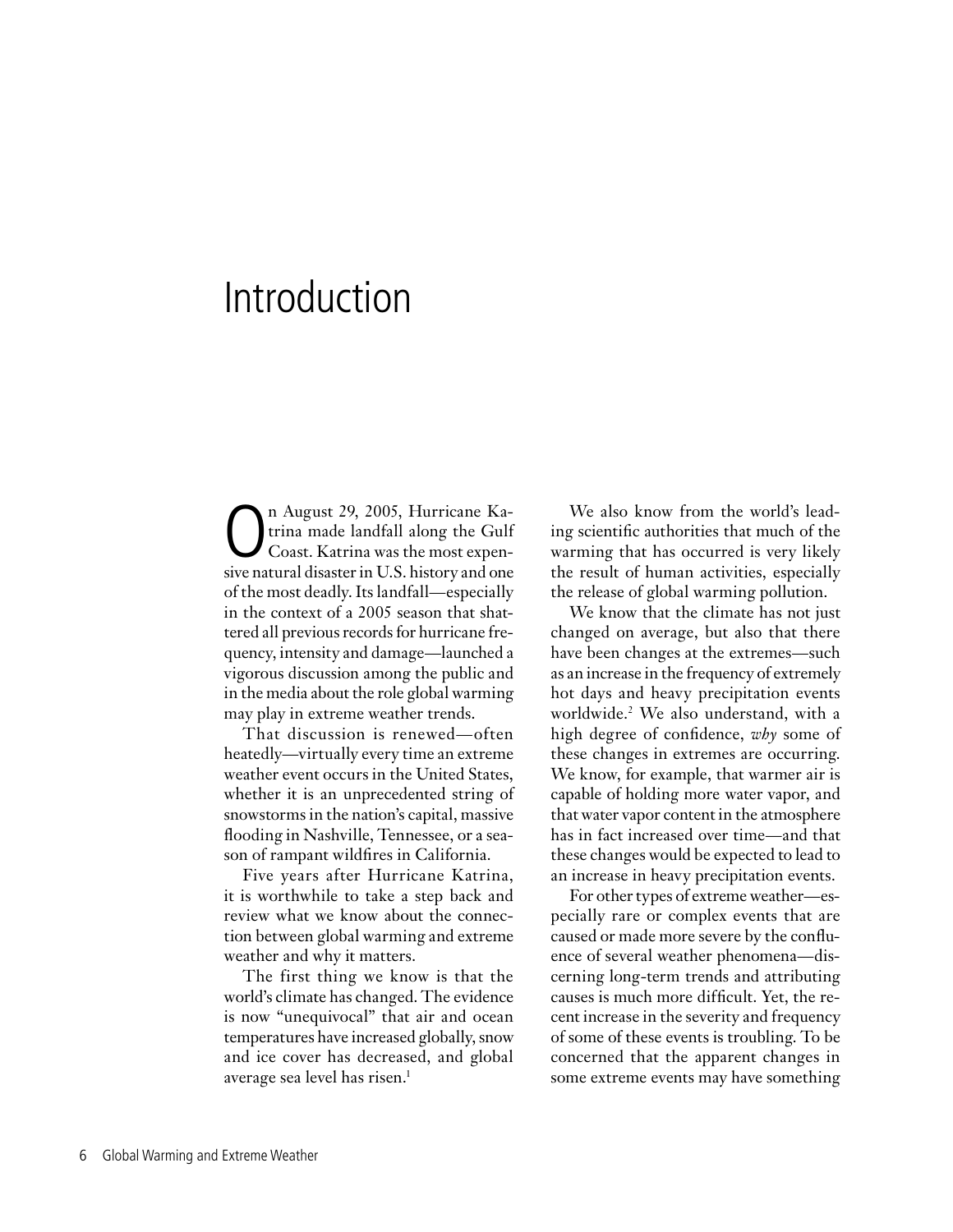# Introduction

n August 29, 2005, Hurricane Ka-<br>trina made landfall along the Gulf<br>Coast. Katrina was the most expentrina made landfall along the Gulf Coast. Katrina was the most expensive natural disaster in U.S. history and one of the most deadly. Its landfall—especially in the context of a 2005 season that shattered all previous records for hurricane frequency, intensity and damage—launched a vigorous discussion among the public and in the media about the role global warming may play in extreme weather trends.

That discussion is renewed—often heatedly—virtually every time an extreme weather event occurs in the United States, whether it is an unprecedented string of snowstorms in the nation's capital, massive flooding in Nashville, Tennessee, or a season of rampant wildfires in California.

Five years after Hurricane Katrina, it is worthwhile to take a step back and review what we know about the connection between global warming and extreme weather and why it matters.

The first thing we know is that the world's climate has changed. The evidence is now "unequivocal" that air and ocean temperatures have increased globally, snow and ice cover has decreased, and global average sea level has risen.<sup>1</sup>

We also know from the world's leading scientific authorities that much of the warming that has occurred is very likely the result of human activities, especially the release of global warming pollution.

We know that the climate has not just changed on average, but also that there have been changes at the extremes—such as an increase in the frequency of extremely hot days and heavy precipitation events worldwide.2 We also understand, with a high degree of confidence, *why* some of these changes in extremes are occurring. We know, for example, that warmer air is capable of holding more water vapor, and that water vapor content in the atmosphere has in fact increased over time—and that these changes would be expected to lead to an increase in heavy precipitation events.

For other types of extreme weather—especially rare or complex events that are caused or made more severe by the confluence of several weather phenomena—discerning long-term trends and attributing causes is much more difficult. Yet, the recent increase in the severity and frequency of some of these events is troubling. To be concerned that the apparent changes in some extreme events may have something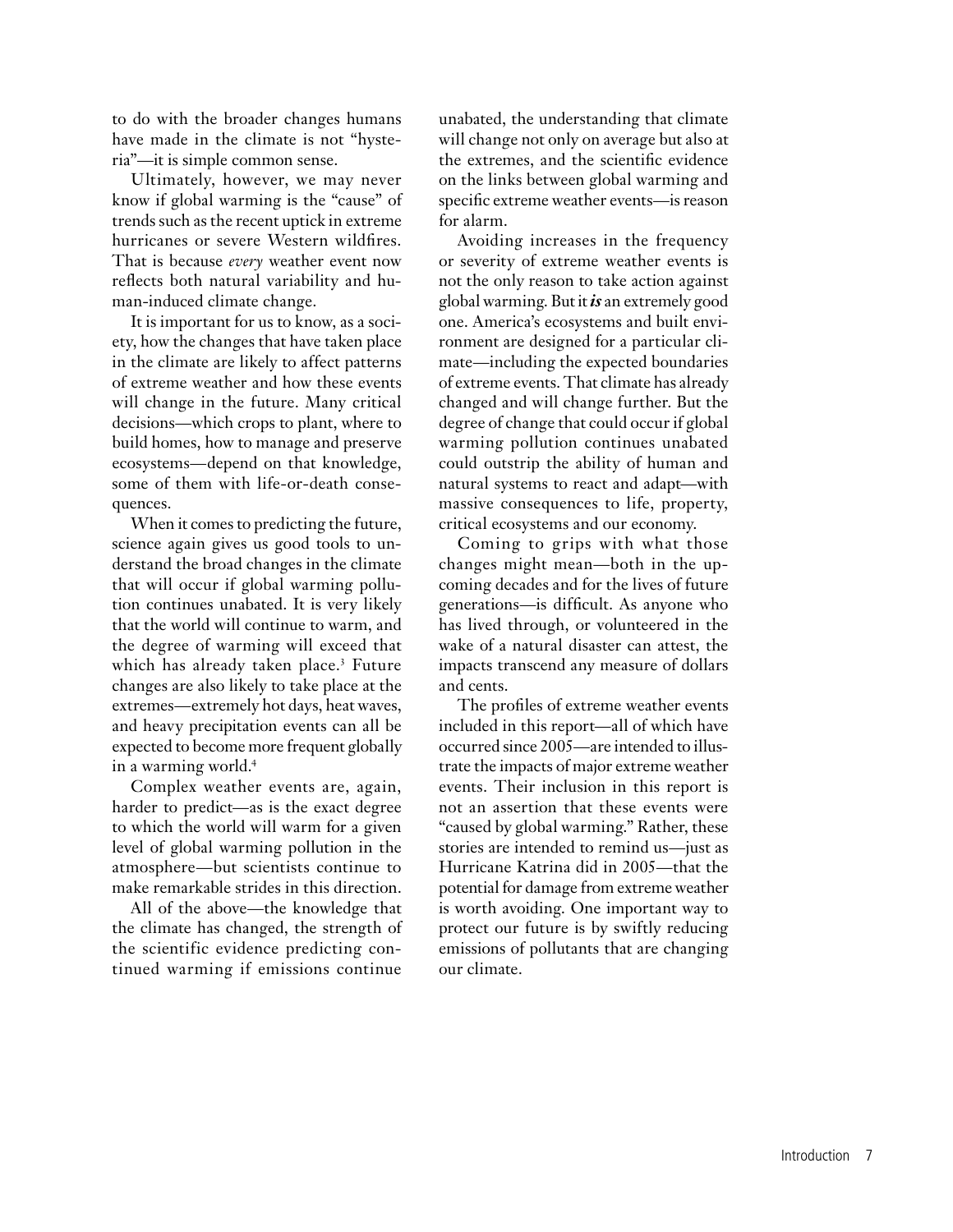to do with the broader changes humans have made in the climate is not "hysteria"—it is simple common sense.

Ultimately, however, we may never know if global warming is the "cause" of trends such as the recent uptick in extreme hurricanes or severe Western wildfires. That is because *every* weather event now reflects both natural variability and human-induced climate change.

It is important for us to know, as a society, how the changes that have taken place in the climate are likely to affect patterns of extreme weather and how these events will change in the future. Many critical decisions—which crops to plant, where to build homes, how to manage and preserve ecosystems—depend on that knowledge, some of them with life-or-death consequences.

When it comes to predicting the future, science again gives us good tools to understand the broad changes in the climate that will occur if global warming pollution continues unabated. It is very likely that the world will continue to warm, and the degree of warming will exceed that which has already taken place.<sup>3</sup> Future changes are also likely to take place at the extremes—extremely hot days, heat waves, and heavy precipitation events can all be expected to become more frequent globally in a warming world.4

Complex weather events are, again, harder to predict—as is the exact degree to which the world will warm for a given level of global warming pollution in the atmosphere—but scientists continue to make remarkable strides in this direction.

All of the above—the knowledge that the climate has changed, the strength of the scientific evidence predicting continued warming if emissions continue

unabated, the understanding that climate will change not only on average but also at the extremes, and the scientific evidence on the links between global warming and specific extreme weather events—is reason for alarm.

Avoiding increases in the frequency or severity of extreme weather events is not the only reason to take action against global warming. But it *is* an extremely good one. America's ecosystems and built environment are designed for a particular climate—including the expected boundaries of extreme events. That climate has already changed and will change further. But the degree of change that could occur if global warming pollution continues unabated could outstrip the ability of human and natural systems to react and adapt—with massive consequences to life, property, critical ecosystems and our economy.

Coming to grips with what those changes might mean—both in the upcoming decades and for the lives of future generations—is difficult. As anyone who has lived through, or volunteered in the wake of a natural disaster can attest, the impacts transcend any measure of dollars and cents.

The profiles of extreme weather events included in this report—all of which have occurred since 2005—are intended to illustrate the impacts of major extreme weather events. Their inclusion in this report is not an assertion that these events were "caused by global warming." Rather, these stories are intended to remind us—just as Hurricane Katrina did in 2005—that the potential for damage from extreme weather is worth avoiding. One important way to protect our future is by swiftly reducing emissions of pollutants that are changing our climate.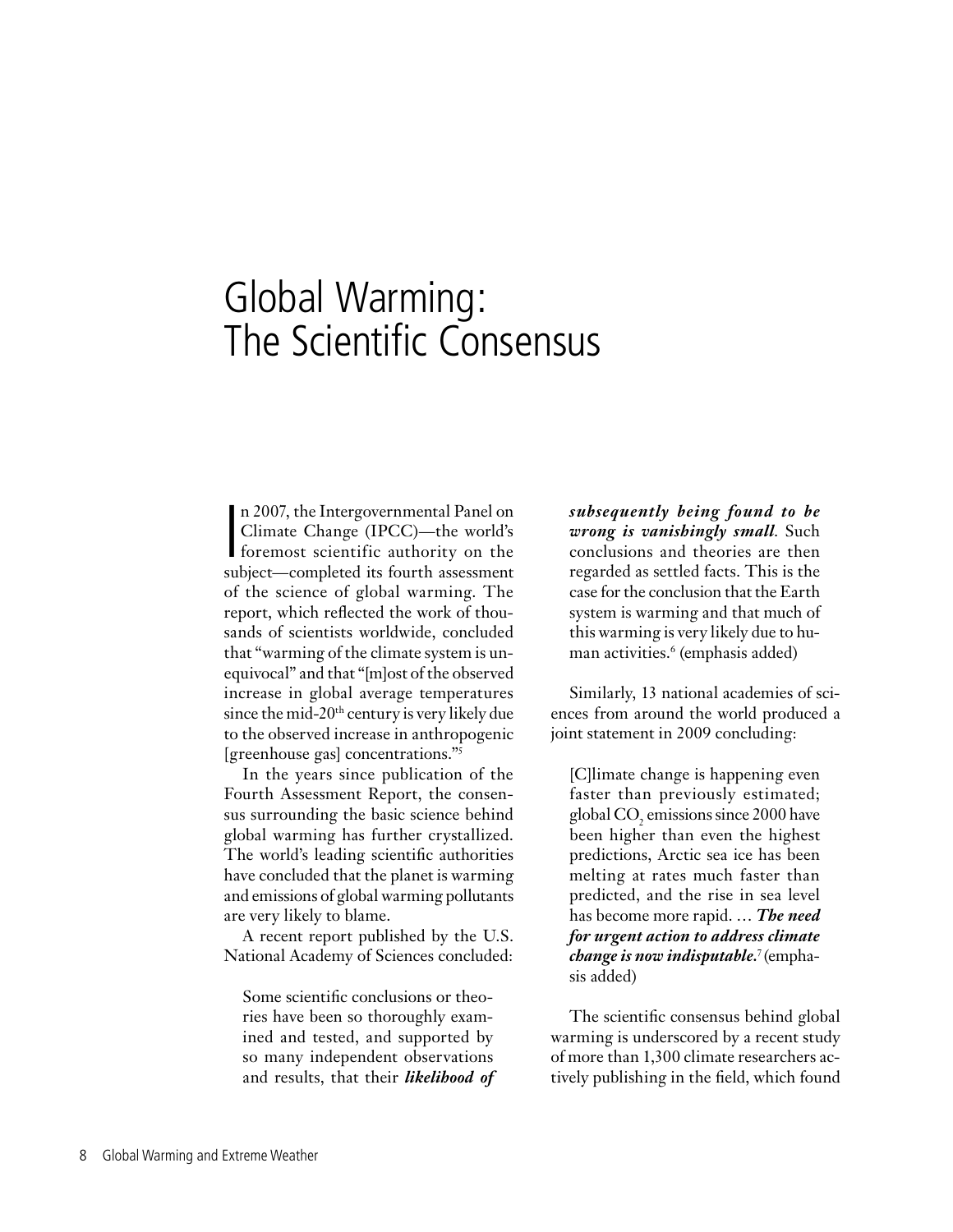# Global Warming: The Scientific Consensus

n 2007, the Intergovernmental Panel on<br>Climate Change (IPCC)—the world's<br>foremost scientific authority on the<br>subject completed its fourth assessment n 2007, the Intergovernmental Panel on Climate Change (IPCC)—the world's subject—completed its fourth assessment of the science of global warming. The report, which reflected the work of thousands of scientists worldwide, concluded that "warming of the climate system is unequivocal" and that "[m]ost of the observed increase in global average temperatures since the mid- $20<sup>th</sup>$  century is very likely due to the observed increase in anthropogenic [greenhouse gas] concentrations."5

In the years since publication of the Fourth Assessment Report, the consensus surrounding the basic science behind global warming has further crystallized. The world's leading scientific authorities have concluded that the planet is warming and emissions of global warming pollutants are very likely to blame.

A recent report published by the U.S. National Academy of Sciences concluded:

Some scientific conclusions or theories have been so thoroughly examined and tested, and supported by so many independent observations and results, that their *likelihood of*  *subsequently being found to be wrong is vanishingly small*. Such conclusions and theories are then regarded as settled facts. This is the case for the conclusion that the Earth system is warming and that much of this warming is very likely due to human activities.6 (emphasis added)

Similarly, 13 national academies of sciences from around the world produced a joint statement in 2009 concluding:

[C]limate change is happening even faster than previously estimated; global  $\text{CO}_2$  emissions since 2000 have been higher than even the highest predictions, Arctic sea ice has been melting at rates much faster than predicted, and the rise in sea level has become more rapid. … *The need for urgent action to address climate change is now indisputable.*<sup>7</sup> (emphasis added)

The scientific consensus behind global warming is underscored by a recent study of more than 1,300 climate researchers actively publishing in the field, which found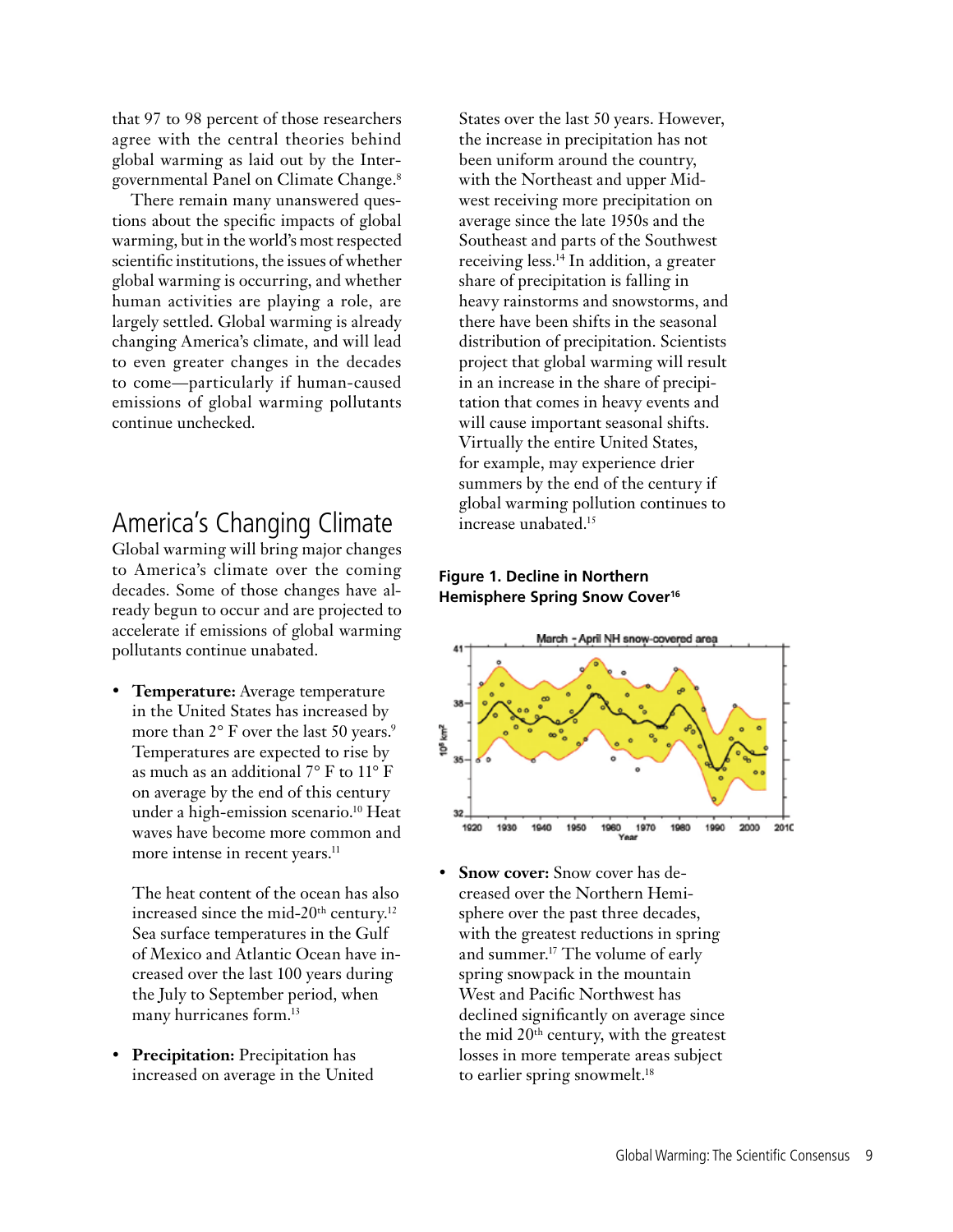that 97 to 98 percent of those researchers agree with the central theories behind global warming as laid out by the Intergovernmental Panel on Climate Change.8

There remain many unanswered questions about the specific impacts of global warming, but in the world's most respected scientific institutions, the issues of whether global warming is occurring, and whether human activities are playing a role, are largely settled. Global warming is already changing America's climate, and will lead to even greater changes in the decades to come—particularly if human-caused emissions of global warming pollutants continue unchecked.

## America's Changing Climate

Global warming will bring major changes to America's climate over the coming decades. Some of those changes have already begun to occur and are projected to accelerate if emissions of global warming pollutants continue unabated.

• **Temperature:** Average temperature in the United States has increased by more than 2° F over the last 50 years.<sup>9</sup> Temperatures are expected to rise by as much as an additional 7° F to 11° F on average by the end of this century under a high-emission scenario.10 Heat waves have become more common and more intense in recent years.<sup>11</sup>

The heat content of the ocean has also increased since the mid-20<sup>th</sup> century.<sup>12</sup> Sea surface temperatures in the Gulf of Mexico and Atlantic Ocean have increased over the last 100 years during the July to September period, when many hurricanes form.<sup>13</sup>

• **Precipitation:** Precipitation has increased on average in the United

States over the last 50 years. However, the increase in precipitation has not been uniform around the country, with the Northeast and upper Midwest receiving more precipitation on average since the late 1950s and the Southeast and parts of the Southwest receiving less.14 In addition, a greater share of precipitation is falling in heavy rainstorms and snowstorms, and there have been shifts in the seasonal distribution of precipitation. Scientists project that global warming will result in an increase in the share of precipitation that comes in heavy events and will cause important seasonal shifts. Virtually the entire United States, for example, may experience drier summers by the end of the century if global warming pollution continues to increase unabated.15

## **Figure 1. Decline in Northern Hemisphere Spring Snow Cover16**



• **Snow cover:** Snow cover has decreased over the Northern Hemisphere over the past three decades, with the greatest reductions in spring and summer.17 The volume of early spring snowpack in the mountain West and Pacific Northwest has declined significantly on average since the mid 20th century, with the greatest losses in more temperate areas subject to earlier spring snowmelt.<sup>18</sup>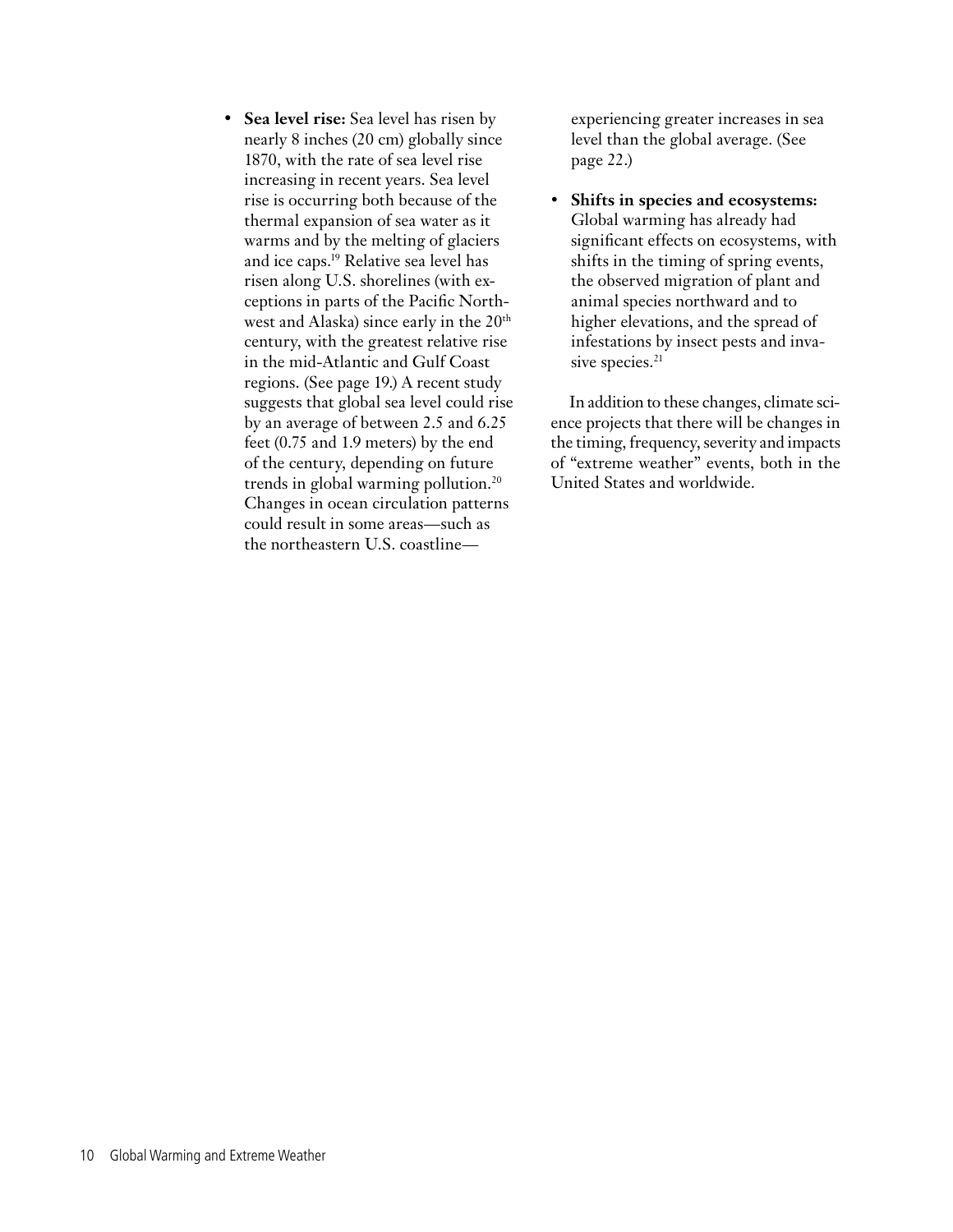• **Sea level rise:** Sea level has risen by nearly 8 inches (20 cm) globally since 1870, with the rate of sea level rise increasing in recent years. Sea level rise is occurring both because of the thermal expansion of sea water as it warms and by the melting of glaciers and ice caps.19 Relative sea level has risen along U.S. shorelines (with exceptions in parts of the Pacific Northwest and Alaska) since early in the  $20<sup>th</sup>$ century, with the greatest relative rise in the mid-Atlantic and Gulf Coast regions. (See page 19.) A recent study suggests that global sea level could rise by an average of between 2.5 and 6.25 feet (0.75 and 1.9 meters) by the end of the century, depending on future trends in global warming pollution.20 Changes in ocean circulation patterns could result in some areas—such as the northeastern U.S. coastlineexperiencing greater increases in sea level than the global average. (See page 22.)

• **Shifts in species and ecosystems:** Global warming has already had significant effects on ecosystems, with shifts in the timing of spring events, the observed migration of plant and animal species northward and to higher elevations, and the spread of infestations by insect pests and invasive species.<sup>21</sup>

In addition to these changes, climate science projects that there will be changes in the timing, frequency, severity and impacts of "extreme weather" events, both in the United States and worldwide.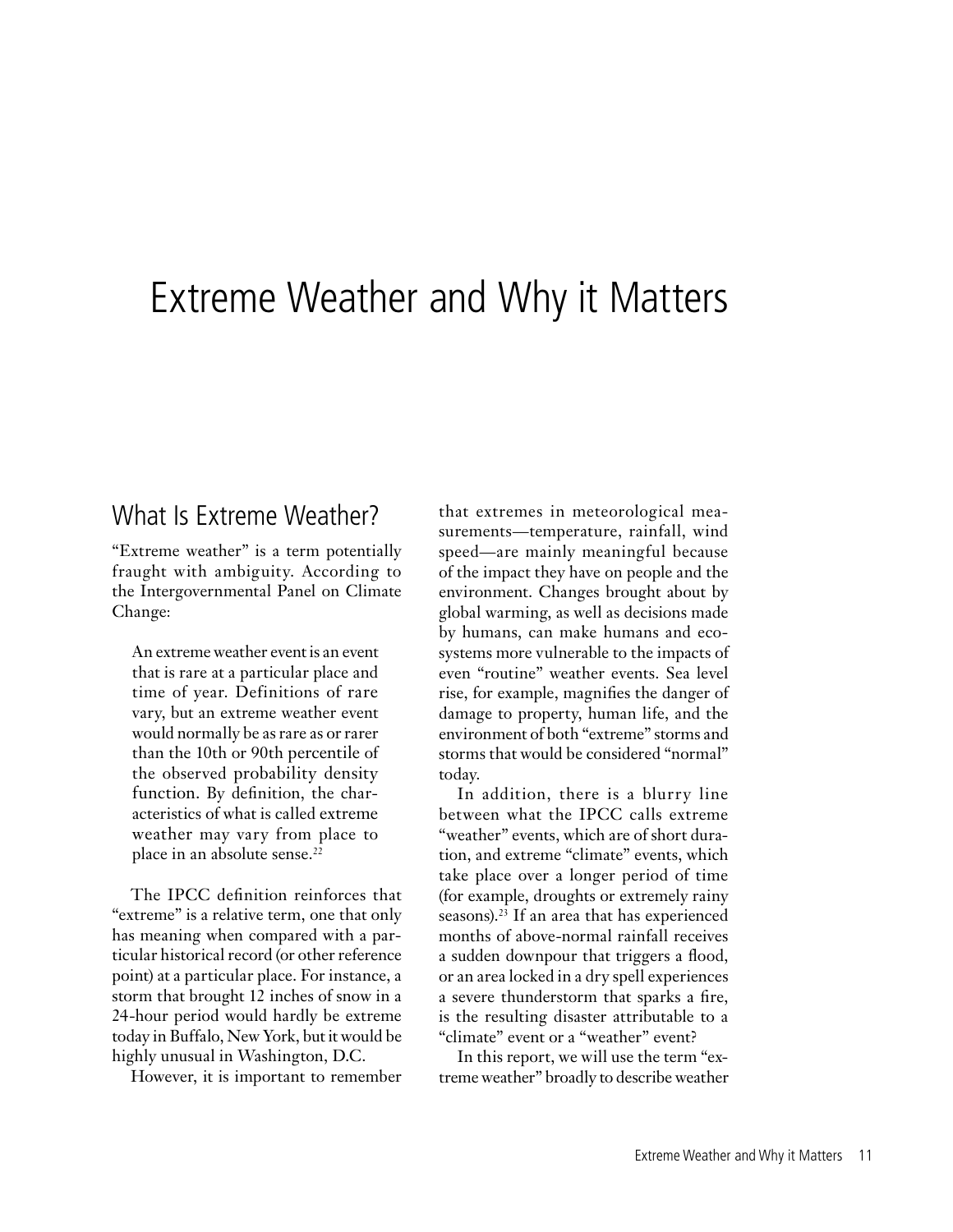# Extreme Weather and Why it Matters

## What Is Extreme Weather?

"Extreme weather" is a term potentially fraught with ambiguity. According to the Intergovernmental Panel on Climate Change:

An extreme weather event is an event that is rare at a particular place and time of year. Definitions of rare vary, but an extreme weather event would normally be as rare as or rarer than the 10th or 90th percentile of the observed probability density function. By definition, the characteristics of what is called extreme weather may vary from place to place in an absolute sense.<sup>22</sup>

The IPCC definition reinforces that "extreme" is a relative term, one that only has meaning when compared with a particular historical record (or other reference point) at a particular place. For instance, a storm that brought 12 inches of snow in a 24-hour period would hardly be extreme today in Buffalo, New York, but it would be highly unusual in Washington, D.C.

However, it is important to remember

that extremes in meteorological measurements—temperature, rainfall, wind speed—are mainly meaningful because of the impact they have on people and the environment. Changes brought about by global warming, as well as decisions made by humans, can make humans and ecosystems more vulnerable to the impacts of even "routine" weather events. Sea level rise, for example, magnifies the danger of damage to property, human life, and the environment of both "extreme" storms and storms that would be considered "normal" today.

In addition, there is a blurry line between what the IPCC calls extreme "weather" events, which are of short duration, and extreme "climate" events, which take place over a longer period of time (for example, droughts or extremely rainy seasons).<sup>23</sup> If an area that has experienced months of above-normal rainfall receives a sudden downpour that triggers a flood, or an area locked in a dry spell experiences a severe thunderstorm that sparks a fire, is the resulting disaster attributable to a "climate" event or a "weather" event?

In this report, we will use the term "extreme weather" broadly to describe weather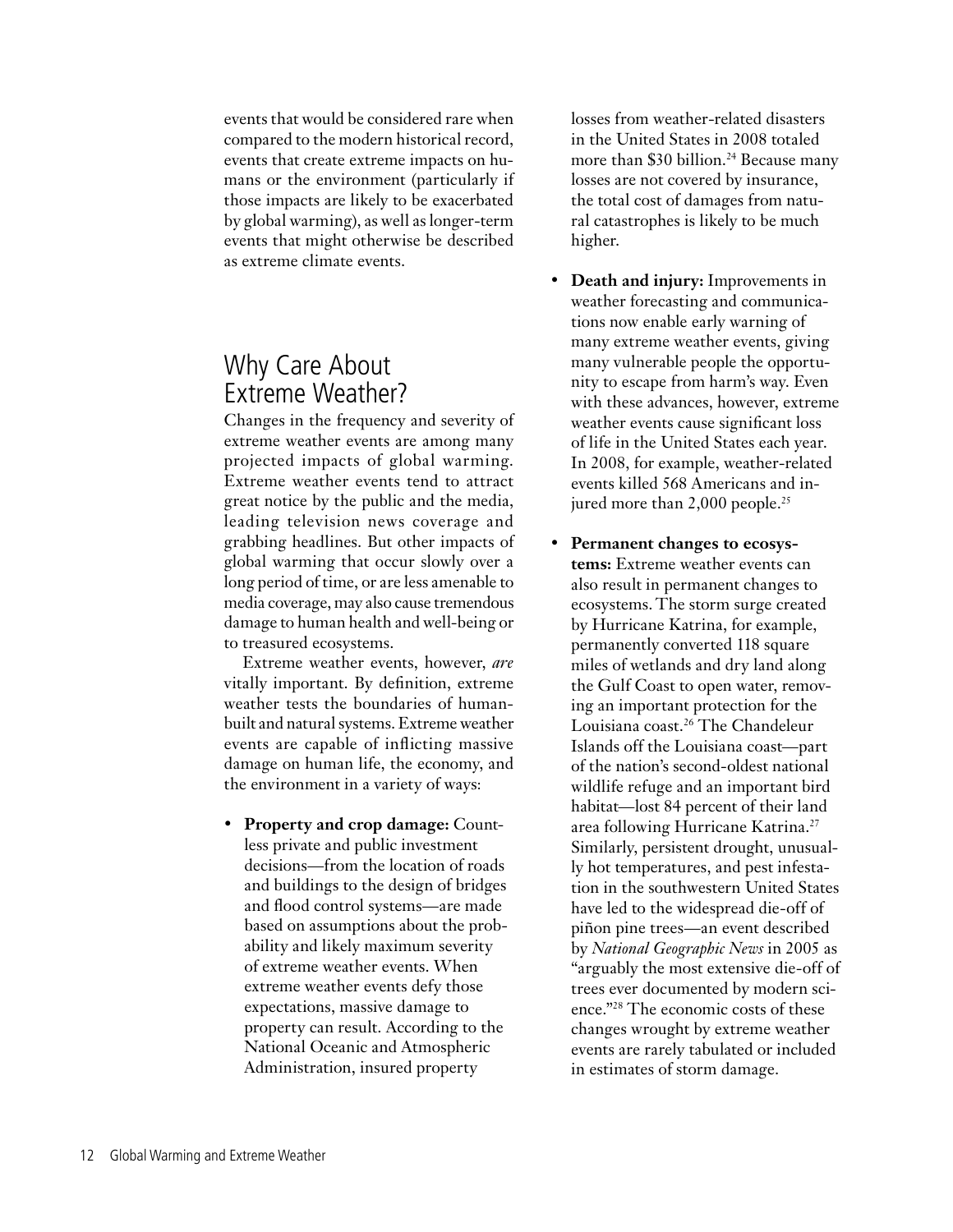events that would be considered rare when compared to the modern historical record, events that create extreme impacts on humans or the environment (particularly if those impacts are likely to be exacerbated by global warming), as well as longer-term events that might otherwise be described as extreme climate events.

## Why Care About Extreme Weather?

Changes in the frequency and severity of extreme weather events are among many projected impacts of global warming. Extreme weather events tend to attract great notice by the public and the media, leading television news coverage and grabbing headlines. But other impacts of global warming that occur slowly over a long period of time, or are less amenable to media coverage, may also cause tremendous damage to human health and well-being or to treasured ecosystems.

Extreme weather events, however, *are* vitally important. By definition, extreme weather tests the boundaries of humanbuilt and natural systems. Extreme weather events are capable of inflicting massive damage on human life, the economy, and the environment in a variety of ways:

• **Property and crop damage:** Countless private and public investment decisions—from the location of roads and buildings to the design of bridges and flood control systems—are made based on assumptions about the probability and likely maximum severity of extreme weather events. When extreme weather events defy those expectations, massive damage to property can result. According to the National Oceanic and Atmospheric Administration, insured property

losses from weather-related disasters in the United States in 2008 totaled more than \$30 billion.<sup>24</sup> Because many losses are not covered by insurance, the total cost of damages from natural catastrophes is likely to be much higher.

- **Death and injury:** Improvements in weather forecasting and communications now enable early warning of many extreme weather events, giving many vulnerable people the opportunity to escape from harm's way. Even with these advances, however, extreme weather events cause significant loss of life in the United States each year. In 2008, for example, weather-related events killed 568 Americans and injured more than 2,000 people.<sup>25</sup>
- **Permanent changes to ecosystems:** Extreme weather events can also result in permanent changes to ecosystems. The storm surge created by Hurricane Katrina, for example, permanently converted 118 square miles of wetlands and dry land along the Gulf Coast to open water, removing an important protection for the Louisiana coast.<sup>26</sup> The Chandeleur Islands off the Louisiana coast—part of the nation's second-oldest national wildlife refuge and an important bird habitat—lost 84 percent of their land area following Hurricane Katrina.27 Similarly, persistent drought, unusually hot temperatures, and pest infestation in the southwestern United States have led to the widespread die-off of piñon pine trees—an event described by *National Geographic News* in 2005 as "arguably the most extensive die-off of trees ever documented by modern science."28 The economic costs of these changes wrought by extreme weather events are rarely tabulated or included in estimates of storm damage.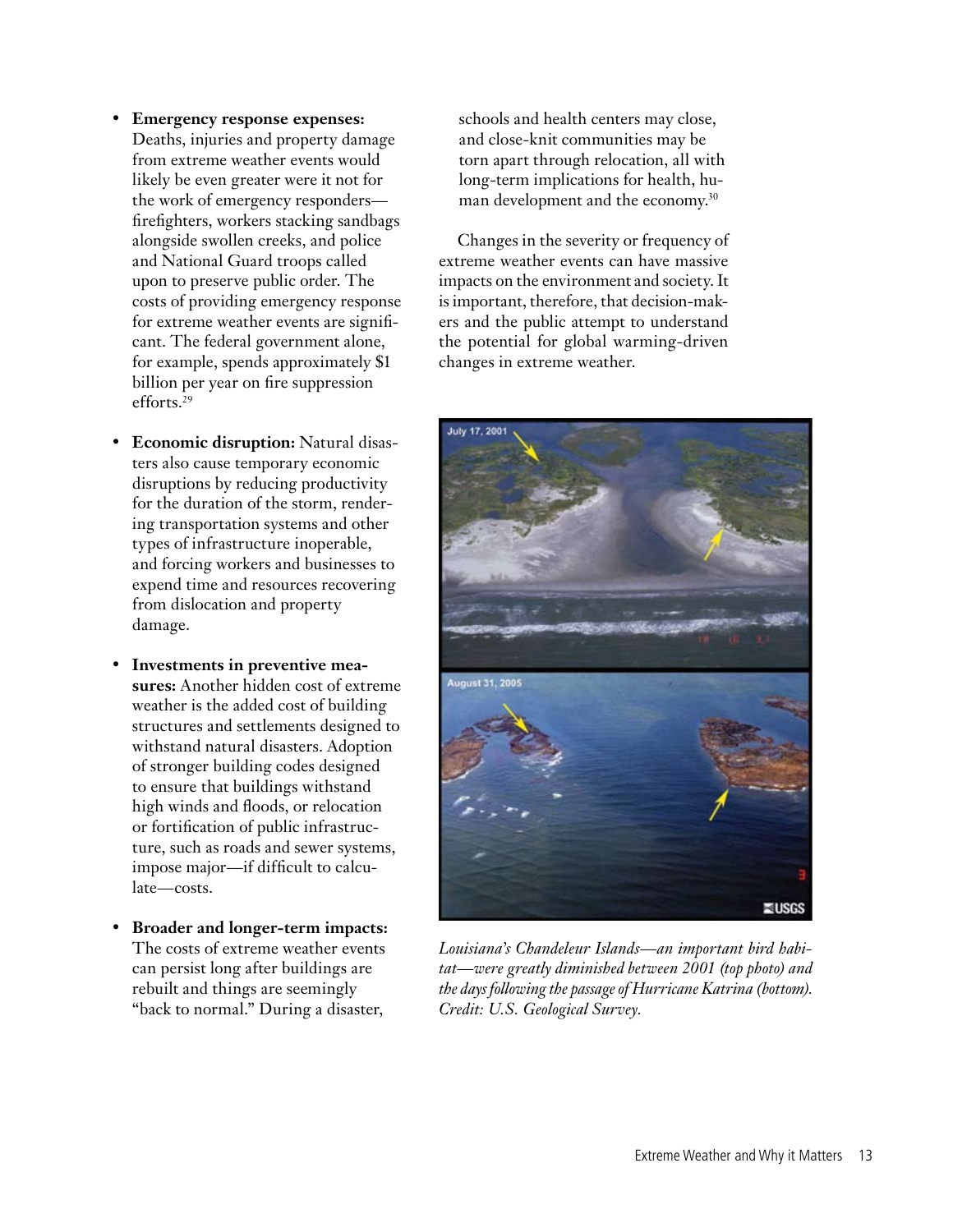- **Emergency response expenses:** Deaths, injuries and property damage from extreme weather events would likely be even greater were it not for the work of emergency responders firefighters, workers stacking sandbags alongside swollen creeks, and police and National Guard troops called upon to preserve public order. The costs of providing emergency response for extreme weather events are significant. The federal government alone, for example, spends approximately \$1 billion per year on fire suppression efforts.<sup>29</sup>
- **Economic disruption:** Natural disasters also cause temporary economic disruptions by reducing productivity for the duration of the storm, rendering transportation systems and other types of infrastructure inoperable, and forcing workers and businesses to expend time and resources recovering from dislocation and property damage.
- **Investments in preventive measures:** Another hidden cost of extreme weather is the added cost of building structures and settlements designed to withstand natural disasters. Adoption of stronger building codes designed to ensure that buildings withstand high winds and floods, or relocation or fortification of public infrastructure, such as roads and sewer systems, impose major—if difficult to calculate—costs.
- **Broader and longer-term impacts:** The costs of extreme weather events can persist long after buildings are rebuilt and things are seemingly "back to normal." During a disaster,

schools and health centers may close, and close-knit communities may be torn apart through relocation, all with long-term implications for health, human development and the economy.30

Changes in the severity or frequency of extreme weather events can have massive impacts on the environment and society. It is important, therefore, that decision-makers and the public attempt to understand the potential for global warming-driven changes in extreme weather.



*Louisiana's Chandeleur Islands—an important bird habitat—were greatly diminished between 2001 (top photo) and the days following the passage of Hurricane Katrina (bottom). Credit: U.S. Geological Survey.*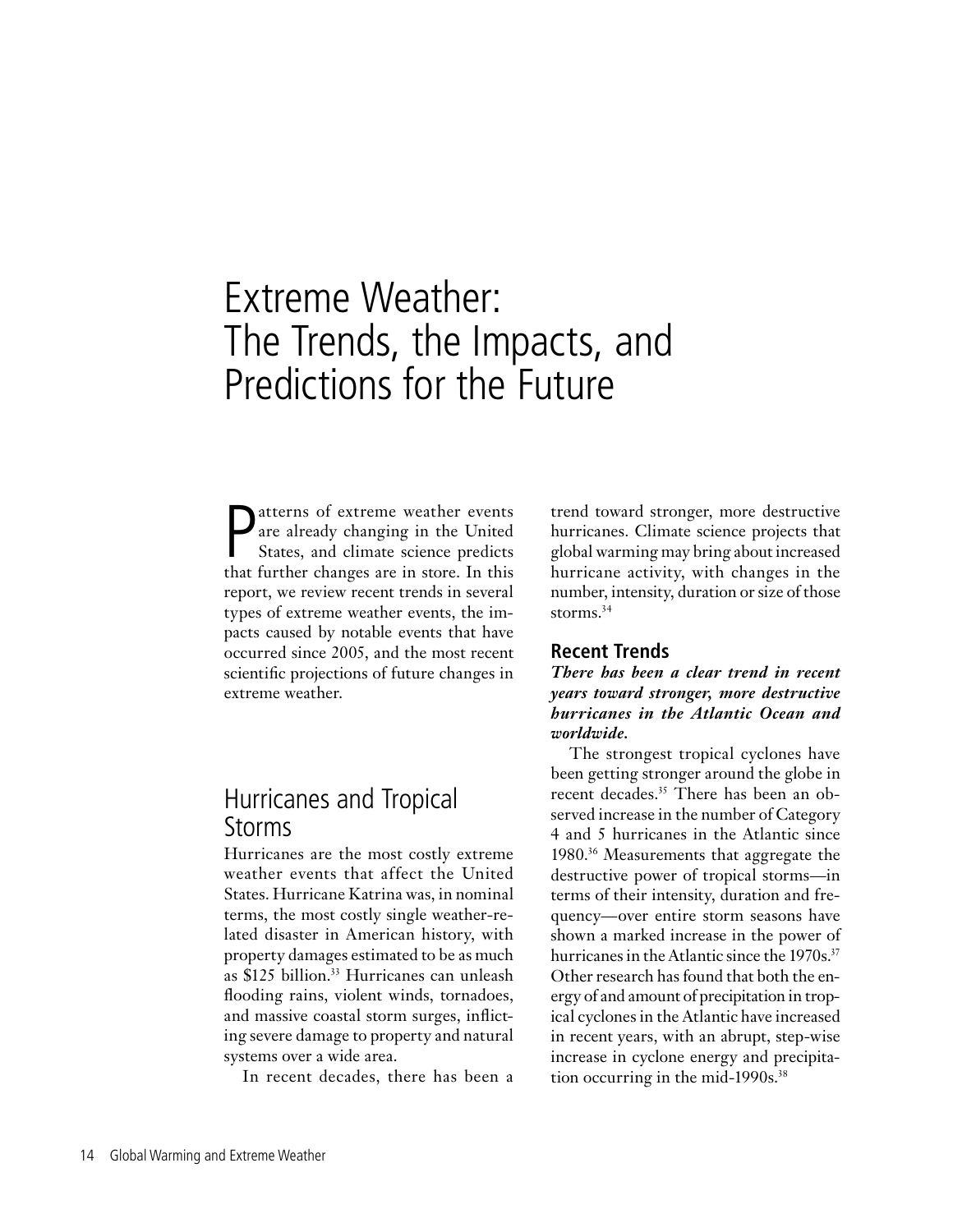# Extreme Weather: The Trends, the Impacts, and Predictions for the Future

P<br>that atterns of extreme weather events are already changing in the United States, and climate science predicts that further changes are in store. In this report, we review recent trends in several types of extreme weather events, the impacts caused by notable events that have occurred since 2005, and the most recent scientific projections of future changes in extreme weather.

## Hurricanes and Tropical Storms

Hurricanes are the most costly extreme weather events that affect the United States. Hurricane Katrina was, in nominal terms, the most costly single weather-related disaster in American history, with property damages estimated to be as much as \$125 billion.<sup>33</sup> Hurricanes can unleash flooding rains, violent winds, tornadoes, and massive coastal storm surges, inflicting severe damage to property and natural systems over a wide area.

In recent decades, there has been a

trend toward stronger, more destructive hurricanes. Climate science projects that global warming may bring about increased hurricane activity, with changes in the number, intensity, duration or size of those storms.<sup>34</sup>

## **Recent Trends**

*There has been a clear trend in recent years toward stronger, more destructive hurricanes in the Atlantic Ocean and worldwide.* 

The strongest tropical cyclones have been getting stronger around the globe in recent decades.35 There has been an observed increase in the number of Category 4 and 5 hurricanes in the Atlantic since 1980.36 Measurements that aggregate the destructive power of tropical storms—in terms of their intensity, duration and frequency—over entire storm seasons have shown a marked increase in the power of hurricanes in the Atlantic since the 1970s.<sup>37</sup> Other research has found that both the energy of and amount of precipitation in tropical cyclones in the Atlantic have increased in recent years, with an abrupt, step-wise increase in cyclone energy and precipitation occurring in the mid-1990s.<sup>38</sup>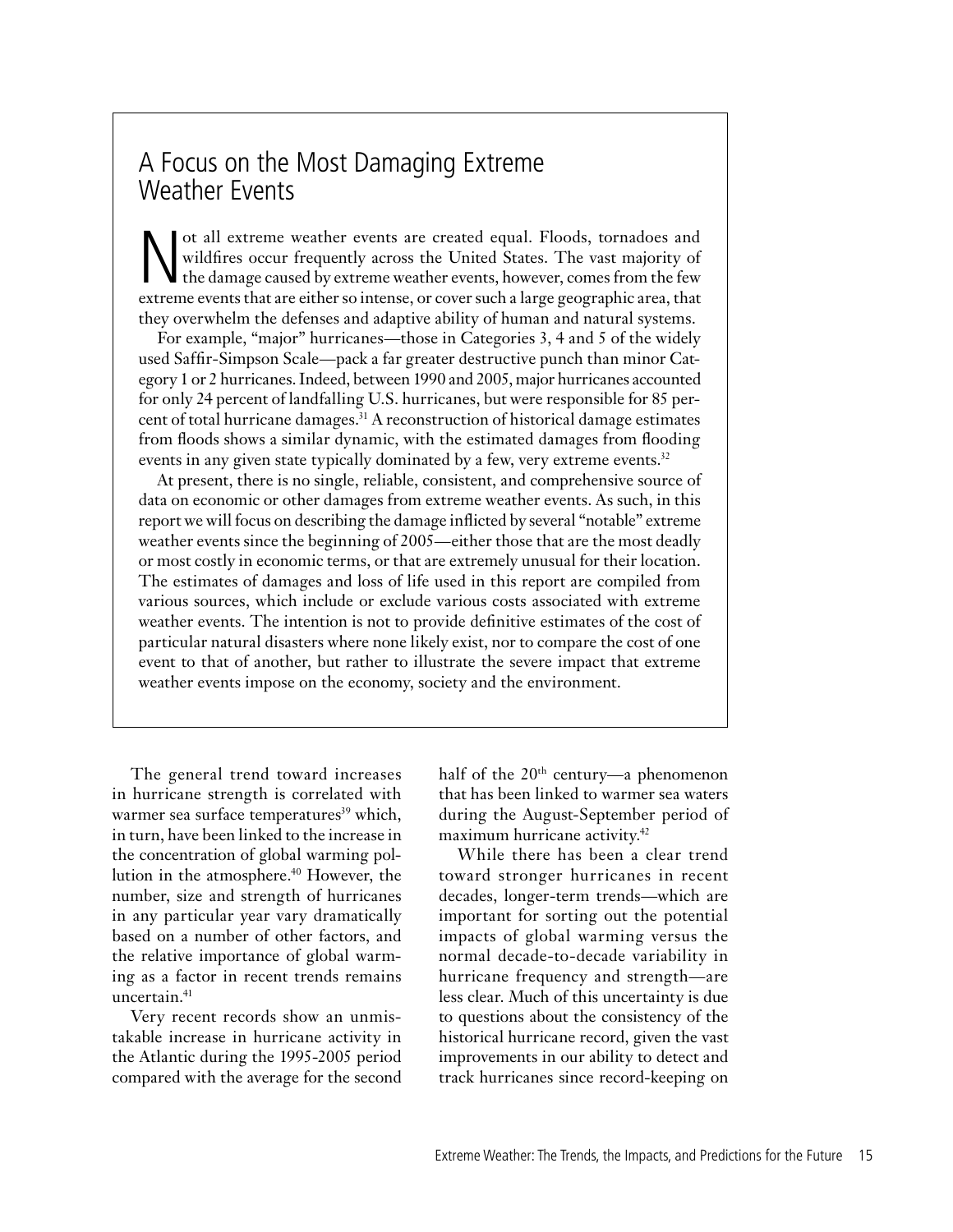## A Focus on the Most Damaging Extreme Weather Events

Not all extreme weather events are created equal. Floods, tornadoes and wildfires occur frequently across the United States. The vast majority of the damage caused by extreme weather events, however, comes from the few ext wildfires occur frequently across the United States. The vast majority of the damage caused by extreme weather events, however, comes from the few extreme events that are either so intense, or cover such a large geographic area, that they overwhelm the defenses and adaptive ability of human and natural systems.

For example, "major" hurricanes—those in Categories 3, 4 and 5 of the widely used Saffir-Simpson Scale—pack a far greater destructive punch than minor Category 1 or 2 hurricanes. Indeed, between 1990 and 2005, major hurricanes accounted for only 24 percent of landfalling U.S. hurricanes, but were responsible for 85 percent of total hurricane damages.<sup>31</sup> A reconstruction of historical damage estimates from floods shows a similar dynamic, with the estimated damages from flooding events in any given state typically dominated by a few, very extreme events.<sup>32</sup>

At present, there is no single, reliable, consistent, and comprehensive source of data on economic or other damages from extreme weather events. As such, in this report we will focus on describing the damage inflicted by several "notable" extreme weather events since the beginning of 2005—either those that are the most deadly or most costly in economic terms, or that are extremely unusual for their location. The estimates of damages and loss of life used in this report are compiled from various sources, which include or exclude various costs associated with extreme weather events. The intention is not to provide definitive estimates of the cost of particular natural disasters where none likely exist, nor to compare the cost of one event to that of another, but rather to illustrate the severe impact that extreme weather events impose on the economy, society and the environment.

The general trend toward increases in hurricane strength is correlated with warmer sea surface temperatures<sup>39</sup> which, in turn, have been linked to the increase in the concentration of global warming pollution in the atmosphere.<sup>40</sup> However, the number, size and strength of hurricanes in any particular year vary dramatically based on a number of other factors, and the relative importance of global warming as a factor in recent trends remains uncertain.<sup>41</sup>

Very recent records show an unmistakable increase in hurricane activity in the Atlantic during the 1995-2005 period compared with the average for the second half of the  $20<sup>th</sup>$  century—a phenomenon that has been linked to warmer sea waters during the August-September period of maximum hurricane activity.<sup>42</sup>

While there has been a clear trend toward stronger hurricanes in recent decades, longer-term trends—which are important for sorting out the potential impacts of global warming versus the normal decade-to-decade variability in hurricane frequency and strength—are less clear. Much of this uncertainty is due to questions about the consistency of the historical hurricane record, given the vast improvements in our ability to detect and track hurricanes since record-keeping on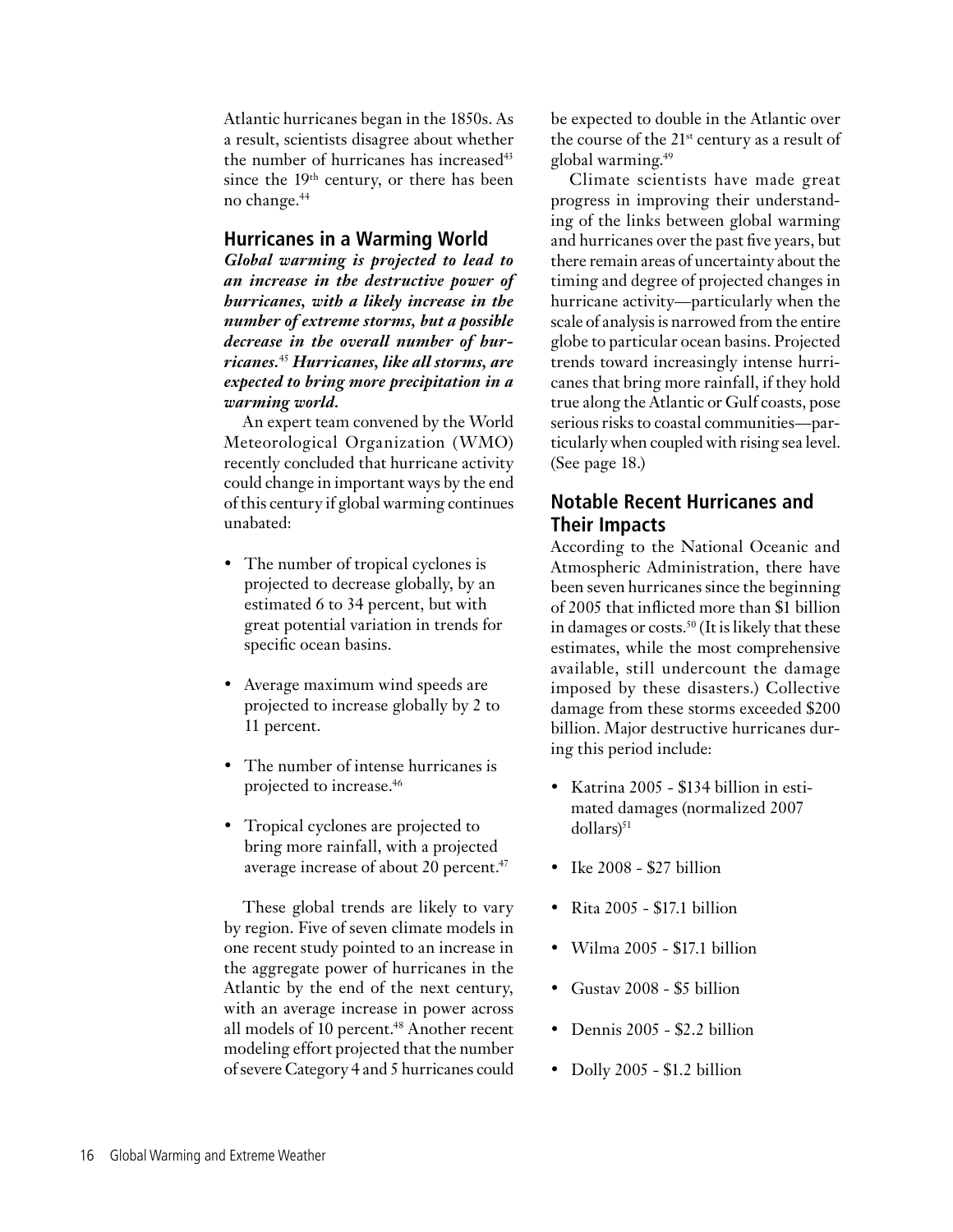Atlantic hurricanes began in the 1850s. As a result, scientists disagree about whether the number of hurricanes has increased<sup>43</sup> since the 19<sup>th</sup> century, or there has been no change.44

## **Hurricanes in a Warming World**

*Global warming is projected to lead to an increase in the destructive power of hurricanes, with a likely increase in the number of extreme storms, but a possible decrease in the overall number of hurricanes.*<sup>45</sup> *Hurricanes, like all storms, are expected to bring more precipitation in a warming world.*

An expert team convened by the World Meteorological Organization (WMO) recently concluded that hurricane activity could change in important ways by the end of this century if global warming continues unabated:

- The number of tropical cyclones is projected to decrease globally, by an estimated 6 to 34 percent, but with great potential variation in trends for specific ocean basins.
- Average maximum wind speeds are projected to increase globally by 2 to 11 percent.
- The number of intense hurricanes is projected to increase.46
- Tropical cyclones are projected to bring more rainfall, with a projected average increase of about 20 percent.<sup>47</sup>

These global trends are likely to vary by region. Five of seven climate models in one recent study pointed to an increase in the aggregate power of hurricanes in the Atlantic by the end of the next century, with an average increase in power across all models of 10 percent.<sup>48</sup> Another recent modeling effort projected that the number of severe Category 4 and 5 hurricanes could

be expected to double in the Atlantic over the course of the  $21^{st}$  century as a result of global warming.49

Climate scientists have made great progress in improving their understanding of the links between global warming and hurricanes over the past five years, but there remain areas of uncertainty about the timing and degree of projected changes in hurricane activity—particularly when the scale of analysis is narrowed from the entire globe to particular ocean basins. Projected trends toward increasingly intense hurricanes that bring more rainfall, if they hold true along the Atlantic or Gulf coasts, pose serious risks to coastal communities—particularly when coupled with rising sea level. (See page 18.)

## **Notable Recent Hurricanes and Their Impacts**

According to the National Oceanic and Atmospheric Administration, there have been seven hurricanes since the beginning of 2005 that inflicted more than \$1 billion in damages or costs.<sup>50</sup> (It is likely that these estimates, while the most comprehensive available, still undercount the damage imposed by these disasters.) Collective damage from these storms exceeded \$200 billion. Major destructive hurricanes during this period include:

- Katrina 2005 \$134 billion in estimated damages (normalized 2007  $dollars)^{51}$
- Ike 2008 \$27 billion
- Rita 2005 \$17.1 billion
- Wilma 2005 \$17.1 billion
- Gustav 2008 \$5 billion
- Dennis 2005 \$2.2 billion
- Dolly 2005 \$1.2 billion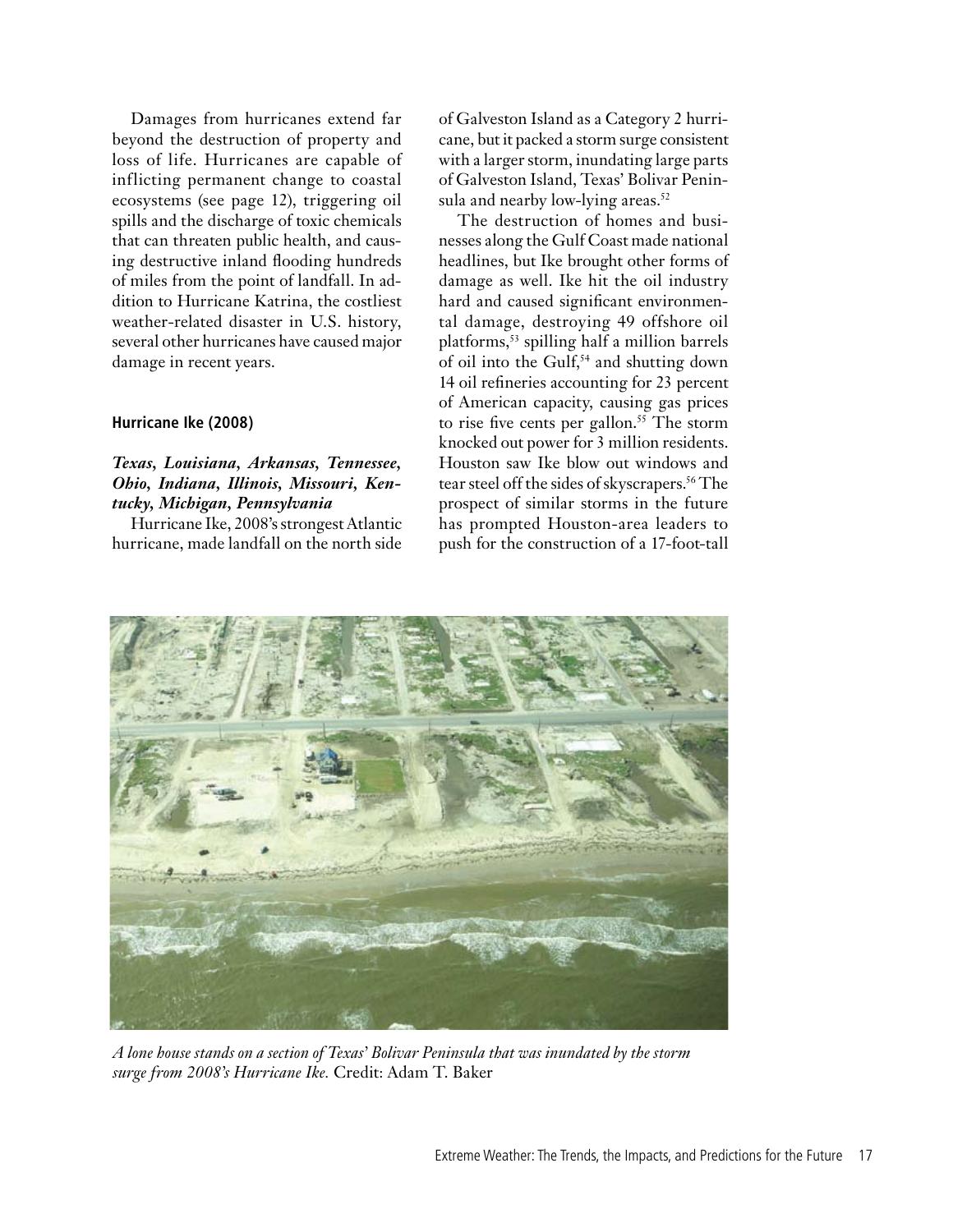Damages from hurricanes extend far beyond the destruction of property and loss of life. Hurricanes are capable of inflicting permanent change to coastal ecosystems (see page 12), triggering oil spills and the discharge of toxic chemicals that can threaten public health, and causing destructive inland flooding hundreds of miles from the point of landfall. In addition to Hurricane Katrina, the costliest weather-related disaster in U.S. history, several other hurricanes have caused major damage in recent years.

## **Hurricane Ike (2008)**

## *Texas, Louisiana, Arkansas, Tennessee, Ohio, Indiana, Illinois, Missouri, Kentucky, Michigan, Pennsylvania*

Hurricane Ike, 2008's strongest Atlantic hurricane, made landfall on the north side of Galveston Island as a Category 2 hurricane, but it packed a storm surge consistent with a larger storm, inundating large parts of Galveston Island, Texas' Bolivar Peninsula and nearby low-lying areas.<sup>52</sup>

The destruction of homes and businesses along the Gulf Coast made national headlines, but Ike brought other forms of damage as well. Ike hit the oil industry hard and caused significant environmental damage, destroying 49 offshore oil platforms,53 spilling half a million barrels of oil into the Gulf,<sup>54</sup> and shutting down 14 oil refineries accounting for 23 percent of American capacity, causing gas prices to rise five cents per gallon. 55 The storm knocked out power for 3 million residents. Houston saw Ike blow out windows and tear steel off the sides of skyscrapers.<sup>56</sup> The prospect of similar storms in the future has prompted Houston-area leaders to push for the construction of a 17-foot-tall



*A lone house stands on a section of Texas' Bolivar Peninsula that was inundated by the storm surge from 2008's Hurricane Ike.* Credit: Adam T. Baker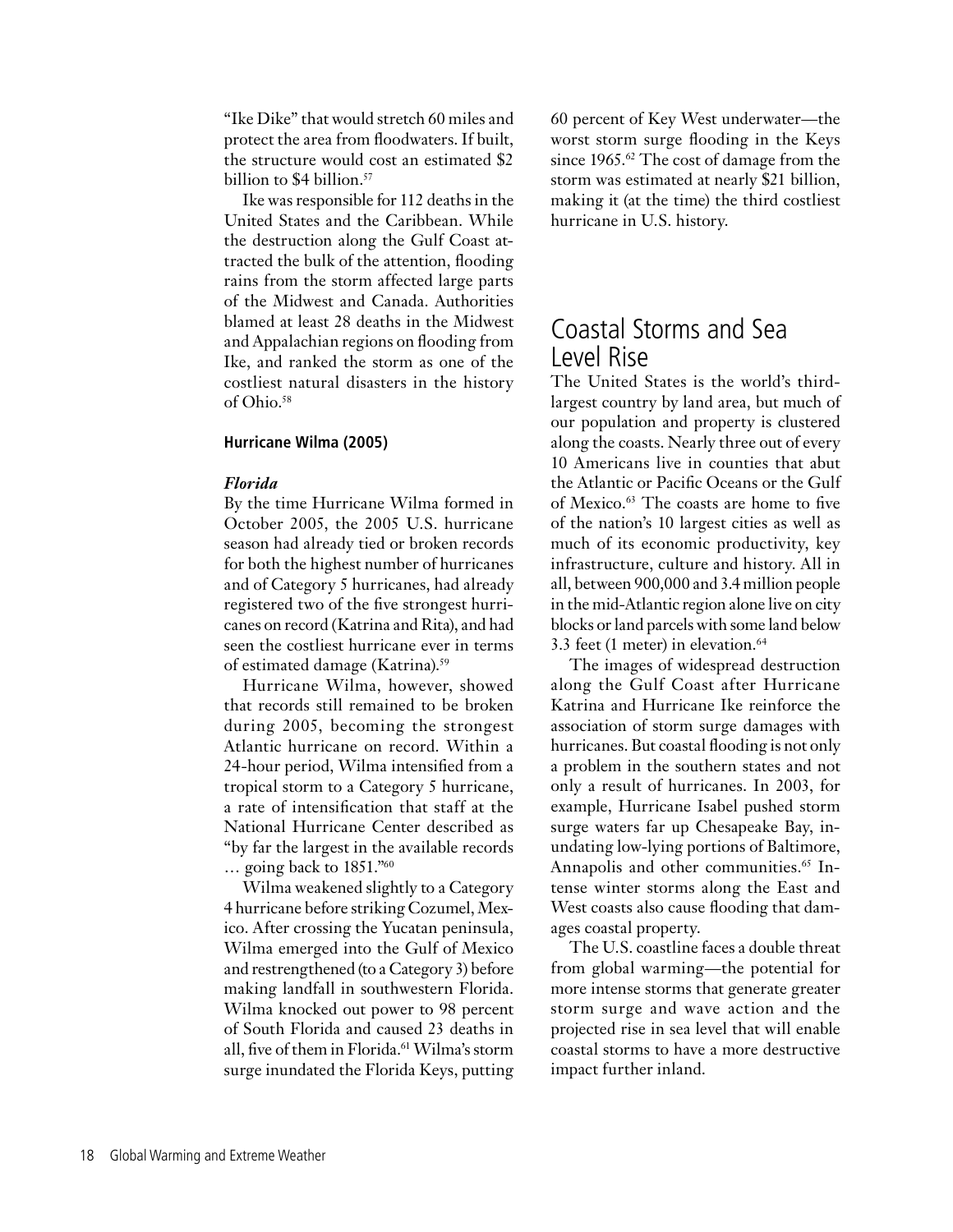"Ike Dike" that would stretch 60 miles and protect the area from floodwaters. If built, the structure would cost an estimated \$2 billion to \$4 billion.<sup>57</sup>

Ike was responsible for 112 deaths in the United States and the Caribbean. While the destruction along the Gulf Coast attracted the bulk of the attention, flooding rains from the storm affected large parts of the Midwest and Canada. Authorities blamed at least 28 deaths in the Midwest and Appalachian regions on flooding from Ike, and ranked the storm as one of the costliest natural disasters in the history of Ohio.<sup>58</sup>

#### **Hurricane Wilma (2005)**

#### *Florida*

By the time Hurricane Wilma formed in October 2005, the 2005 U.S. hurricane season had already tied or broken records for both the highest number of hurricanes and of Category 5 hurricanes, had already registered two of the five strongest hurricanes on record (Katrina and Rita), and had seen the costliest hurricane ever in terms of estimated damage (Katrina).59

Hurricane Wilma, however, showed that records still remained to be broken during 2005, becoming the strongest Atlantic hurricane on record. Within a 24-hour period, Wilma intensified from a tropical storm to a Category 5 hurricane, a rate of intensification that staff at the National Hurricane Center described as "by far the largest in the available records … going back to 1851."60

Wilma weakened slightly to a Category 4 hurricane before striking Cozumel, Mexico. After crossing the Yucatan peninsula, Wilma emerged into the Gulf of Mexico and restrengthened (to a Category 3) before making landfall in southwestern Florida. Wilma knocked out power to 98 percent of South Florida and caused 23 deaths in all, five of them in Florida.<sup>61</sup> Wilma's storm surge inundated the Florida Keys, putting

60 percent of Key West underwater—the worst storm surge flooding in the Keys since 1965.<sup>62</sup> The cost of damage from the storm was estimated at nearly \$21 billion, making it (at the time) the third costliest hurricane in U.S. history.

## Coastal Storms and Sea Level Rise

The United States is the world's thirdlargest country by land area, but much of our population and property is clustered along the coasts. Nearly three out of every 10 Americans live in counties that abut the Atlantic or Pacific Oceans or the Gulf of Mexico.<sup>63</sup> The coasts are home to five of the nation's 10 largest cities as well as much of its economic productivity, key infrastructure, culture and history. All in all, between 900,000 and 3.4 million people in the mid-Atlantic region alone live on city blocks or land parcels with some land below 3.3 feet (1 meter) in elevation.<sup>64</sup>

The images of widespread destruction along the Gulf Coast after Hurricane Katrina and Hurricane Ike reinforce the association of storm surge damages with hurricanes. But coastal flooding is not only a problem in the southern states and not only a result of hurricanes. In 2003, for example, Hurricane Isabel pushed storm surge waters far up Chesapeake Bay, inundating low-lying portions of Baltimore, Annapolis and other communities.<sup>65</sup> Intense winter storms along the East and West coasts also cause flooding that damages coastal property.

The U.S. coastline faces a double threat from global warming—the potential for more intense storms that generate greater storm surge and wave action and the projected rise in sea level that will enable coastal storms to have a more destructive impact further inland.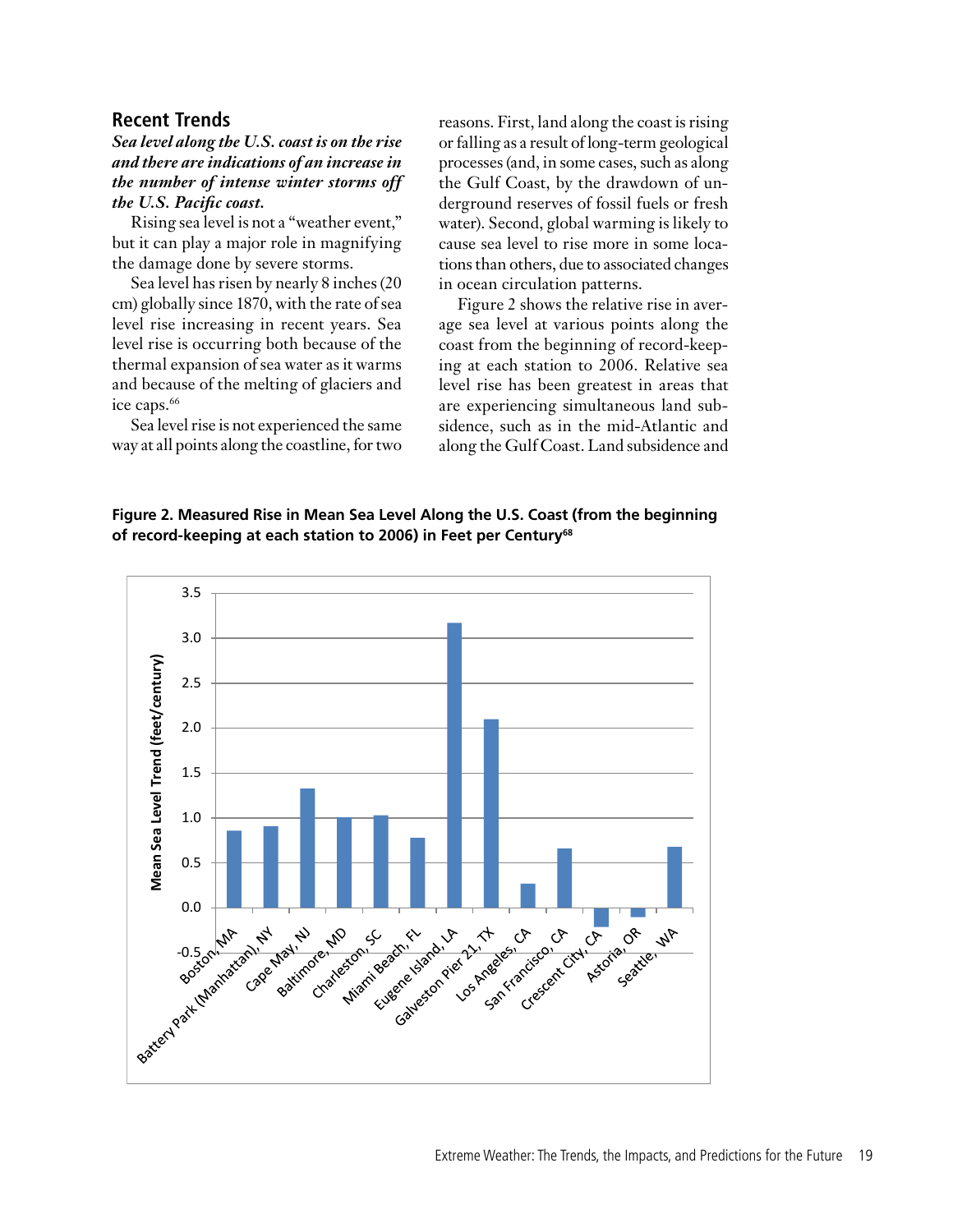## **Recent Trends**

## *Sea level along the U.S. coast is on the rise and there are indications of an increase in the number of intense winter storms off the U.S. Pacific coast.*

Rising sea level is not a "weather event," but it can play a major role in magnifying the damage done by severe storms.

Sea level has risen by nearly 8 inches (20 cm) globally since 1870, with the rate of sea level rise increasing in recent years. Sea level rise is occurring both because of the thermal expansion of sea water as it warms and because of the melting of glaciers and ice caps.<sup>66</sup>

Sea level rise is not experienced the same way at all points along the coastline, for two reasons. First, land along the coast is rising or falling as a result of long-term geological processes (and, in some cases, such as along the Gulf Coast, by the drawdown of underground reserves of fossil fuels or fresh water). Second, global warming is likely to cause sea level to rise more in some locations than others, due to associated changes in ocean circulation patterns.

Figure 2 shows the relative rise in average sea level at various points along the coast from the beginning of record-keeping at each station to 2006. Relative sea level rise has been greatest in areas that are experiencing simultaneous land subsidence, such as in the mid-Atlantic and along the Gulf Coast. Land subsidence and

**Figure 2. Measured Rise in Mean Sea Level Along the U.S. Coast (from the beginning of record-keeping at each station to 2006) in Feet per Century68**

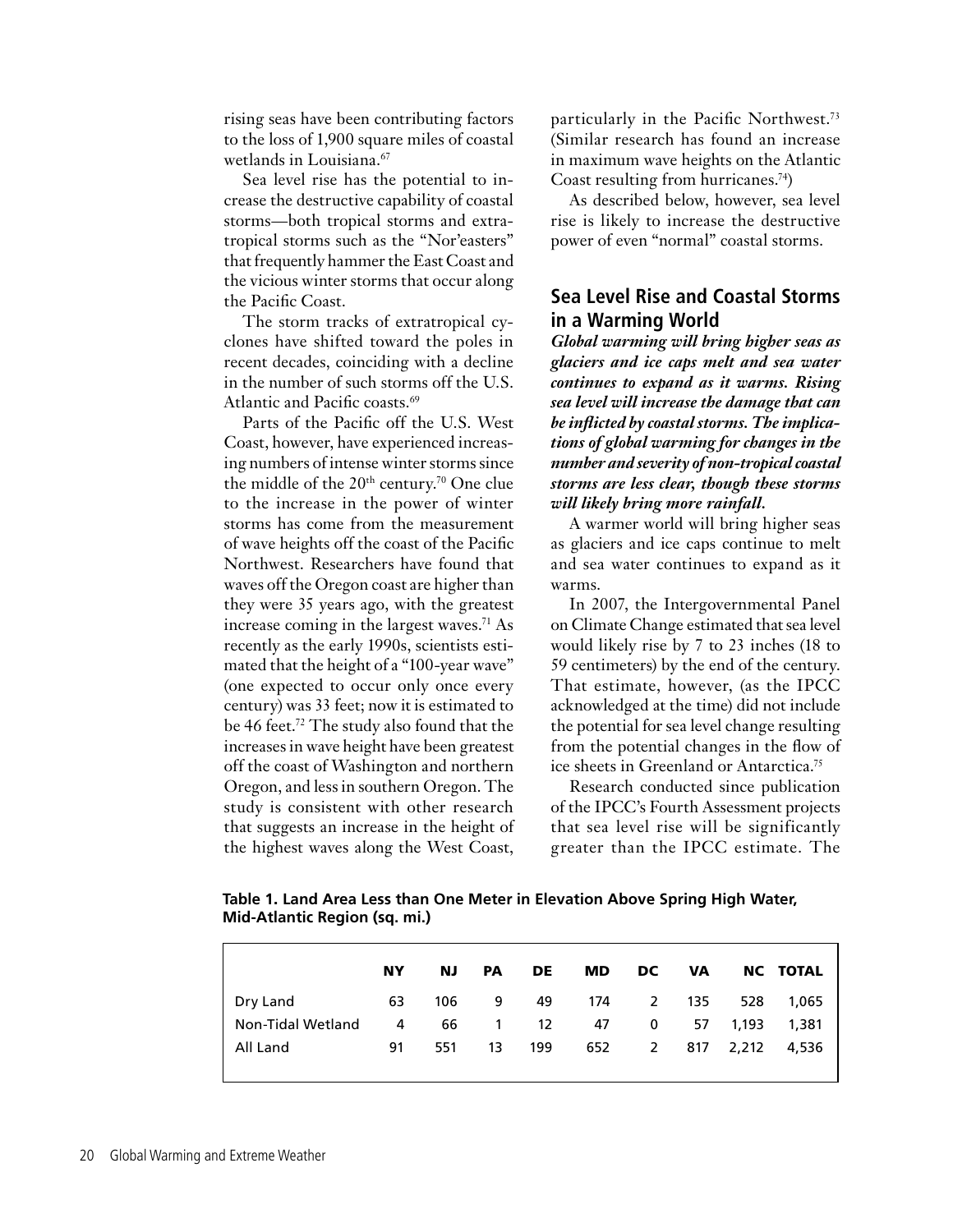rising seas have been contributing factors to the loss of 1,900 square miles of coastal wetlands in Louisiana.<sup>67</sup>

Sea level rise has the potential to increase the destructive capability of coastal storms—both tropical storms and extratropical storms such as the "Nor'easters" that frequently hammer the East Coast and the vicious winter storms that occur along the Pacific Coast.

The storm tracks of extratropical cyclones have shifted toward the poles in recent decades, coinciding with a decline in the number of such storms off the U.S. Atlantic and Pacific coasts.<sup>69</sup>

Parts of the Pacific off the U.S. West Coast, however, have experienced increasing numbers of intense winter storms since the middle of the  $20<sup>th</sup>$  century.<sup>70</sup> One clue to the increase in the power of winter storms has come from the measurement of wave heights off the coast of the Pacific Northwest. Researchers have found that waves off the Oregon coast are higher than they were 35 years ago, with the greatest increase coming in the largest waves.<sup>71</sup> As recently as the early 1990s, scientists estimated that the height of a "100-year wave" (one expected to occur only once every century) was 33 feet; now it is estimated to be 46 feet.<sup>72</sup> The study also found that the increases in wave height have been greatest off the coast of Washington and northern Oregon, and less in southern Oregon. The study is consistent with other research that suggests an increase in the height of the highest waves along the West Coast,

particularly in the Pacific Northwest.73 (Similar research has found an increase in maximum wave heights on the Atlantic Coast resulting from hurricanes.<sup>74</sup>)

As described below, however, sea level rise is likely to increase the destructive power of even "normal" coastal storms.

## **Sea Level Rise and Coastal Storms in a Warming World**

*Global warming will bring higher seas as glaciers and ice caps melt and sea water continues to expand as it warms. Rising sea level will increase the damage that can be inflicted by coastal storms. The implications of global warming for changes in the number and severity of non-tropical coastal storms are less clear, though these storms will likely bring more rainfall.*

A warmer world will bring higher seas as glaciers and ice caps continue to melt and sea water continues to expand as it warms.

In 2007, the Intergovernmental Panel on Climate Change estimated that sea level would likely rise by 7 to 23 inches (18 to 59 centimeters) by the end of the century. That estimate, however, (as the IPCC acknowledged at the time) did not include the potential for sea level change resulting from the potential changes in the flow of ice sheets in Greenland or Antarctica.75

Research conducted since publication of the IPCC's Fourth Assessment projects that sea level rise will be significantly greater than the IPCC estimate. The

NY NJ PA DE MD DC VA NC TOTAL Dry Land 63 106 9 49 174 2 135 528 1,065 Non-Tidal Wetland 4 66 1 12 47 0 57 1,193 1,381 All Land 91 551 13 199 652 2 817 2,212 4,536

**Table 1. Land Area Less than One Meter in Elevation Above Spring High Water, Mid-Atlantic Region (sq. mi.)**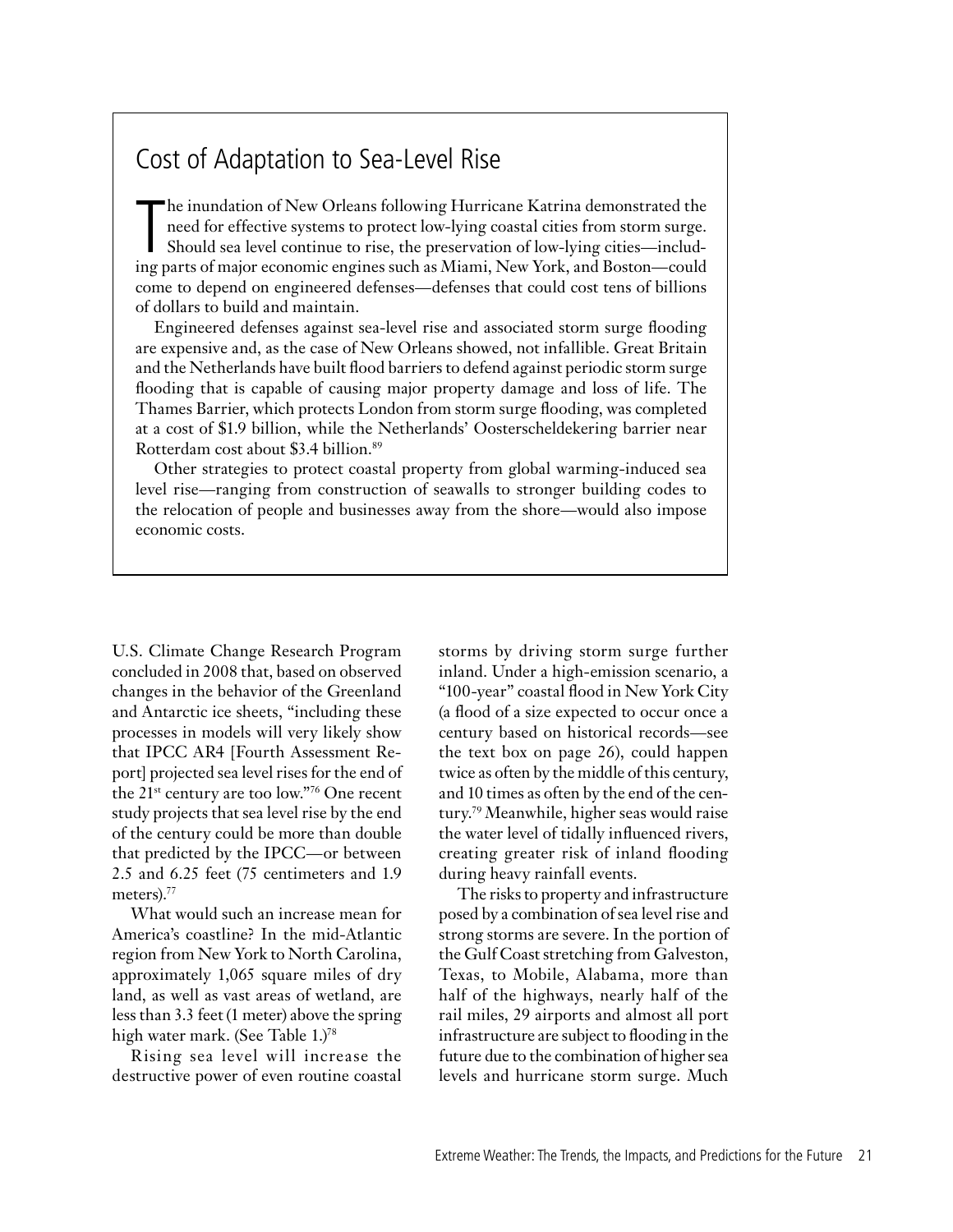## Cost of Adaptation to Sea-Level Rise

The inundation of New Orleans following Hurricane Katrina demonstrated the need for effective systems to protect low-lying coastal cities from storm surge.<br>Should sea level continue to rise, the preservation of low-lying c he inundation of New Orleans following Hurricane Katrina demonstrated the need for effective systems to protect low-lying coastal cities from storm surge. Should sea level continue to rise, the preservation of low-lying cities—includcome to depend on engineered defenses—defenses that could cost tens of billions of dollars to build and maintain.

Engineered defenses against sea-level rise and associated storm surge flooding are expensive and, as the case of New Orleans showed, not infallible. Great Britain and the Netherlands have built flood barriers to defend against periodic storm surge flooding that is capable of causing major property damage and loss of life. The Thames Barrier, which protects London from storm surge flooding, was completed at a cost of \$1.9 billion, while the Netherlands' Oosterscheldekering barrier near Rotterdam cost about \$3.4 billion.<sup>89</sup>

Other strategies to protect coastal property from global warming-induced sea level rise—ranging from construction of seawalls to stronger building codes to the relocation of people and businesses away from the shore—would also impose economic costs.

U.S. Climate Change Research Program concluded in 2008 that, based on observed changes in the behavior of the Greenland and Antarctic ice sheets, "including these processes in models will very likely show that IPCC AR4 [Fourth Assessment Report] projected sea level rises for the end of the 21<sup>st</sup> century are too low."<sup>76</sup> One recent study projects that sea level rise by the end of the century could be more than double that predicted by the IPCC—or between 2.5 and 6.25 feet (75 centimeters and 1.9 meters).<sup>77</sup>

What would such an increase mean for America's coastline? In the mid-Atlantic region from New York to North Carolina, approximately 1,065 square miles of dry land, as well as vast areas of wetland, are less than 3.3 feet (1 meter) above the spring high water mark. (See Table 1.)<sup>78</sup>

Rising sea level will increase the destructive power of even routine coastal

storms by driving storm surge further inland. Under a high-emission scenario, a "100-year" coastal flood in New York City (a flood of a size expected to occur once a century based on historical records—see the text box on page 26), could happen twice as often by the middle of this century, and 10 times as often by the end of the century.79 Meanwhile, higher seas would raise the water level of tidally influenced rivers, creating greater risk of inland flooding during heavy rainfall events.

The risks to property and infrastructure posed by a combination of sea level rise and strong storms are severe. In the portion of the Gulf Coast stretching from Galveston, Texas, to Mobile, Alabama, more than half of the highways, nearly half of the rail miles, 29 airports and almost all port infrastructure are subject to flooding in the future due to the combination of higher sea levels and hurricane storm surge. Much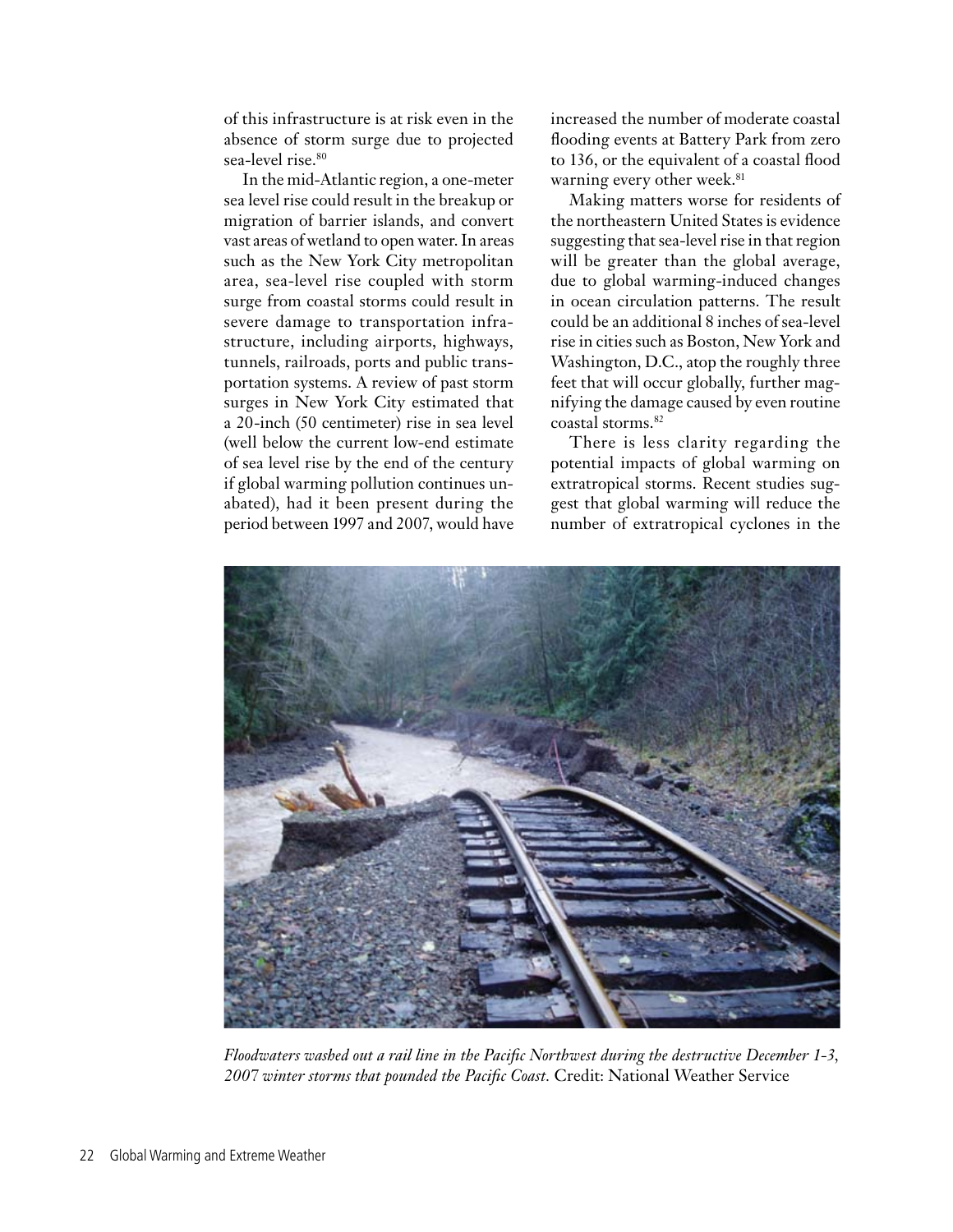of this infrastructure is at risk even in the absence of storm surge due to projected sea-level rise.<sup>80</sup>

In the mid-Atlantic region, a one-meter sea level rise could result in the breakup or migration of barrier islands, and convert vast areas of wetland to open water. In areas such as the New York City metropolitan area, sea-level rise coupled with storm surge from coastal storms could result in severe damage to transportation infrastructure, including airports, highways, tunnels, railroads, ports and public transportation systems. A review of past storm surges in New York City estimated that a 20-inch (50 centimeter) rise in sea level (well below the current low-end estimate of sea level rise by the end of the century if global warming pollution continues unabated), had it been present during the period between 1997 and 2007, would have

increased the number of moderate coastal flooding events at Battery Park from zero to 136, or the equivalent of a coastal flood warning every other week.<sup>81</sup>

Making matters worse for residents of the northeastern United States is evidence suggesting that sea-level rise in that region will be greater than the global average, due to global warming-induced changes in ocean circulation patterns. The result could be an additional 8 inches of sea-level rise in cities such as Boston, New York and Washington, D.C., atop the roughly three feet that will occur globally, further magnifying the damage caused by even routine coastal storms.82

There is less clarity regarding the potential impacts of global warming on extratropical storms. Recent studies suggest that global warming will reduce the number of extratropical cyclones in the



*Floodwaters washed out a rail line in the Pacific Northwest during the destructive December 1-3, 2007 winter storms that pounded the Pacific Coast.* Credit: National Weather Service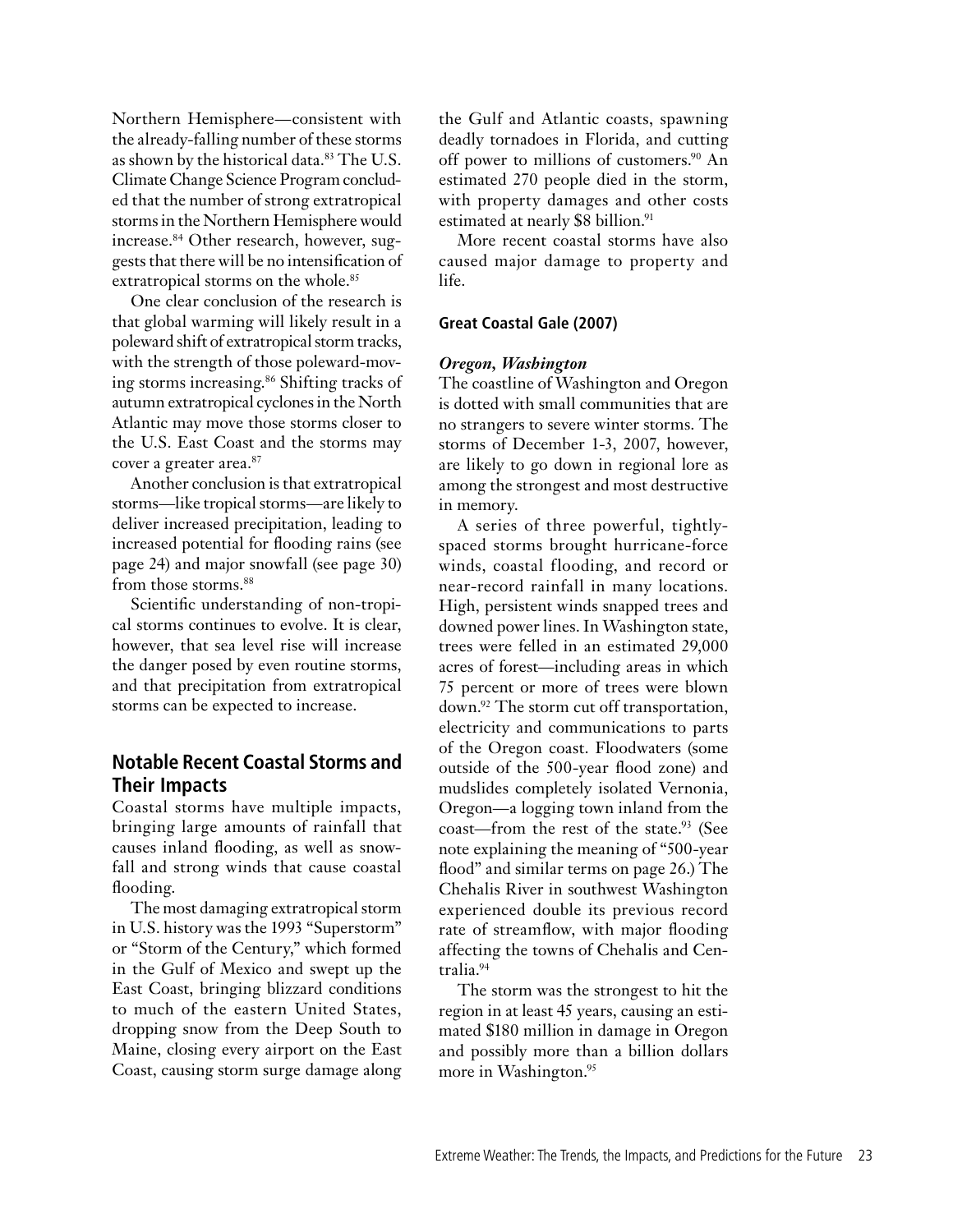Northern Hemisphere—consistent with the already-falling number of these storms as shown by the historical data.<sup>83</sup> The U.S. Climate Change Science Program concluded that the number of strong extratropical storms in the Northern Hemisphere would increase.84 Other research, however, suggests that there will be no intensification of extratropical storms on the whole.<sup>85</sup>

One clear conclusion of the research is that global warming will likely result in a poleward shift of extratropical storm tracks, with the strength of those poleward-moving storms increasing.86 Shifting tracks of autumn extratropical cyclones in the North Atlantic may move those storms closer to the U.S. East Coast and the storms may cover a greater area.<sup>87</sup>

Another conclusion is that extratropical storms—like tropical storms—are likely to deliver increased precipitation, leading to increased potential for flooding rains (see page 24) and major snowfall (see page 30) from those storms.<sup>88</sup>

Scientific understanding of non-tropical storms continues to evolve. It is clear, however, that sea level rise will increase the danger posed by even routine storms, and that precipitation from extratropical storms can be expected to increase.

## **Notable Recent Coastal Storms and Their Impacts**

Coastal storms have multiple impacts, bringing large amounts of rainfall that causes inland flooding, as well as snowfall and strong winds that cause coastal flooding.

The most damaging extratropical storm in U.S. history was the 1993 "Superstorm" or "Storm of the Century," which formed in the Gulf of Mexico and swept up the East Coast, bringing blizzard conditions to much of the eastern United States, dropping snow from the Deep South to Maine, closing every airport on the East Coast, causing storm surge damage along the Gulf and Atlantic coasts, spawning deadly tornadoes in Florida, and cutting off power to millions of customers.<sup>90</sup> An estimated 270 people died in the storm, with property damages and other costs estimated at nearly \$8 billion.<sup>91</sup>

More recent coastal storms have also caused major damage to property and life.

## **Great Coastal Gale (2007)**

#### *Oregon, Washington*

The coastline of Washington and Oregon is dotted with small communities that are no strangers to severe winter storms. The storms of December 1-3, 2007, however, are likely to go down in regional lore as among the strongest and most destructive in memory.

A series of three powerful, tightlyspaced storms brought hurricane-force winds, coastal flooding, and record or near-record rainfall in many locations. High, persistent winds snapped trees and downed power lines. In Washington state, trees were felled in an estimated 29,000 acres of forest—including areas in which 75 percent or more of trees were blown down.92 The storm cut off transportation, electricity and communications to parts of the Oregon coast. Floodwaters (some outside of the 500-year flood zone) and mudslides completely isolated Vernonia, Oregon—a logging town inland from the coast—from the rest of the state. 93 (See note explaining the meaning of "500-year flood" and similar terms on page 26.) The Chehalis River in southwest Washington experienced double its previous record rate of streamflow, with major flooding affecting the towns of Chehalis and Centralia.94

The storm was the strongest to hit the region in at least 45 years, causing an estimated \$180 million in damage in Oregon and possibly more than a billion dollars more in Washington.<sup>95</sup>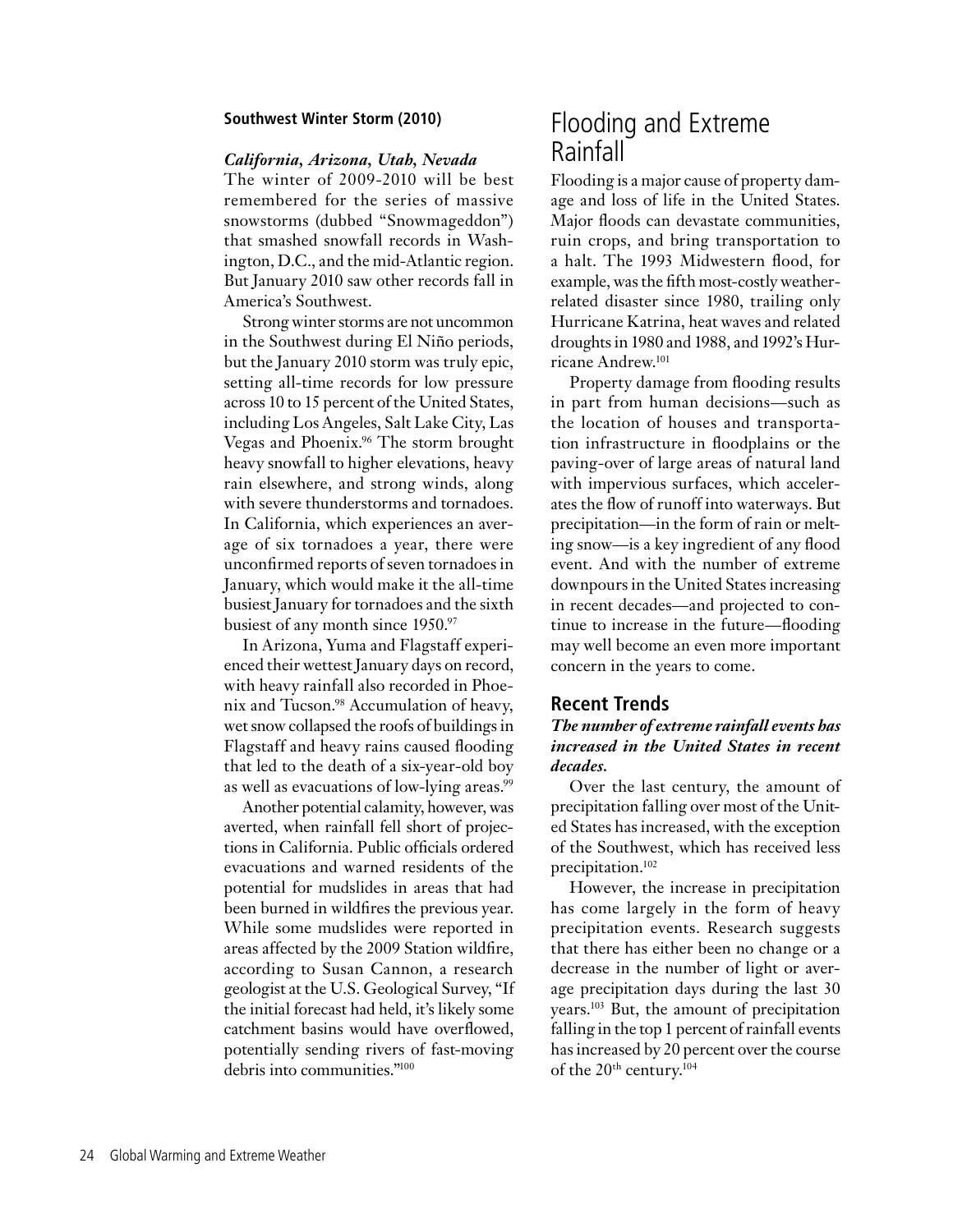#### **Southwest Winter Storm (2010)**

#### *California, Arizona, Utah, Nevada*

The winter of 2009-2010 will be best remembered for the series of massive snowstorms (dubbed "Snowmageddon") that smashed snowfall records in Washington, D.C., and the mid-Atlantic region. But January 2010 saw other records fall in America's Southwest.

Strong winter storms are not uncommon in the Southwest during El Niño periods, but the January 2010 storm was truly epic, setting all-time records for low pressure across 10 to 15 percent of the United States, including Los Angeles, Salt Lake City, Las Vegas and Phoenix.96 The storm brought heavy snowfall to higher elevations, heavy rain elsewhere, and strong winds, along with severe thunderstorms and tornadoes. In California, which experiences an average of six tornadoes a year, there were unconfirmed reports of seven tornadoes in January, which would make it the all-time busiest January for tornadoes and the sixth busiest of any month since 1950.97

In Arizona, Yuma and Flagstaff experienced their wettest January days on record, with heavy rainfall also recorded in Phoenix and Tucson.98 Accumulation of heavy, wet snow collapsed the roofs of buildings in Flagstaff and heavy rains caused flooding that led to the death of a six-year-old boy as well as evacuations of low-lying areas.<sup>99</sup>

Another potential calamity, however, was averted, when rainfall fell short of projections in California. Public officials ordered evacuations and warned residents of the potential for mudslides in areas that had been burned in wildfires the previous year. While some mudslides were reported in areas affected by the 2009 Station wildfire, according to Susan Cannon, a research geologist at the U.S. Geological Survey, "If the initial forecast had held, it's likely some catchment basins would have overflowed, potentially sending rivers of fast-moving debris into communities."100

## Flooding and Extreme Rainfall

Flooding is a major cause of property damage and loss of life in the United States. Major floods can devastate communities, ruin crops, and bring transportation to a halt. The 1993 Midwestern flood, for example, was the fifth most-costly weatherrelated disaster since 1980, trailing only Hurricane Katrina, heat waves and related droughts in 1980 and 1988, and 1992's Hurricane Andrew.101

Property damage from flooding results in part from human decisions—such as the location of houses and transportation infrastructure in floodplains or the paving-over of large areas of natural land with impervious surfaces, which accelerates the flow of runoff into waterways. But precipitation—in the form of rain or melting snow—is a key ingredient of any flood event. And with the number of extreme downpours in the United States increasing in recent decades—and projected to continue to increase in the future—flooding may well become an even more important concern in the years to come.

## **Recent Trends**

## *The number of extreme rainfall events has increased in the United States in recent decades.*

Over the last century, the amount of precipitation falling over most of the United States has increased, with the exception of the Southwest, which has received less precipitation.102

However, the increase in precipitation has come largely in the form of heavy precipitation events. Research suggests that there has either been no change or a decrease in the number of light or average precipitation days during the last 30 years.103 But, the amount of precipitation falling in the top 1 percent of rainfall events has increased by 20 percent over the course of the 20th century.104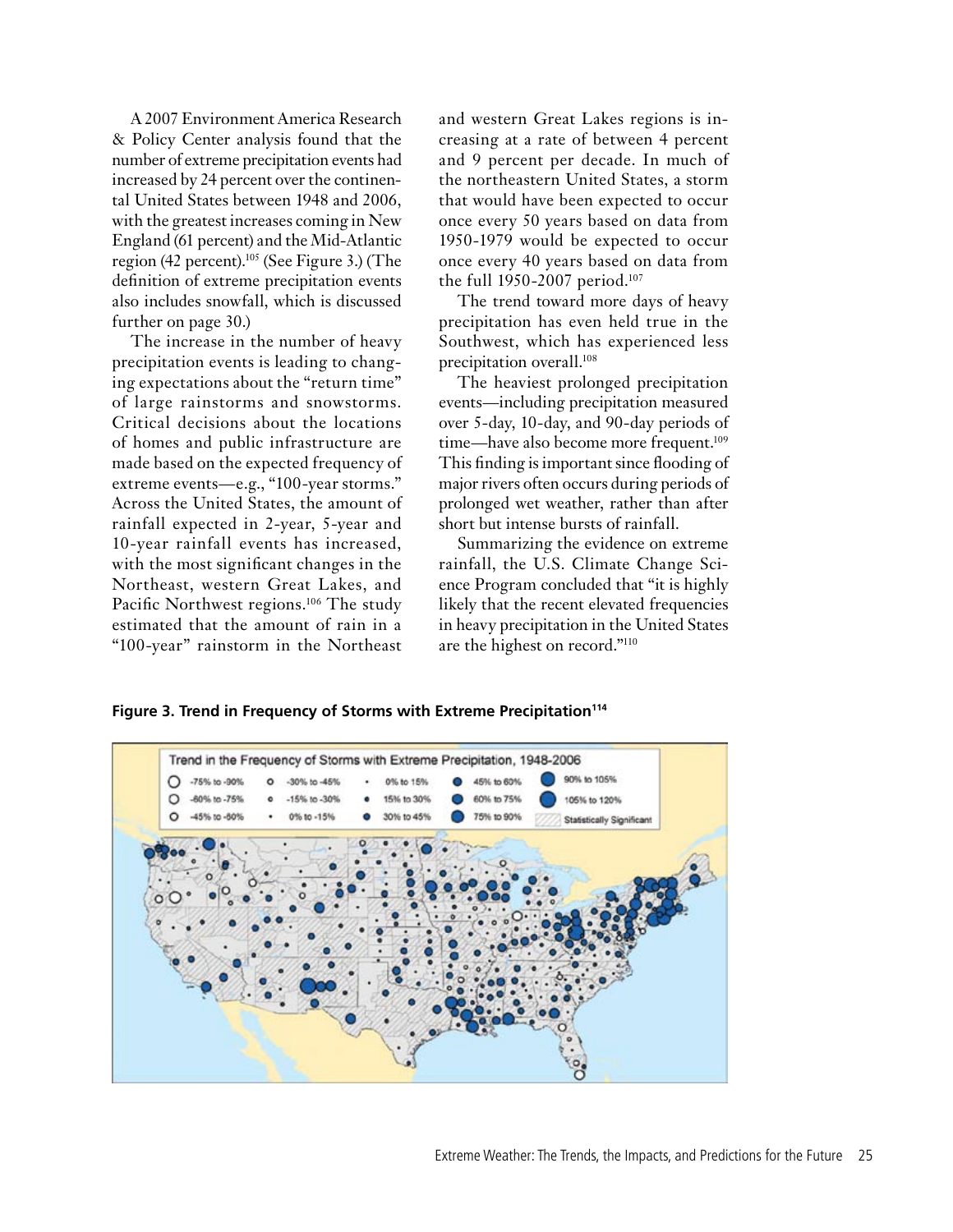A 2007 Environment America Research & Policy Center analysis found that the number of extreme precipitation events had increased by 24 percent over the continental United States between 1948 and 2006, with the greatest increases coming in New England (61 percent) and the Mid-Atlantic region (42 percent).105 (See Figure 3.) (The definition of extreme precipitation events also includes snowfall, which is discussed further on page 30.)

The increase in the number of heavy precipitation events is leading to changing expectations about the "return time" of large rainstorms and snowstorms. Critical decisions about the locations of homes and public infrastructure are made based on the expected frequency of extreme events—e.g., "100-year storms." Across the United States, the amount of rainfall expected in 2-year, 5-year and 10-year rainfall events has increased, with the most significant changes in the Northeast, western Great Lakes, and Pacific Northwest regions.<sup>106</sup> The study estimated that the amount of rain in a "100-year" rainstorm in the Northeast and western Great Lakes regions is increasing at a rate of between 4 percent and 9 percent per decade. In much of the northeastern United States, a storm that would have been expected to occur once every 50 years based on data from 1950-1979 would be expected to occur once every 40 years based on data from the full 1950-2007 period.107

The trend toward more days of heavy precipitation has even held true in the Southwest, which has experienced less precipitation overall.108

The heaviest prolonged precipitation events—including precipitation measured over 5-day, 10-day, and 90-day periods of time—have also become more frequent.<sup>109</sup> This finding is important since flooding of major rivers often occurs during periods of prolonged wet weather, rather than after short but intense bursts of rainfall.

Summarizing the evidence on extreme rainfall, the U.S. Climate Change Science Program concluded that "it is highly likely that the recent elevated frequencies in heavy precipitation in the United States are the highest on record."110

Figure 3. Trend in Frequency of Storms with Extreme Precipitation<sup>114</sup>

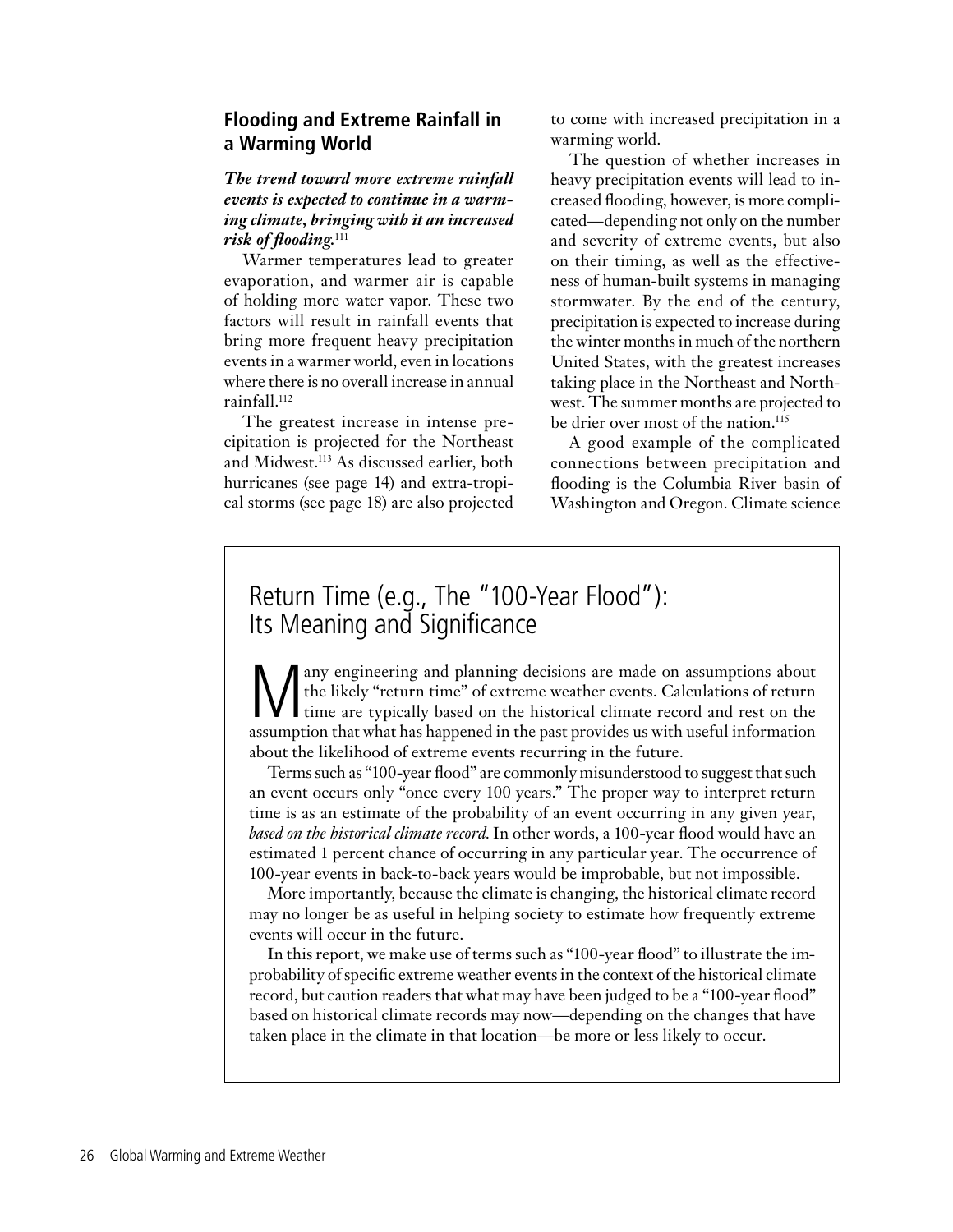## **Flooding and Extreme Rainfall in a Warming World**

## *The trend toward more extreme rainfall events is expected to continue in a warming climate, bringing with it an increased risk of flooding.*<sup>111</sup>

Warmer temperatures lead to greater evaporation, and warmer air is capable of holding more water vapor. These two factors will result in rainfall events that bring more frequent heavy precipitation events in a warmer world, even in locations where there is no overall increase in annual rainfall.112

The greatest increase in intense precipitation is projected for the Northeast and Midwest.<sup>113</sup> As discussed earlier, both hurricanes (see page 14) and extra-tropical storms (see page 18) are also projected

to come with increased precipitation in a warming world.

The question of whether increases in heavy precipitation events will lead to increased flooding, however, is more complicated—depending not only on the number and severity of extreme events, but also on their timing, as well as the effectiveness of human-built systems in managing stormwater. By the end of the century, precipitation is expected to increase during the winter months in much of the northern United States, with the greatest increases taking place in the Northeast and Northwest. The summer months are projected to be drier over most of the nation. 115

A good example of the complicated connections between precipitation and flooding is the Columbia River basin of Washington and Oregon. Climate science

## Return Time (e.g., The "100-Year Flood"): Its Meaning and Significance

Many engineering and planning decisions are made on assumptions about<br>the likely "return time" of extreme weather events. Calculations of return<br>time are typically based on the historical climate record and rest on the<br>ass the likely "return time" of extreme weather events. Calculations of return I time are typically based on the historical climate record and rest on the assumption that what has happened in the past provides us with useful information about the likelihood of extreme events recurring in the future.

Terms such as "100-year flood" are commonly misunderstood to suggest that such an event occurs only "once every 100 years." The proper way to interpret return time is as an estimate of the probability of an event occurring in any given year, *based on the historical climate record*. In other words, a 100-year flood would have an estimated 1 percent chance of occurring in any particular year. The occurrence of 100-year events in back-to-back years would be improbable, but not impossible.

More importantly, because the climate is changing, the historical climate record may no longer be as useful in helping society to estimate how frequently extreme events will occur in the future.

In this report, we make use of terms such as "100-year flood" to illustrate the improbability of specific extreme weather events in the context of the historical climate record, but caution readers that what may have been judged to be a "100-year flood" based on historical climate records may now—depending on the changes that have taken place in the climate in that location—be more or less likely to occur.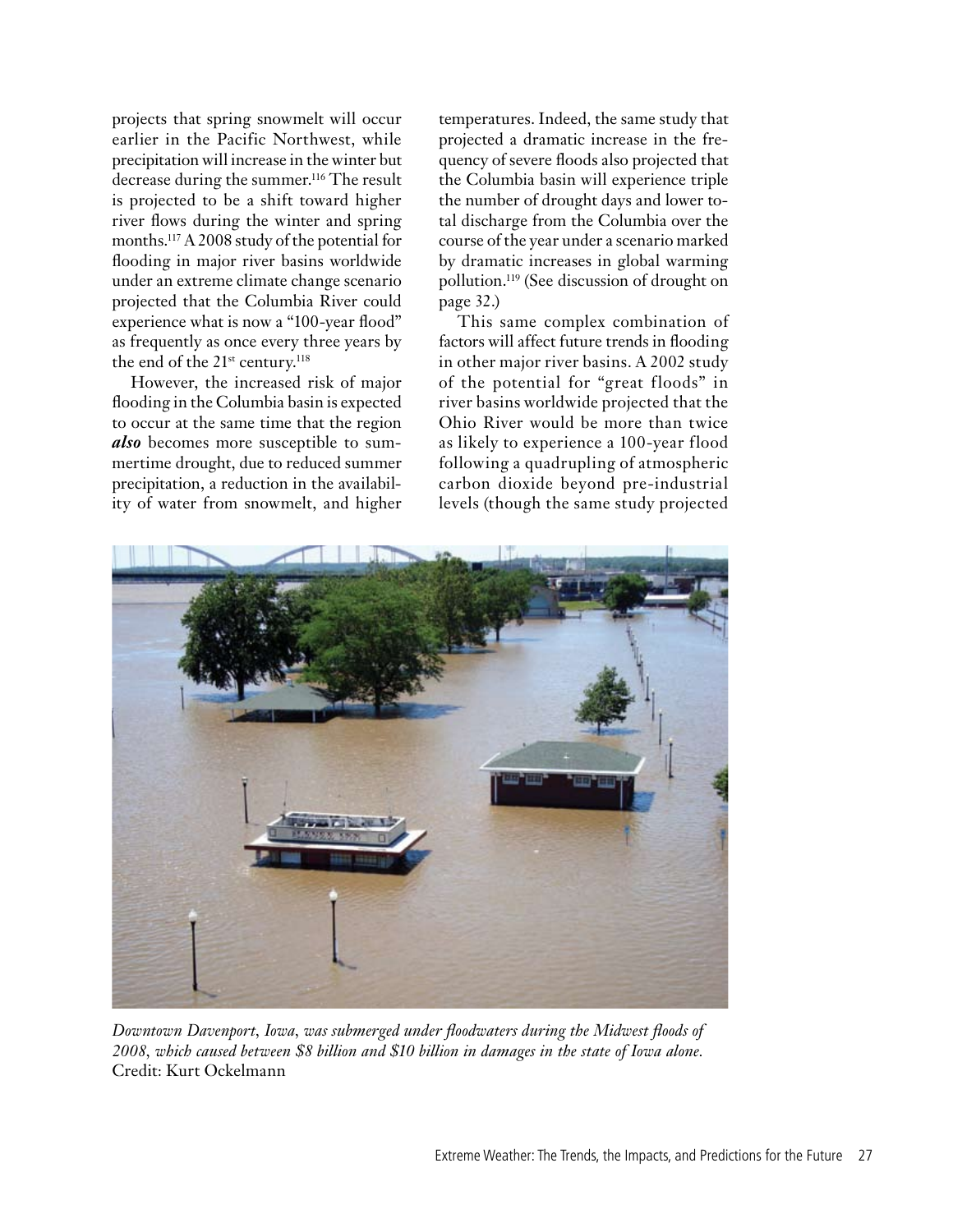projects that spring snowmelt will occur earlier in the Pacific Northwest, while precipitation will increase in the winter but decrease during the summer.<sup>116</sup> The result is projected to be a shift toward higher river flows during the winter and spring months.117 A 2008 study of the potential for flooding in major river basins worldwide under an extreme climate change scenario projected that the Columbia River could experience what is now a "100-year flood" as frequently as once every three years by the end of the 21<sup>st</sup> century.<sup>118</sup>

However, the increased risk of major flooding in the Columbia basin is expected to occur at the same time that the region *also* becomes more susceptible to summertime drought, due to reduced summer precipitation, a reduction in the availability of water from snowmelt, and higher temperatures. Indeed, the same study that projected a dramatic increase in the frequency of severe floods also projected that the Columbia basin will experience triple the number of drought days and lower total discharge from the Columbia over the course of the year under a scenario marked by dramatic increases in global warming pollution.119 (See discussion of drought on page 32.)

This same complex combination of factors will affect future trends in flooding in other major river basins. A 2002 study of the potential for "great floods" in river basins worldwide projected that the Ohio River would be more than twice as likely to experience a 100-year flood following a quadrupling of atmospheric carbon dioxide beyond pre-industrial levels (though the same study projected



*Downtown Davenport, Iowa, was submerged under floodwaters during the Midwest floods of 2008, which caused between \$8 billion and \$10 billion in damages in the state of Iowa alone.*  Credit: Kurt Ockelmann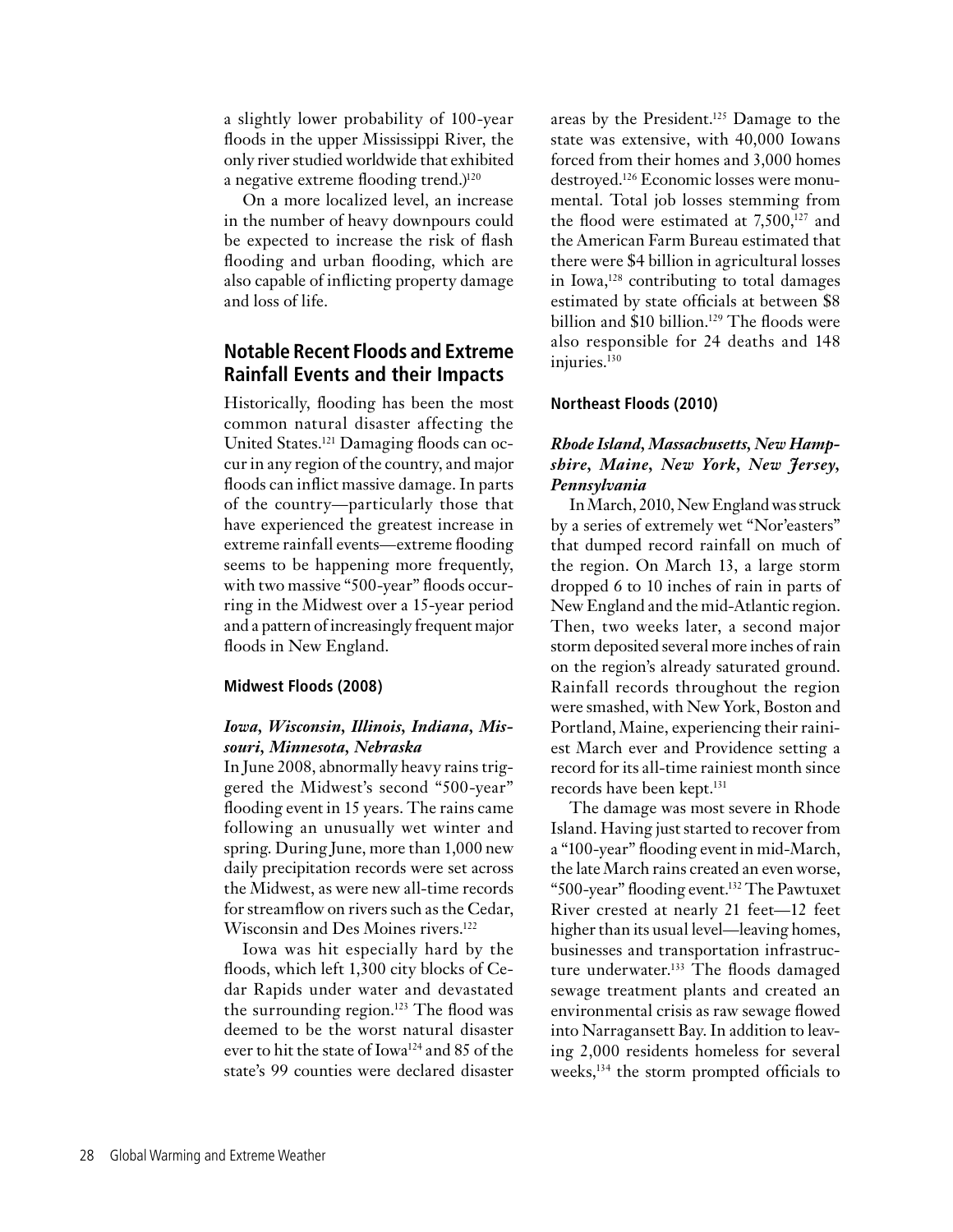a slightly lower probability of 100-year floods in the upper Mississippi River, the only river studied worldwide that exhibited a negative extreme flooding trend.)<sup>120</sup>

On a more localized level, an increase in the number of heavy downpours could be expected to increase the risk of flash flooding and urban flooding, which are also capable of inflicting property damage and loss of life.

## **Notable Recent Floods and Extreme Rainfall Events and their Impacts**

Historically, flooding has been the most common natural disaster affecting the United States.121 Damaging floods can occur in any region of the country, and major floods can inflict massive damage. In parts of the country—particularly those that have experienced the greatest increase in extreme rainfall events—extreme flooding seems to be happening more frequently, with two massive "500-year" floods occurring in the Midwest over a 15-year period and a pattern of increasingly frequent major floods in New England.

### **Midwest Floods (2008)**

## *Iowa, Wisconsin, Illinois, Indiana, Missouri, Minnesota, Nebraska*

In June 2008, abnormally heavy rains triggered the Midwest's second "500-year" flooding event in 15 years. The rains came following an unusually wet winter and spring. During June, more than 1,000 new daily precipitation records were set across the Midwest, as were new all-time records for streamflow on rivers such as the Cedar, Wisconsin and Des Moines rivers.122

Iowa was hit especially hard by the floods, which left 1,300 city blocks of Cedar Rapids under water and devastated the surrounding region.<sup>123</sup> The flood was deemed to be the worst natural disaster ever to hit the state of Iowa124 and 85 of the state's 99 counties were declared disaster

areas by the President.<sup>125</sup> Damage to the state was extensive, with 40,000 Iowans forced from their homes and 3,000 homes destroyed.126 Economic losses were monumental. Total job losses stemming from the flood were estimated at  $7,500$ ,<sup>127</sup> and the American Farm Bureau estimated that there were \$4 billion in agricultural losses in Iowa,<sup>128</sup> contributing to total damages estimated by state officials at between \$8 billion and \$10 billion.<sup>129</sup> The floods were also responsible for 24 deaths and 148 injuries.<sup>130</sup>

## **Northeast Floods (2010)**

## *Rhode Island, Massachusetts, New Hampshire, Maine, New York, New Jersey, Pennsylvania*

In March, 2010, New England was struck by a series of extremely wet "Nor'easters" that dumped record rainfall on much of the region. On March 13, a large storm dropped 6 to 10 inches of rain in parts of New England and the mid-Atlantic region. Then, two weeks later, a second major storm deposited several more inches of rain on the region's already saturated ground. Rainfall records throughout the region were smashed, with New York, Boston and Portland, Maine, experiencing their rainiest March ever and Providence setting a record for its all-time rainiest month since records have been kept.<sup>131</sup>

The damage was most severe in Rhode Island. Having just started to recover from a "100-year" flooding event in mid-March, the late March rains created an even worse, "500-year" flooding event.132 The Pawtuxet River crested at nearly 21 feet—12 feet higher than its usual level—leaving homes, businesses and transportation infrastructure underwater.<sup>133</sup> The floods damaged sewage treatment plants and created an environmental crisis as raw sewage flowed into Narragansett Bay. In addition to leaving 2,000 residents homeless for several weeks,134 the storm prompted officials to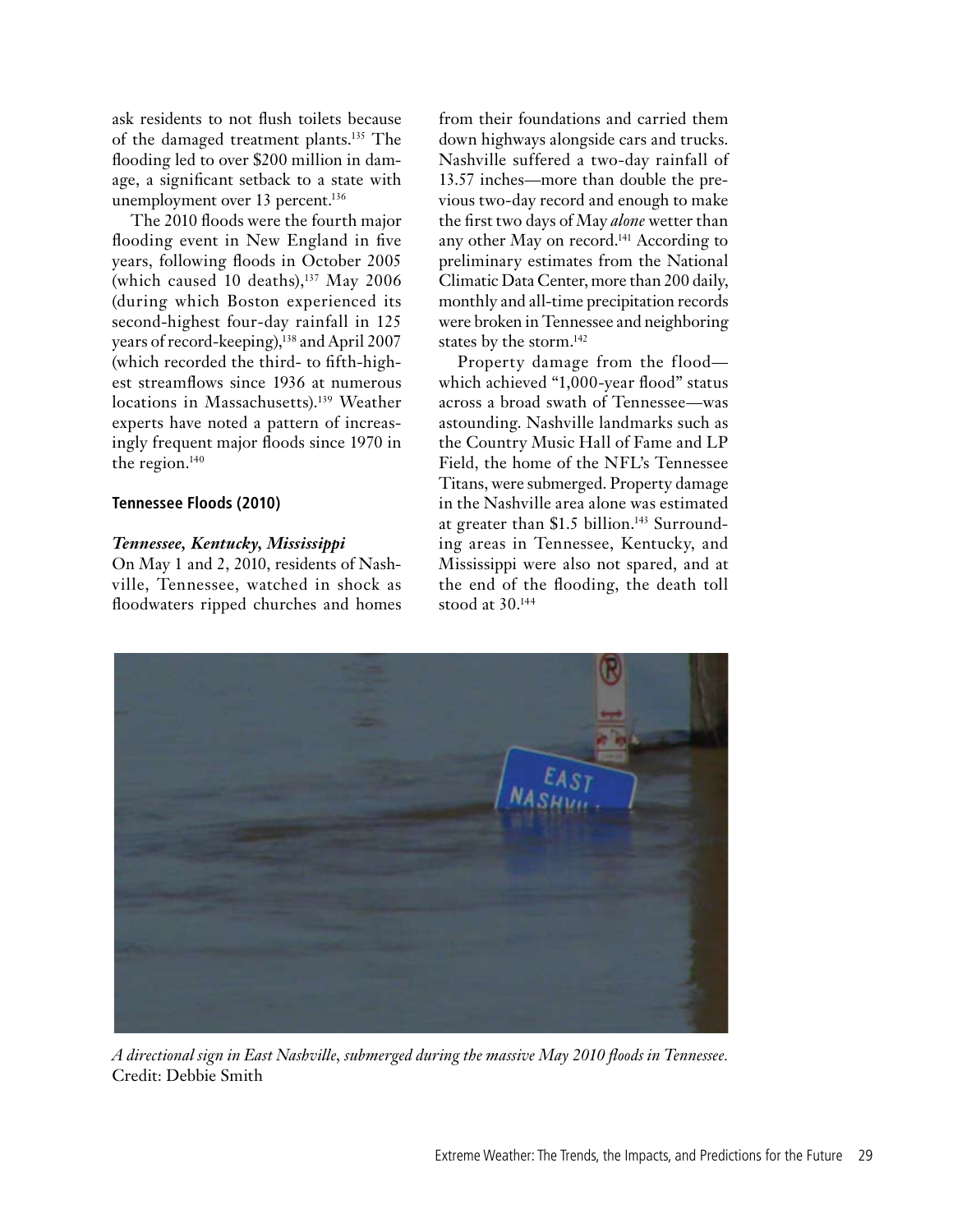ask residents to not flush toilets because of the damaged treatment plants.135 The flooding led to over \$200 million in damage, a significant setback to a state with unemployment over 13 percent.<sup>136</sup>

The 2010 floods were the fourth major flooding event in New England in five years, following floods in October 2005 (which caused 10 deaths), $137$  May 2006 (during which Boston experienced its second-highest four-day rainfall in 125 years of record-keeping),<sup>138</sup> and April 2007 (which recorded the third- to fifth-highest streamflows since 1936 at numerous locations in Massachusetts).<sup>139</sup> Weather experts have noted a pattern of increasingly frequent major floods since 1970 in the region.<sup>140</sup>

## **Tennessee Floods (2010)**

## *Tennessee, Kentucky, Mississippi*

On May 1 and 2, 2010, residents of Nashville, Tennessee, watched in shock as floodwaters ripped churches and homes from their foundations and carried them down highways alongside cars and trucks. Nashville suffered a two-day rainfall of 13.57 inches—more than double the previous two-day record and enough to make the first two days of May *alone* wetter than any other May on record.141 According to preliminary estimates from the National Climatic Data Center, more than 200 daily, monthly and all-time precipitation records were broken in Tennessee and neighboring states by the storm.<sup>142</sup>

Property damage from the flood which achieved "1,000-year flood" status across a broad swath of Tennessee—was astounding. Nashville landmarks such as the Country Music Hall of Fame and LP Field, the home of the NFL's Tennessee Titans, were submerged. Property damage in the Nashville area alone was estimated at greater than \$1.5 billion.<sup>143</sup> Surrounding areas in Tennessee, Kentucky, and Mississippi were also not spared, and at the end of the flooding, the death toll stood at 30.144



*A directional sign in East Nashville, submerged during the massive May 2010 floods in Tennessee.*  Credit: Debbie Smith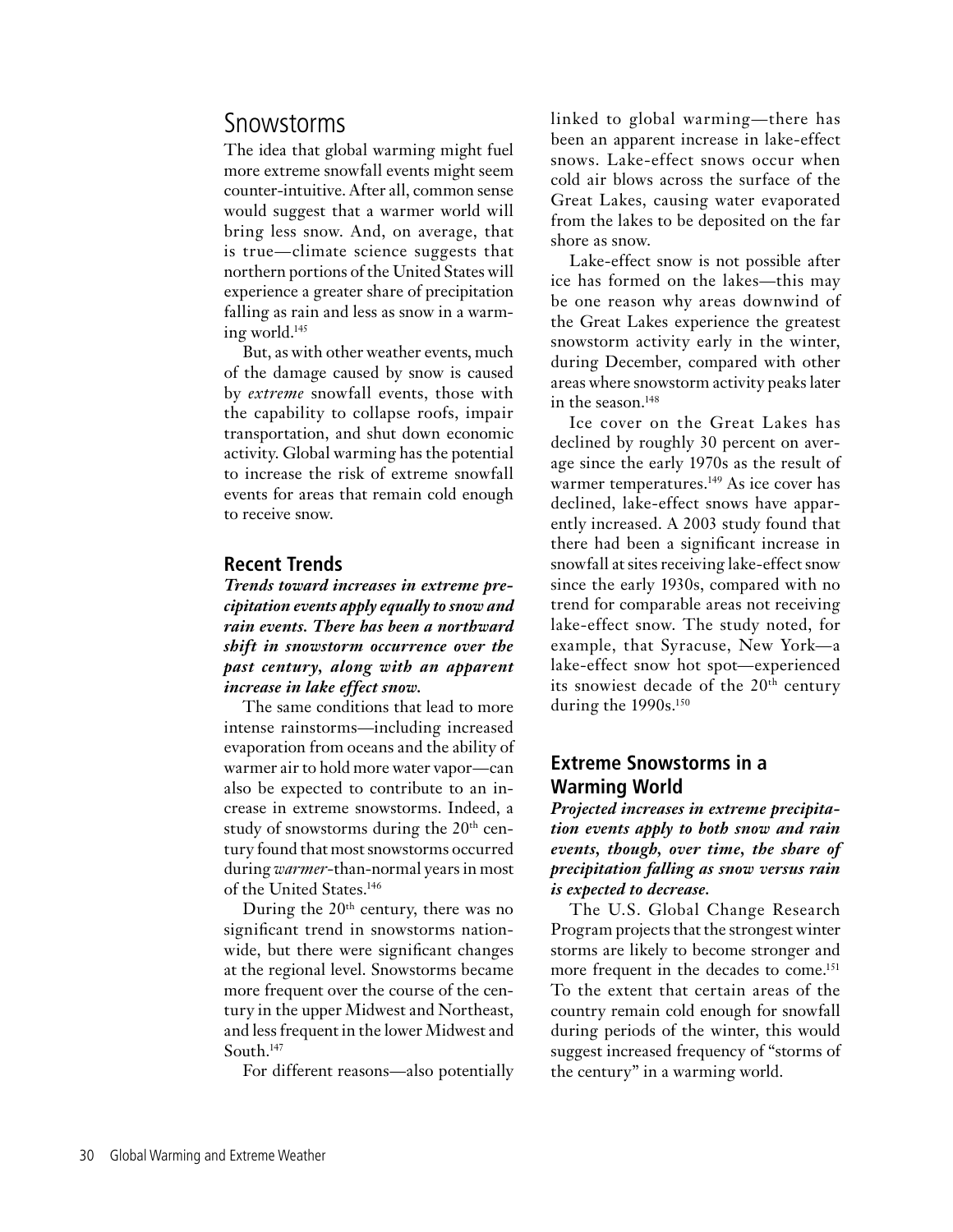## Snowstorms

The idea that global warming might fuel more extreme snowfall events might seem counter-intuitive. After all, common sense would suggest that a warmer world will bring less snow. And, on average, that is true—climate science suggests that northern portions of the United States will experience a greater share of precipitation falling as rain and less as snow in a warming world.145

But, as with other weather events, much of the damage caused by snow is caused by *extreme* snowfall events, those with the capability to collapse roofs, impair transportation, and shut down economic activity. Global warming has the potential to increase the risk of extreme snowfall events for areas that remain cold enough to receive snow.

## **Recent Trends**

*Trends toward increases in extreme precipitation events apply equally to snow and rain events. There has been a northward shift in snowstorm occurrence over the past century, along with an apparent increase in lake effect snow.*

The same conditions that lead to more intense rainstorms—including increased evaporation from oceans and the ability of warmer air to hold more water vapor—can also be expected to contribute to an increase in extreme snowstorms. Indeed, a study of snowstorms during the  $20<sup>th</sup>$  century found that most snowstorms occurred during *warmer-*than-normal years in most of the United States.<sup>146</sup>

During the  $20<sup>th</sup>$  century, there was no significant trend in snowstorms nationwide, but there were significant changes at the regional level. Snowstorms became more frequent over the course of the century in the upper Midwest and Northeast, and less frequent in the lower Midwest and South.147

For different reasons—also potentially

linked to global warming—there has been an apparent increase in lake-effect snows. Lake-effect snows occur when cold air blows across the surface of the Great Lakes, causing water evaporated from the lakes to be deposited on the far shore as snow.

Lake-effect snow is not possible after ice has formed on the lakes—this may be one reason why areas downwind of the Great Lakes experience the greatest snowstorm activity early in the winter, during December, compared with other areas where snowstorm activity peaks later in the season.<sup>148</sup>

Ice cover on the Great Lakes has declined by roughly 30 percent on average since the early 1970s as the result of warmer temperatures.<sup>149</sup> As ice cover has declined, lake-effect snows have apparently increased. A 2003 study found that there had been a significant increase in snowfall at sites receiving lake-effect snow since the early 1930s, compared with no trend for comparable areas not receiving lake-effect snow. The study noted, for example, that Syracuse, New York—a lake-effect snow hot spot—experienced its snowiest decade of the  $20<sup>th</sup>$  century during the 1990s.<sup>150</sup>

## **Extreme Snowstorms in a Warming World**

*Projected increases in extreme precipitation events apply to both snow and rain events, though, over time, the share of precipitation falling as snow versus rain is expected to decrease.*

The U.S. Global Change Research Program projects that the strongest winter storms are likely to become stronger and more frequent in the decades to come.<sup>151</sup> To the extent that certain areas of the country remain cold enough for snowfall during periods of the winter, this would suggest increased frequency of "storms of the century" in a warming world.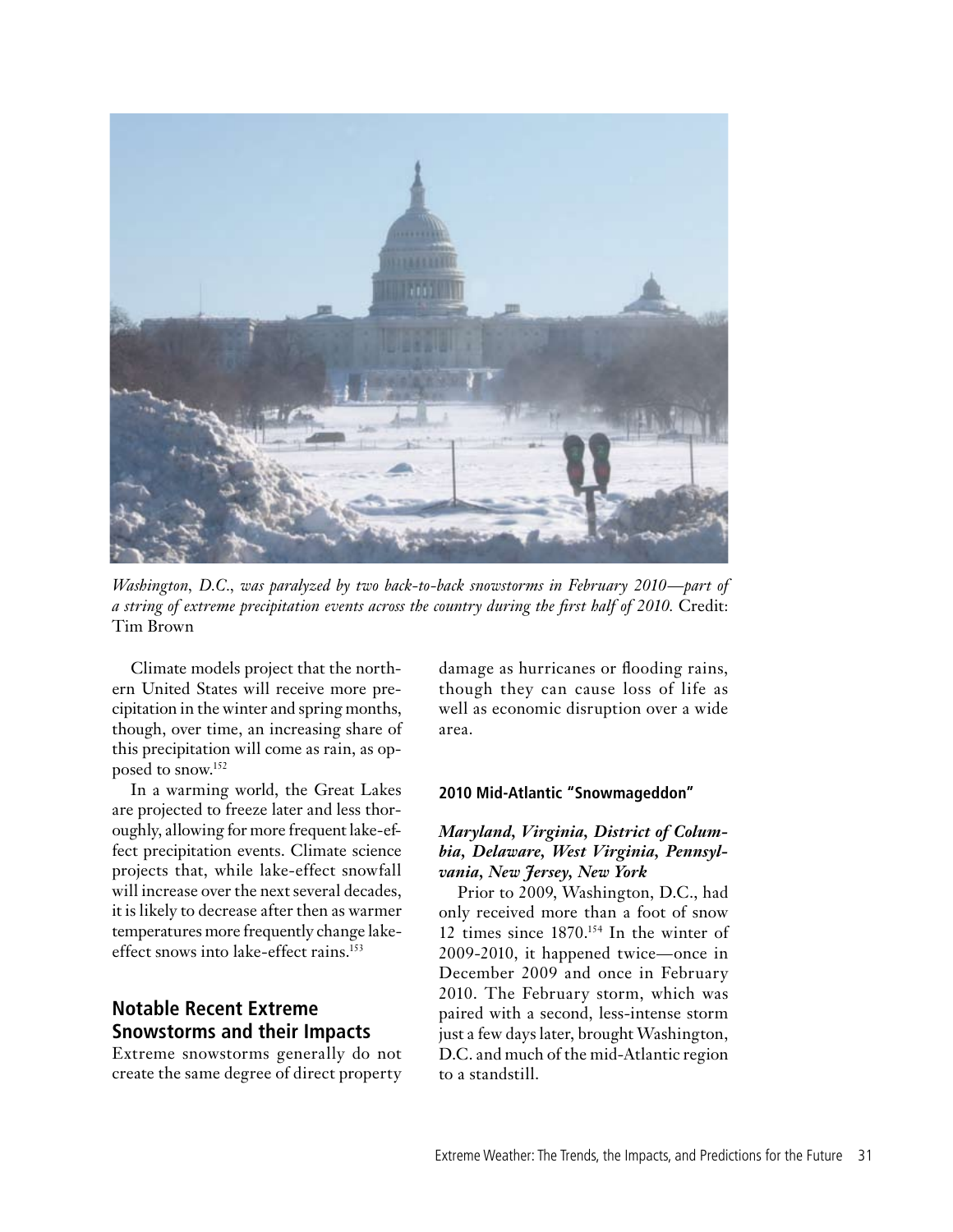

*Washington, D.C., was paralyzed by two back-to-back snowstorms in February 2010—part of a string of extreme precipitation events across the country during the first half of 2010.* Credit: Tim Brown

Climate models project that the northern United States will receive more precipitation in the winter and spring months, though, over time, an increasing share of this precipitation will come as rain, as opposed to snow.152

In a warming world, the Great Lakes are projected to freeze later and less thoroughly, allowing for more frequent lake-effect precipitation events. Climate science projects that, while lake-effect snowfall will increase over the next several decades, it is likely to decrease after then as warmer temperatures more frequently change lakeeffect snows into lake-effect rains.153

## **Notable Recent Extreme Snowstorms and their Impacts**

Extreme snowstorms generally do not create the same degree of direct property damage as hurricanes or flooding rains, though they can cause loss of life as well as economic disruption over a wide area.

### **2010 Mid-Atlantic "Snowmageddon"**

## *Maryland, Virginia, District of Columbia, Delaware, West Virginia, Pennsylvania, New Jersey, New York*

Prior to 2009, Washington, D.C., had only received more than a foot of snow 12 times since 1870.154 In the winter of 2009-2010, it happened twice—once in December 2009 and once in February 2010. The February storm, which was paired with a second, less-intense storm just a few days later, brought Washington, D.C. and much of the mid-Atlantic region to a standstill.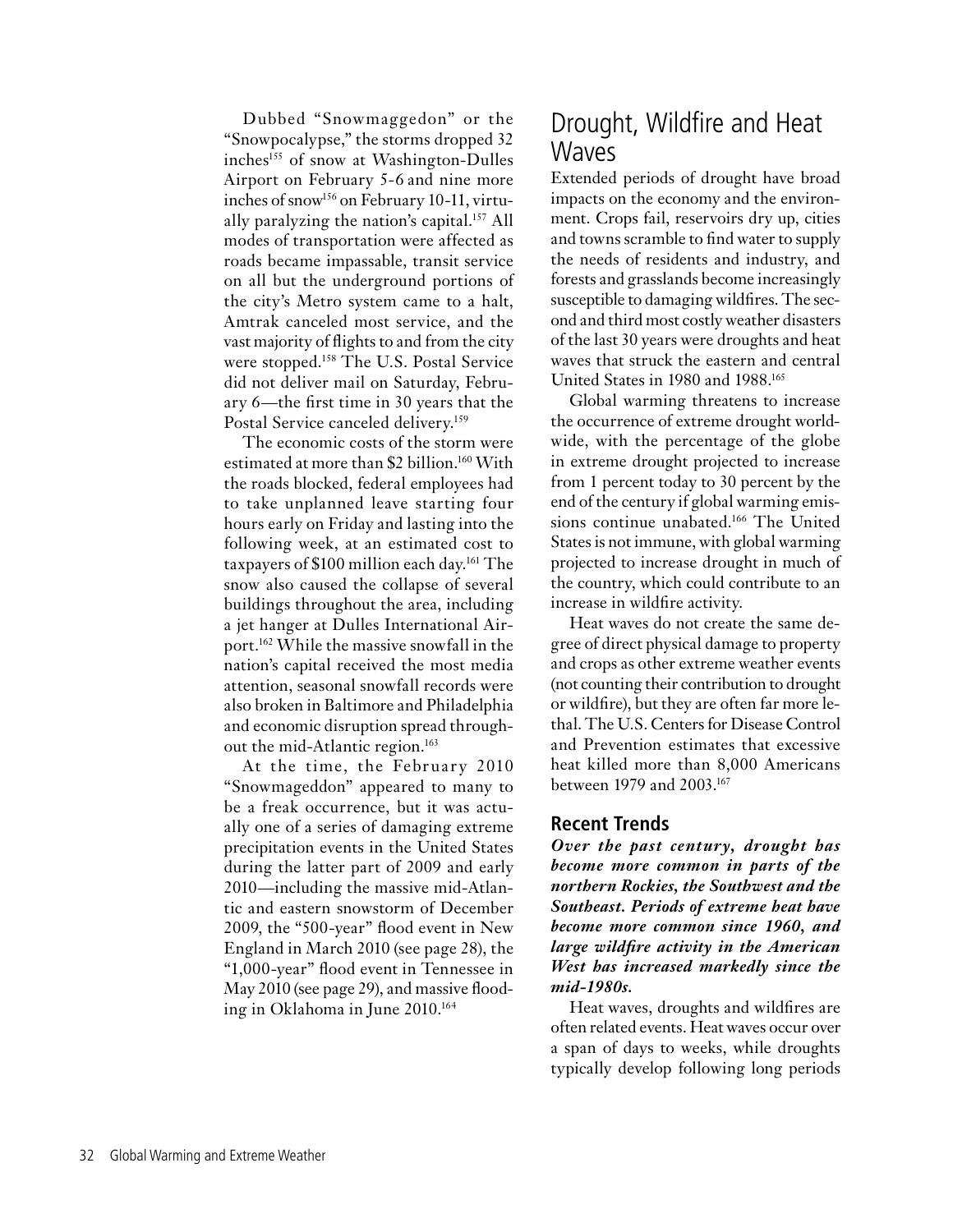Dubbed "Snowmaggedon" or the "Snowpocalypse," the storms dropped 32 inches<sup>155</sup> of snow at Washington-Dulles Airport on February 5-6 and nine more inches of snow<sup>156</sup> on February 10-11, virtually paralyzing the nation's capital.157 All modes of transportation were affected as roads became impassable, transit service on all but the underground portions of the city's Metro system came to a halt, Amtrak canceled most service, and the vast majority of flights to and from the city were stopped.158 The U.S. Postal Service did not deliver mail on Saturday, February 6—the first time in 30 years that the Postal Service canceled delivery.<sup>159</sup>

The economic costs of the storm were estimated at more than \$2 billion.<sup>160</sup> With the roads blocked, federal employees had to take unplanned leave starting four hours early on Friday and lasting into the following week, at an estimated cost to taxpayers of \$100 million each day.<sup>161</sup> The snow also caused the collapse of several buildings throughout the area, including a jet hanger at Dulles International Airport.162 While the massive snowfall in the nation's capital received the most media attention, seasonal snowfall records were also broken in Baltimore and Philadelphia and economic disruption spread throughout the mid-Atlantic region.<sup>163</sup>

At the time, the February 2010 "Snowmageddon" appeared to many to be a freak occurrence, but it was actually one of a series of damaging extreme precipitation events in the United States during the latter part of 2009 and early 2010—including the massive mid-Atlantic and eastern snowstorm of December 2009, the "500-year" flood event in New England in March 2010 (see page 28), the "1,000-year" flood event in Tennessee in May 2010 (see page 29), and massive flooding in Oklahoma in June 2010.164

## Drought, Wildfire and Heat **Waves**

Extended periods of drought have broad impacts on the economy and the environment. Crops fail, reservoirs dry up, cities and towns scramble to find water to supply the needs of residents and industry, and forests and grasslands become increasingly susceptible to damaging wildfires. The second and third most costly weather disasters of the last 30 years were droughts and heat waves that struck the eastern and central United States in 1980 and 1988.<sup>165</sup>

Global warming threatens to increase the occurrence of extreme drought worldwide, with the percentage of the globe in extreme drought projected to increase from 1 percent today to 30 percent by the end of the century if global warming emissions continue unabated.<sup>166</sup> The United States is not immune, with global warming projected to increase drought in much of the country, which could contribute to an increase in wildfire activity.

Heat waves do not create the same degree of direct physical damage to property and crops as other extreme weather events (not counting their contribution to drought or wildfire), but they are often far more lethal. The U.S. Centers for Disease Control and Prevention estimates that excessive heat killed more than 8,000 Americans between 1979 and 2003.167

## **Recent Trends**

*Over the past century, drought has become more common in parts of the northern Rockies, the Southwest and the Southeast. Periods of extreme heat have become more common since 1960, and large wildfire activity in the American West has increased markedly since the mid-1980s.*

Heat waves, droughts and wildfires are often related events. Heat waves occur over a span of days to weeks, while droughts typically develop following long periods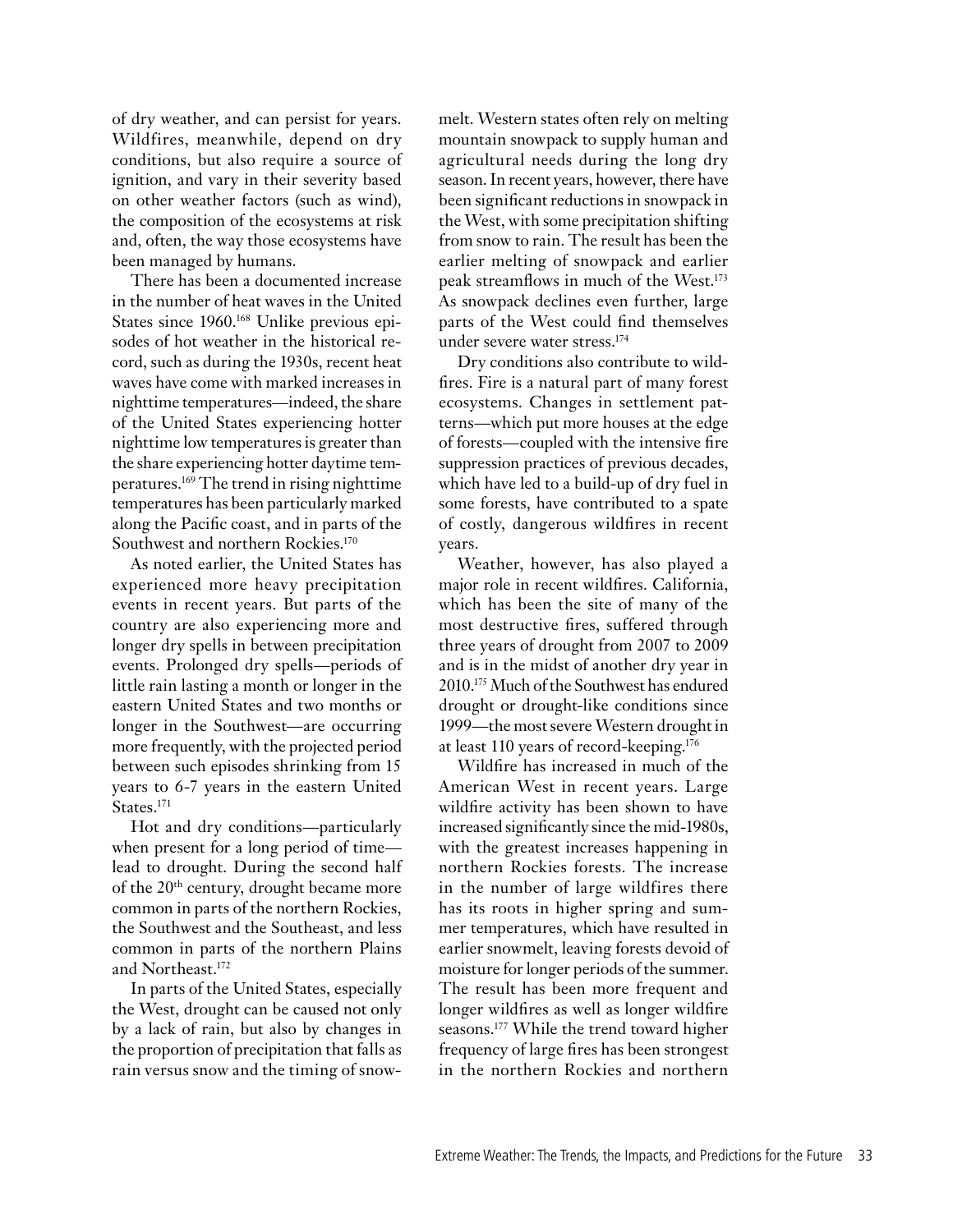of dry weather, and can persist for years. Wildfires, meanwhile, depend on dry conditions, but also require a source of ignition, and vary in their severity based on other weather factors (such as wind), the composition of the ecosystems at risk and, often, the way those ecosystems have been managed by humans.

There has been a documented increase in the number of heat waves in the United States since 1960.<sup>168</sup> Unlike previous episodes of hot weather in the historical record, such as during the 1930s, recent heat waves have come with marked increases in nighttime temperatures—indeed, the share of the United States experiencing hotter nighttime low temperatures is greater than the share experiencing hotter daytime temperatures.169 The trend in rising nighttime temperatures has been particularly marked along the Pacific coast, and in parts of the Southwest and northern Rockies.<sup>170</sup>

As noted earlier, the United States has experienced more heavy precipitation events in recent years. But parts of the country are also experiencing more and longer dry spells in between precipitation events. Prolonged dry spells—periods of little rain lasting a month or longer in the eastern United States and two months or longer in the Southwest—are occurring more frequently, with the projected period between such episodes shrinking from 15 years to 6-7 years in the eastern United States. 171

Hot and dry conditions—particularly when present for a long period of time lead to drought. During the second half of the 20th century, drought became more common in parts of the northern Rockies, the Southwest and the Southeast, and less common in parts of the northern Plains and Northeast.172

In parts of the United States, especially the West, drought can be caused not only by a lack of rain, but also by changes in the proportion of precipitation that falls as rain versus snow and the timing of snowmelt. Western states often rely on melting mountain snowpack to supply human and agricultural needs during the long dry season. In recent years, however, there have been significant reductions in snowpack in the West, with some precipitation shifting from snow to rain. The result has been the earlier melting of snowpack and earlier peak streamflows in much of the West.173 As snowpack declines even further, large parts of the West could find themselves under severe water stress.174

Dry conditions also contribute to wildfires. Fire is a natural part of many forest ecosystems. Changes in settlement patterns—which put more houses at the edge of forests—coupled with the intensive fire suppression practices of previous decades, which have led to a build-up of dry fuel in some forests, have contributed to a spate of costly, dangerous wildfires in recent years.

Weather, however, has also played a major role in recent wildfires. California, which has been the site of many of the most destructive fires, suffered through three years of drought from 2007 to 2009 and is in the midst of another dry year in 2010.175 Much of the Southwest has endured drought or drought-like conditions since 1999—the most severe Western drought in at least 110 years of record-keeping.176

Wildfire has increased in much of the American West in recent years. Large wildfire activity has been shown to have increased significantly since the mid-1980s, with the greatest increases happening in northern Rockies forests. The increase in the number of large wildfires there has its roots in higher spring and summer temperatures, which have resulted in earlier snowmelt, leaving forests devoid of moisture for longer periods of the summer. The result has been more frequent and longer wildfires as well as longer wildfire seasons.177 While the trend toward higher frequency of large fires has been strongest in the northern Rockies and northern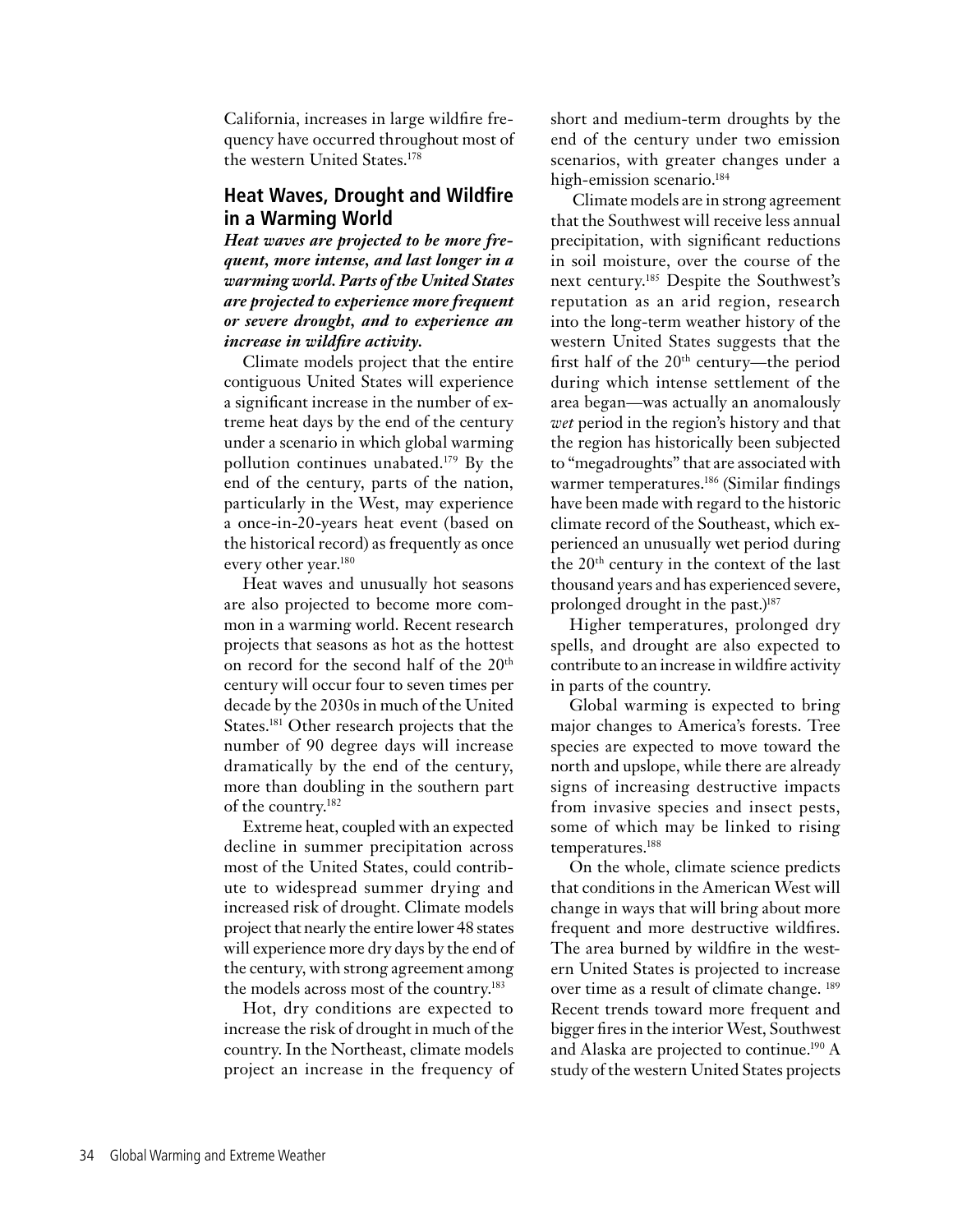California, increases in large wildfire frequency have occurred throughout most of the western United States. 178

## **Heat Waves, Drought and Wildfire in a Warming World**

*Heat waves are projected to be more frequent, more intense, and last longer in a warming world. Parts of the United States are projected to experience more frequent or severe drought, and to experience an increase in wildfire activity.*

Climate models project that the entire contiguous United States will experience a significant increase in the number of extreme heat days by the end of the century under a scenario in which global warming pollution continues unabated.179 By the end of the century, parts of the nation, particularly in the West, may experience a once-in-20-years heat event (based on the historical record) as frequently as once every other year.180

Heat waves and unusually hot seasons are also projected to become more common in a warming world. Recent research projects that seasons as hot as the hottest on record for the second half of the 20th century will occur four to seven times per decade by the 2030s in much of the United States.<sup>181</sup> Other research projects that the number of 90 degree days will increase dramatically by the end of the century, more than doubling in the southern part of the country. 182

Extreme heat, coupled with an expected decline in summer precipitation across most of the United States, could contribute to widespread summer drying and increased risk of drought. Climate models project that nearly the entire lower 48 states will experience more dry days by the end of the century, with strong agreement among the models across most of the country.<sup>183</sup>

Hot, dry conditions are expected to increase the risk of drought in much of the country. In the Northeast, climate models project an increase in the frequency of short and medium-term droughts by the end of the century under two emission scenarios, with greater changes under a high-emission scenario.<sup>184</sup>

 Climate models are in strong agreement that the Southwest will receive less annual precipitation, with significant reductions in soil moisture, over the course of the next century.185 Despite the Southwest's reputation as an arid region, research into the long-term weather history of the western United States suggests that the first half of the  $20<sup>th</sup>$  century—the period during which intense settlement of the area began—was actually an anomalously *wet* period in the region's history and that the region has historically been subjected to "megadroughts" that are associated with warmer temperatures.<sup>186</sup> (Similar findings have been made with regard to the historic climate record of the Southeast, which experienced an unusually wet period during the 20th century in the context of the last thousand years and has experienced severe, prolonged drought in the past.)<sup>187</sup>

Higher temperatures, prolonged dry spells, and drought are also expected to contribute to an increase in wildfire activity in parts of the country.

Global warming is expected to bring major changes to America's forests. Tree species are expected to move toward the north and upslope, while there are already signs of increasing destructive impacts from invasive species and insect pests, some of which may be linked to rising temperatures.188

On the whole, climate science predicts that conditions in the American West will change in ways that will bring about more frequent and more destructive wildfires. The area burned by wildfire in the western United States is projected to increase over time as a result of climate change. 189 Recent trends toward more frequent and bigger fires in the interior West, Southwest and Alaska are projected to continue.190 A study of the western United States projects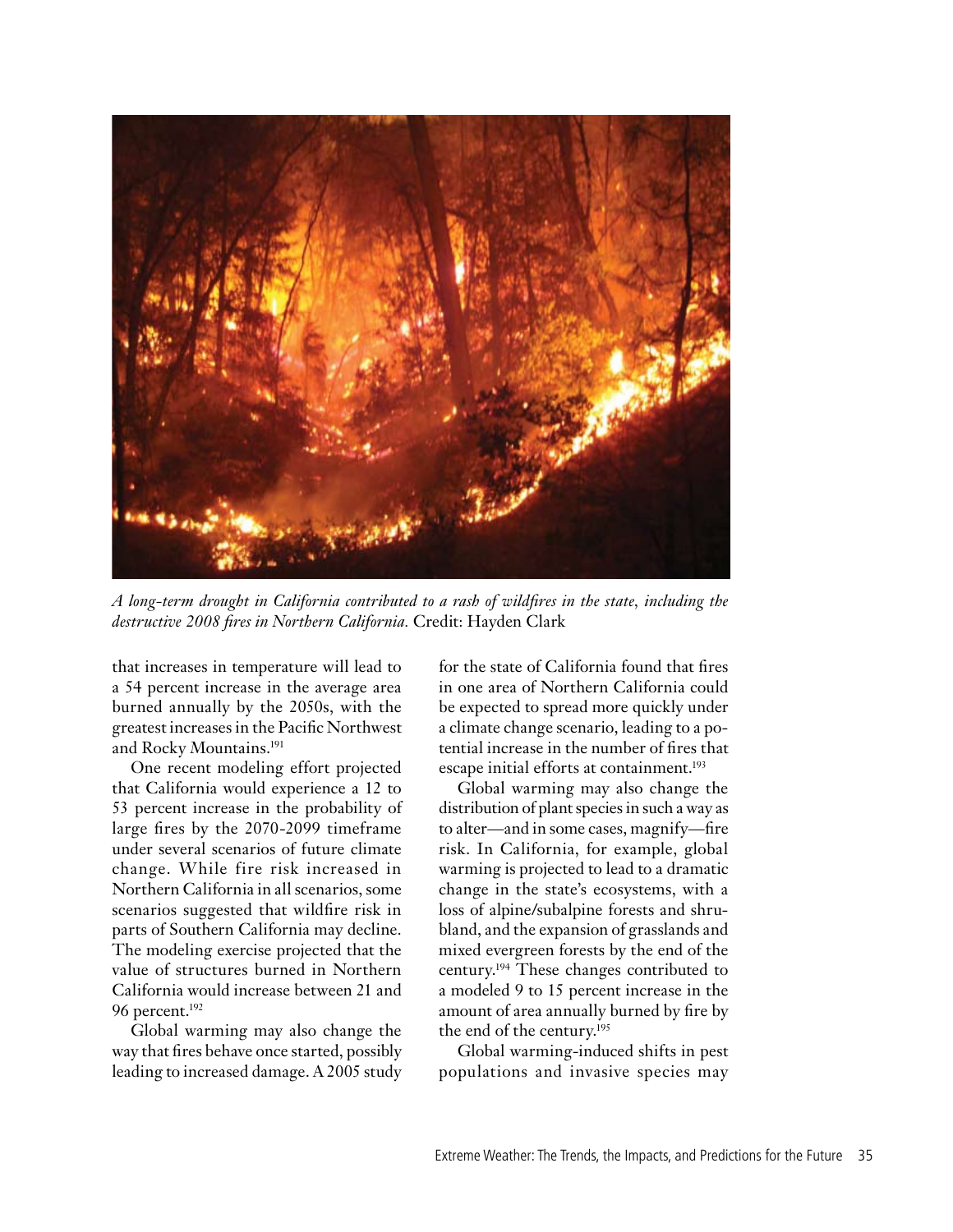

*A long-term drought in California contributed to a rash of wildfires in the state, including the destructive 2008 fires in Northern California.* Credit: Hayden Clark

that increases in temperature will lead to a 54 percent increase in the average area burned annually by the 2050s, with the greatest increases in the Pacific Northwest and Rocky Mountains.191

One recent modeling effort projected that California would experience a 12 to 53 percent increase in the probability of large fires by the 2070-2099 timeframe under several scenarios of future climate change. While fire risk increased in Northern California in all scenarios, some scenarios suggested that wildfire risk in parts of Southern California may decline. The modeling exercise projected that the value of structures burned in Northern California would increase between 21 and 96 percent.192

Global warming may also change the way that fires behave once started, possibly leading to increased damage. A 2005 study for the state of California found that fires in one area of Northern California could be expected to spread more quickly under a climate change scenario, leading to a potential increase in the number of fires that escape initial efforts at containment.<sup>193</sup>

Global warming may also change the distribution of plant species in such a way as to alter—and in some cases, magnify—fire risk. In California, for example, global warming is projected to lead to a dramatic change in the state's ecosystems, with a loss of alpine/subalpine forests and shrubland, and the expansion of grasslands and mixed evergreen forests by the end of the century.194 These changes contributed to a modeled 9 to 15 percent increase in the amount of area annually burned by fire by the end of the century.195

Global warming-induced shifts in pest populations and invasive species may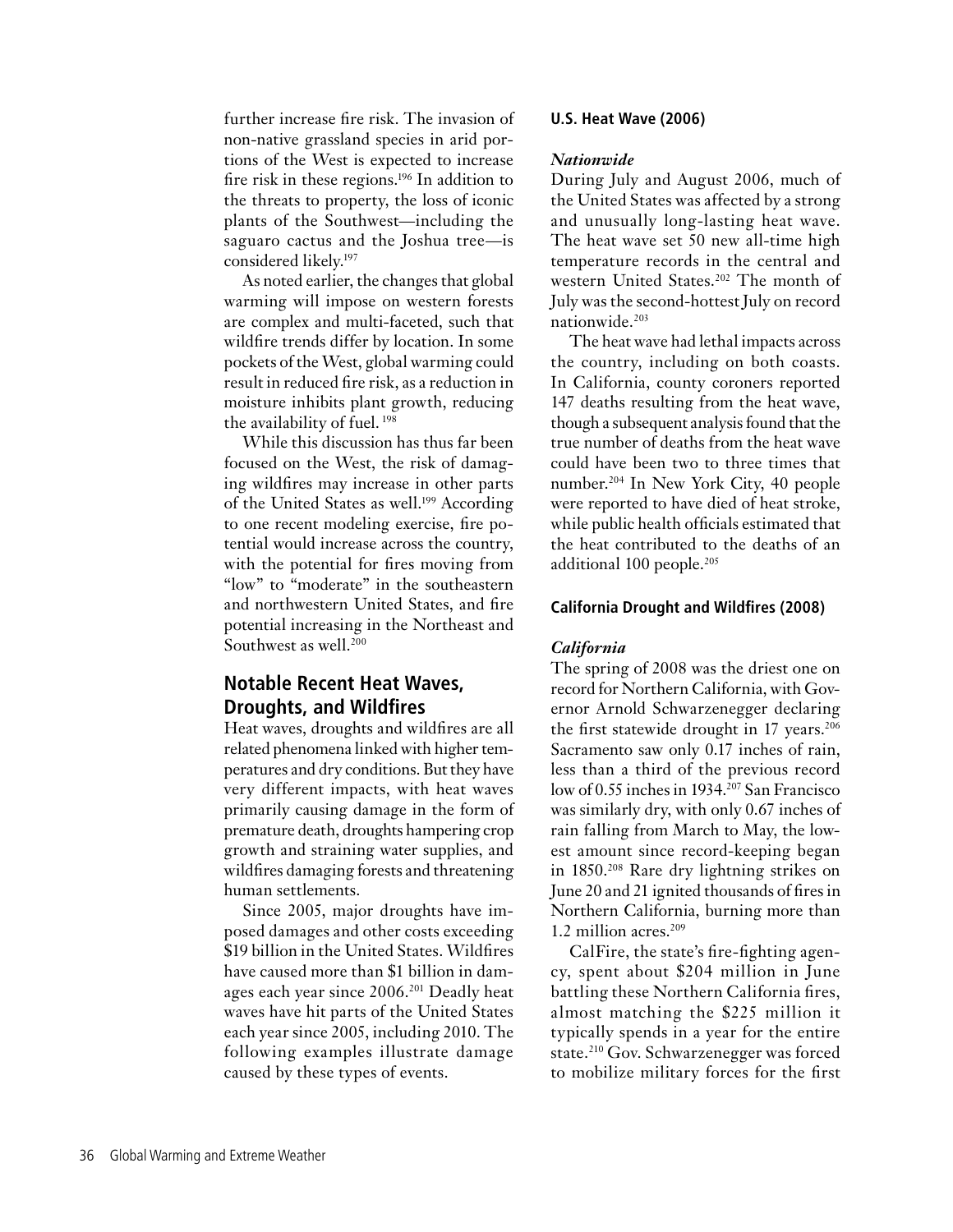further increase fire risk. The invasion of non-native grassland species in arid portions of the West is expected to increase fire risk in these regions.196 In addition to the threats to property, the loss of iconic plants of the Southwest—including the saguaro cactus and the Joshua tree—is considered likely.197

As noted earlier, the changes that global warming will impose on western forests are complex and multi-faceted, such that wildfire trends differ by location. In some pockets of the West, global warming could result in reduced fire risk, as a reduction in moisture inhibits plant growth, reducing the availability of fuel. 198

While this discussion has thus far been focused on the West, the risk of damaging wildfires may increase in other parts of the United States as well.<sup>199</sup> According to one recent modeling exercise, fire potential would increase across the country, with the potential for fires moving from "low" to "moderate" in the southeastern and northwestern United States, and fire potential increasing in the Northeast and Southwest as well.<sup>200</sup>

## **Notable Recent Heat Waves, Droughts, and Wildfires**

Heat waves, droughts and wildfires are all related phenomena linked with higher temperatures and dry conditions. But they have very different impacts, with heat waves primarily causing damage in the form of premature death, droughts hampering crop growth and straining water supplies, and wildfires damaging forests and threatening human settlements.

Since 2005, major droughts have imposed damages and other costs exceeding \$19 billion in the United States. Wildfires have caused more than \$1 billion in damages each year since 2006.201 Deadly heat waves have hit parts of the United States each year since 2005, including 2010. The following examples illustrate damage caused by these types of events.

## **U.S. Heat Wave (2006)**

#### *Nationwide*

During July and August 2006, much of the United States was affected by a strong and unusually long-lasting heat wave. The heat wave set 50 new all-time high temperature records in the central and western United States.<sup>202</sup> The month of July was the second-hottest July on record nationwide.203

The heat wave had lethal impacts across the country, including on both coasts. In California, county coroners reported 147 deaths resulting from the heat wave, though a subsequent analysis found that the true number of deaths from the heat wave could have been two to three times that number.204 In New York City, 40 people were reported to have died of heat stroke, while public health officials estimated that the heat contributed to the deaths of an additional 100 people.<sup>205</sup>

#### **California Drought and Wildfires (2008)**

### *California*

The spring of 2008 was the driest one on record for Northern California, with Governor Arnold Schwarzenegger declaring the first statewide drought in 17 years.<sup>206</sup> Sacramento saw only 0.17 inches of rain, less than a third of the previous record low of 0.55 inches in 1934.207 San Francisco was similarly dry, with only 0.67 inches of rain falling from March to May, the lowest amount since record-keeping began in 1850.208 Rare dry lightning strikes on June 20 and 21 ignited thousands of fires in Northern California, burning more than 1.2 million acres.<sup>209</sup>

CalFire, the state's fire-fighting agency, spent about \$204 million in June battling these Northern California fires, almost matching the \$225 million it typically spends in a year for the entire state.<sup>210</sup> Gov. Schwarzenegger was forced to mobilize military forces for the first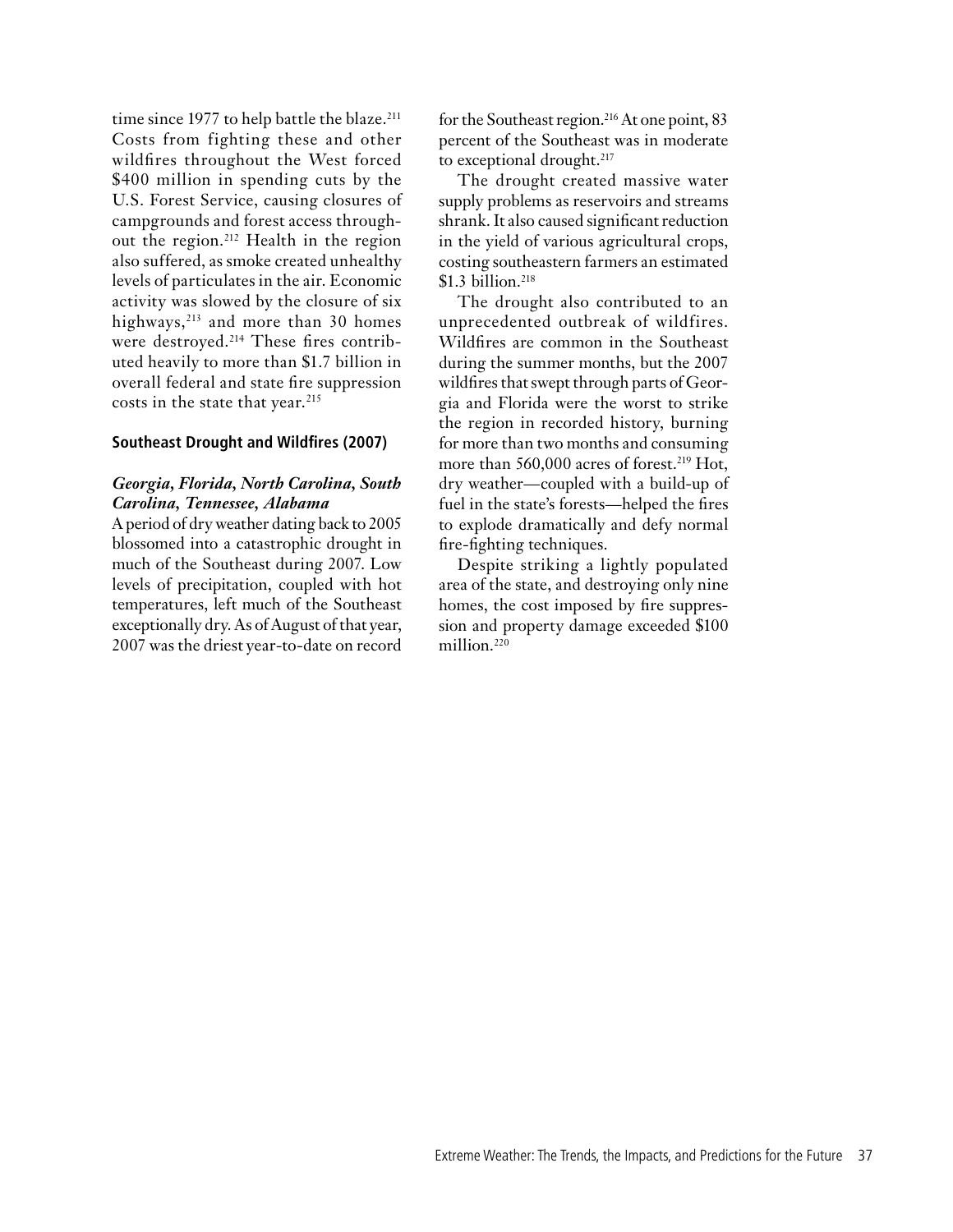time since 1977 to help battle the blaze.<sup>211</sup> Costs from fighting these and other wildfires throughout the West forced \$400 million in spending cuts by the U.S. Forest Service, causing closures of campgrounds and forest access throughout the region.212 Health in the region also suffered, as smoke created unhealthy levels of particulates in the air. Economic activity was slowed by the closure of six highways, $213$  and more than 30 homes were destroyed.<sup>214</sup> These fires contributed heavily to more than \$1.7 billion in overall federal and state fire suppression costs in the state that year. 215

### **Southeast Drought and Wildfires (2007)**

## *Georgia, Florida, North Carolina, South Carolina, Tennessee, Alabama*

A period of dry weather dating back to 2005 blossomed into a catastrophic drought in much of the Southeast during 2007. Low levels of precipitation, coupled with hot temperatures, left much of the Southeast exceptionally dry. As of August of that year, 2007 was the driest year-to-date on record for the Southeast region.<sup>216</sup> At one point, 83 percent of the Southeast was in moderate to exceptional drought.<sup>217</sup>

The drought created massive water supply problems as reservoirs and streams shrank. It also caused significant reduction in the yield of various agricultural crops, costing southeastern farmers an estimated \$1.3 billion.<sup>218</sup>

The drought also contributed to an unprecedented outbreak of wildfires. Wildfires are common in the Southeast during the summer months, but the 2007 wildfires that swept through parts of Georgia and Florida were the worst to strike the region in recorded history, burning for more than two months and consuming more than 560,000 acres of forest.<sup>219</sup> Hot, dry weather—coupled with a build-up of fuel in the state's forests—helped the fires to explode dramatically and defy normal fire-fighting techniques.

Despite striking a lightly populated area of the state, and destroying only nine homes, the cost imposed by fire suppression and property damage exceeded \$100 million.<sup>220</sup>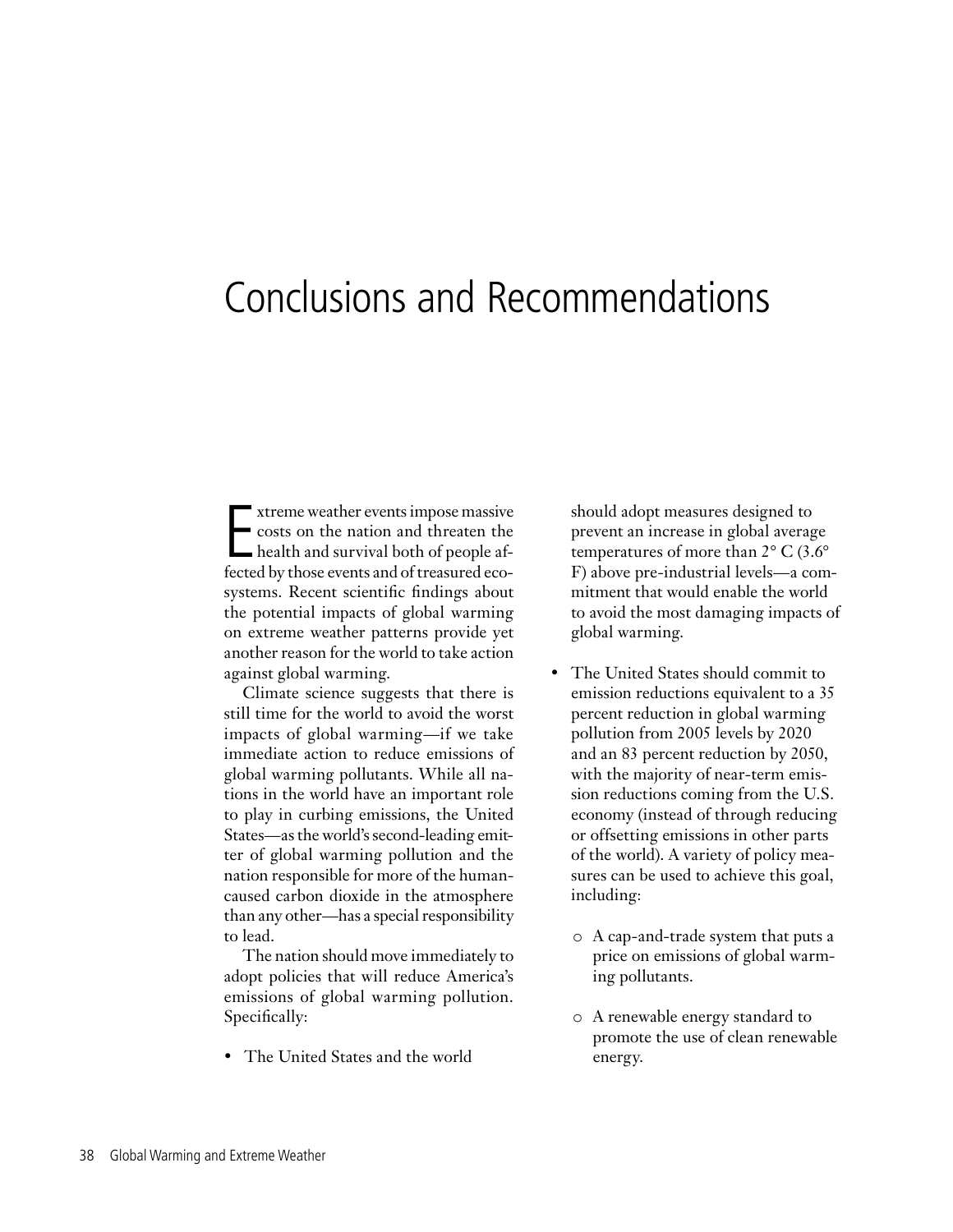# Conclusions and Recommendations

Extreme weather events impose massive<br>
costs on the nation and threaten the<br>
health and survival both of people af-<br>
fected by those events and of treesured aco xtreme weather events impose massive costs on the nation and threaten the fected by those events and of treasured ecosystems. Recent scientific findings about the potential impacts of global warming on extreme weather patterns provide yet another reason for the world to take action against global warming.

Climate science suggests that there is still time for the world to avoid the worst impacts of global warming—if we take immediate action to reduce emissions of global warming pollutants. While all nations in the world have an important role to play in curbing emissions, the United States—as the world's second-leading emitter of global warming pollution and the nation responsible for more of the humancaused carbon dioxide in the atmosphere than any other—has a special responsibility to lead.

The nation should move immediately to adopt policies that will reduce America's emissions of global warming pollution. Specifically:

• The United States and the world

should adopt measures designed to prevent an increase in global average temperatures of more than 2° C (3.6° F) above pre-industrial levels—a commitment that would enable the world to avoid the most damaging impacts of global warming.

- The United States should commit to emission reductions equivalent to a 35 percent reduction in global warming pollution from 2005 levels by 2020 and an 83 percent reduction by 2050, with the majority of near-term emission reductions coming from the U.S. economy (instead of through reducing or offsetting emissions in other parts of the world). A variety of policy measures can be used to achieve this goal, including:
	- o A cap-and-trade system that puts a price on emissions of global warming pollutants.
	- o A renewable energy standard to promote the use of clean renewable energy.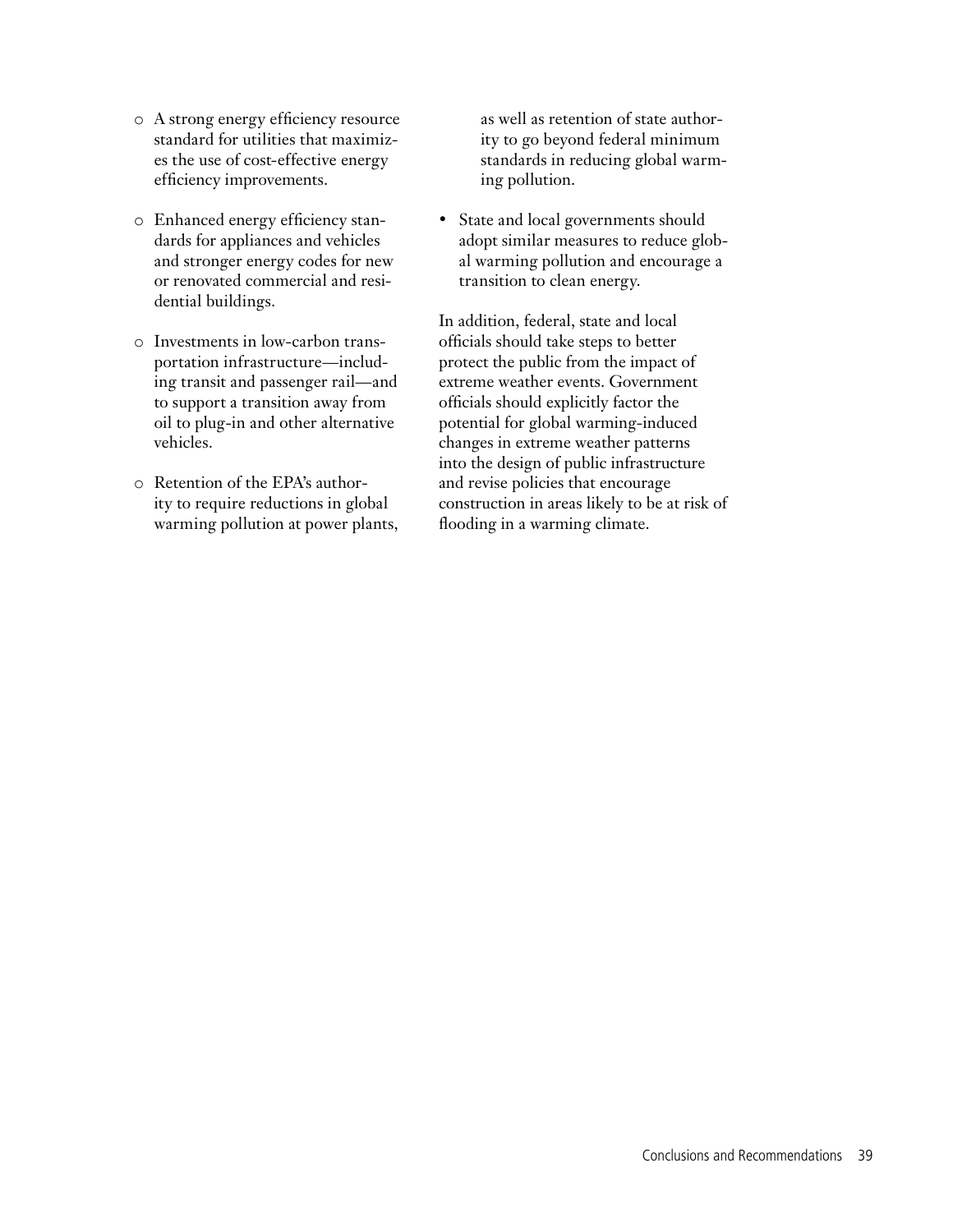- o A strong energy efficiency resource standard for utilities that maximizes the use of cost-effective energy efficiency improvements.
- o Enhanced energy efficiency standards for appliances and vehicles and stronger energy codes for new or renovated commercial and residential buildings.
- o Investments in low-carbon transportation infrastructure—including transit and passenger rail—and to support a transition away from oil to plug-in and other alternative vehicles.
- o Retention of the EPA's authority to require reductions in global warming pollution at power plants,

as well as retention of state authority to go beyond federal minimum standards in reducing global warming pollution.

• State and local governments should adopt similar measures to reduce global warming pollution and encourage a transition to clean energy.

In addition, federal, state and local officials should take steps to better protect the public from the impact of extreme weather events. Government officials should explicitly factor the potential for global warming-induced changes in extreme weather patterns into the design of public infrastructure and revise policies that encourage construction in areas likely to be at risk of flooding in a warming climate.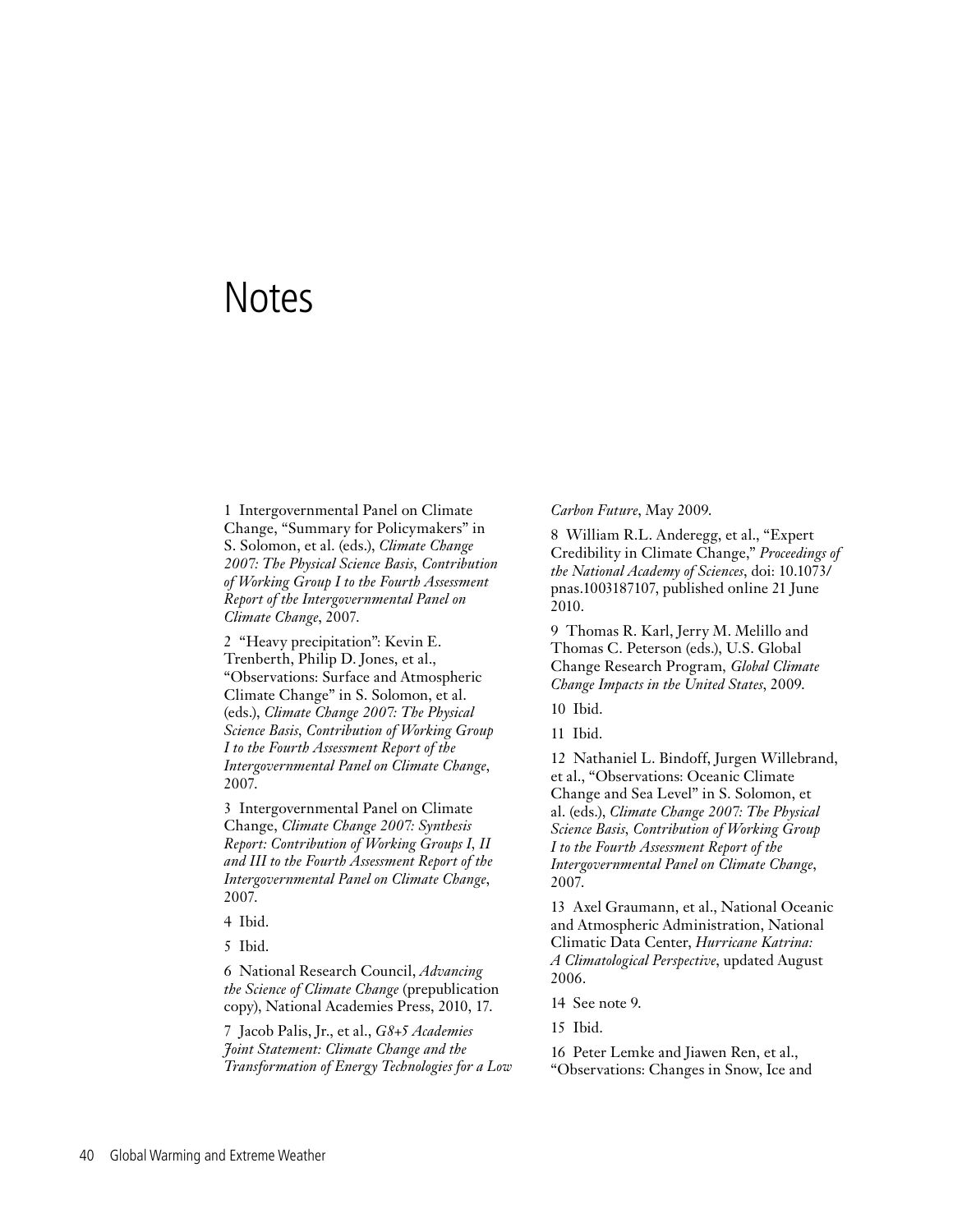## **Notes**

1 Intergovernmental Panel on Climate Change, "Summary for Policymakers" in S. Solomon, et al. (eds.), *Climate Change 2007: The Physical Science Basis, Contribution of Working Group I to the Fourth Assessment Report of the Intergovernmental Panel on Climate Change*, 2007.

2 "Heavy precipitation": Kevin E. Trenberth, Philip D. Jones, et al., "Observations: Surface and Atmospheric Climate Change" in S. Solomon, et al. (eds.), *Climate Change 2007: The Physical Science Basis, Contribution of Working Group I to the Fourth Assessment Report of the Intergovernmental Panel on Climate Change*, 2007.

3 Intergovernmental Panel on Climate Change, *Climate Change 2007: Synthesis Report: Contribution of Working Groups I, II and III to the Fourth Assessment Report of the Intergovernmental Panel on Climate Change*, 2007.

4 Ibid.

5 Ibid.

6 National Research Council, *Advancing the Science of Climate Change* (prepublication copy), National Academies Press, 2010, 17.

7 Jacob Palis, Jr., et al., *G8+5 Academies Joint Statement: Climate Change and the Transformation of Energy Technologies for a Low*  *Carbon Future*, May 2009.

8 William R.L. Anderegg, et al., "Expert Credibility in Climate Change," *Proceedings of the National Academy of Sciences*, doi: 10.1073/ pnas.1003187107, published online 21 June 2010.

9 Thomas R. Karl, Jerry M. Melillo and Thomas C. Peterson (eds.), U.S. Global Change Research Program*, Global Climate Change Impacts in the United States*, 2009.

10 Ibid.

11 Ibid.

12 Nathaniel L. Bindoff, Jurgen Willebrand, et al., "Observations: Oceanic Climate Change and Sea Level" in S. Solomon, et al. (eds.), *Climate Change 2007: The Physical Science Basis, Contribution of Working Group I to the Fourth Assessment Report of the Intergovernmental Panel on Climate Change*, 2007.

13 Axel Graumann, et al., National Oceanic and Atmospheric Administration, National Climatic Data Center, *Hurricane Katrina: A Climatological Perspective*, updated August 2006.

14 See note 9.

15 Ibid.

16 Peter Lemke and Jiawen Ren, et al., "Observations: Changes in Snow, Ice and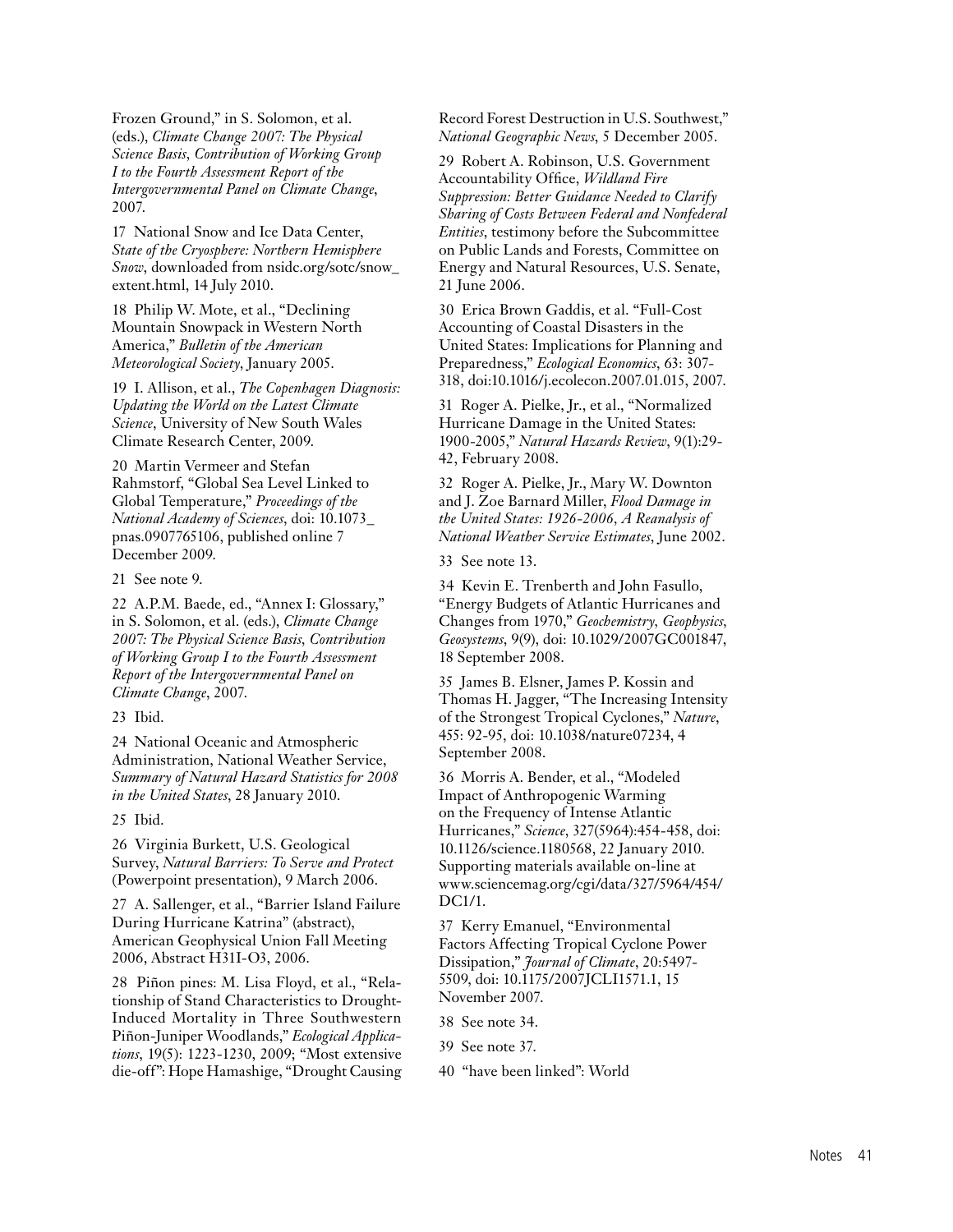Frozen Ground," in S. Solomon, et al. (eds.), *Climate Change 2007: The Physical Science Basis, Contribution of Working Group I to the Fourth Assessment Report of the Intergovernmental Panel on Climate Change*, 2007.

17 National Snow and Ice Data Center, *State of the Cryosphere: Northern Hemisphere Snow*, downloaded from nsidc.org/sotc/snow\_ extent.html, 14 July 2010.

18 Philip W. Mote, et al., "Declining Mountain Snowpack in Western North America," *Bulletin of the American Meteorological Society*, January 2005.

19 I. Allison, et al., *The Copenhagen Diagnosis: Updating the World on the Latest Climate Science*, University of New South Wales Climate Research Center, 2009.

20 Martin Vermeer and Stefan Rahmstorf, "Global Sea Level Linked to Global Temperature," *Proceedings of the National Academy of Sciences*, doi: 10.1073\_ pnas.0907765106, published online 7 December 2009.

21 See note 9.

22 A.P.M. Baede, ed., "Annex I: Glossary," in S. Solomon, et al. (eds.), *Climate Change 2007: The Physical Science Basis, Contribution of Working Group I to the Fourth Assessment Report of the Intergovernmental Panel on Climate Change*, 2007.

23 Ibid.

24 National Oceanic and Atmospheric Administration, National Weather Service, *Summary of Natural Hazard Statistics for 2008 in the United States*, 28 January 2010.

25 Ibid.

26 Virginia Burkett, U.S. Geological Survey, *Natural Barriers: To Serve and Protect* (Powerpoint presentation), 9 March 2006.

27 A. Sallenger, et al., "Barrier Island Failure During Hurricane Katrina" (abstract), American Geophysical Union Fall Meeting 2006, Abstract H31I-O3, 2006.

28 Piñon pines: M. Lisa Floyd, et al., "Relationship of Stand Characteristics to Drought-Induced Mortality in Three Southwestern Piñon-Juniper Woodlands," *Ecological Applications*, 19(5): 1223-1230, 2009; "Most extensive die-off": Hope Hamashige, "Drought Causing Record Forest Destruction in U.S. Southwest," *National Geographic News*, 5 December 2005.

29 Robert A. Robinson, U.S. Government Accountability Office, *Wildland Fire Suppression: Better Guidance Needed to Clarify Sharing of Costs Between Federal and Nonfederal Entities*, testimony before the Subcommittee on Public Lands and Forests, Committee on Energy and Natural Resources, U.S. Senate, 21 June 2006.

30 Erica Brown Gaddis, et al. "Full-Cost Accounting of Coastal Disasters in the United States: Implications for Planning and Preparedness," *Ecological Economics*, 63: 307- 318, doi:10.1016/j.ecolecon.2007.01.015, 2007.

31 Roger A. Pielke, Jr., et al., "Normalized Hurricane Damage in the United States: 1900-2005," *Natural Hazards Review*, 9(1):29- 42, February 2008.

32 Roger A. Pielke, Jr., Mary W. Downton and J. Zoe Barnard Miller, *Flood Damage in the United States: 1926-2006, A Reanalysis of National Weather Service Estimates*, June 2002.

33 See note 13.

34 Kevin E. Trenberth and John Fasullo, "Energy Budgets of Atlantic Hurricanes and Changes from 1970," *Geochemistry, Geophysics, Geosystems*, 9(9), doi: 10.1029/2007GC001847, 18 September 2008.

35 James B. Elsner, James P. Kossin and Thomas H. Jagger, "The Increasing Intensity of the Strongest Tropical Cyclones," *Nature*, 455: 92-95, doi: 10.1038/nature07234, 4 September 2008.

36 Morris A. Bender, et al., "Modeled Impact of Anthropogenic Warming on the Frequency of Intense Atlantic Hurricanes," *Science*, 327(5964):454-458, doi: 10.1126/science.1180568, 22 January 2010. Supporting materials available on-line at www.sciencemag.org/cgi/data/327/5964/454/ DC1/1.

37 Kerry Emanuel, "Environmental Factors Affecting Tropical Cyclone Power Dissipation," *Journal of Climate*, 20:5497- 5509, doi: 10.1175/2007JCLI1571.1, 15 November 2007.

38 See note 34.

39 See note 37.

40 "have been linked": World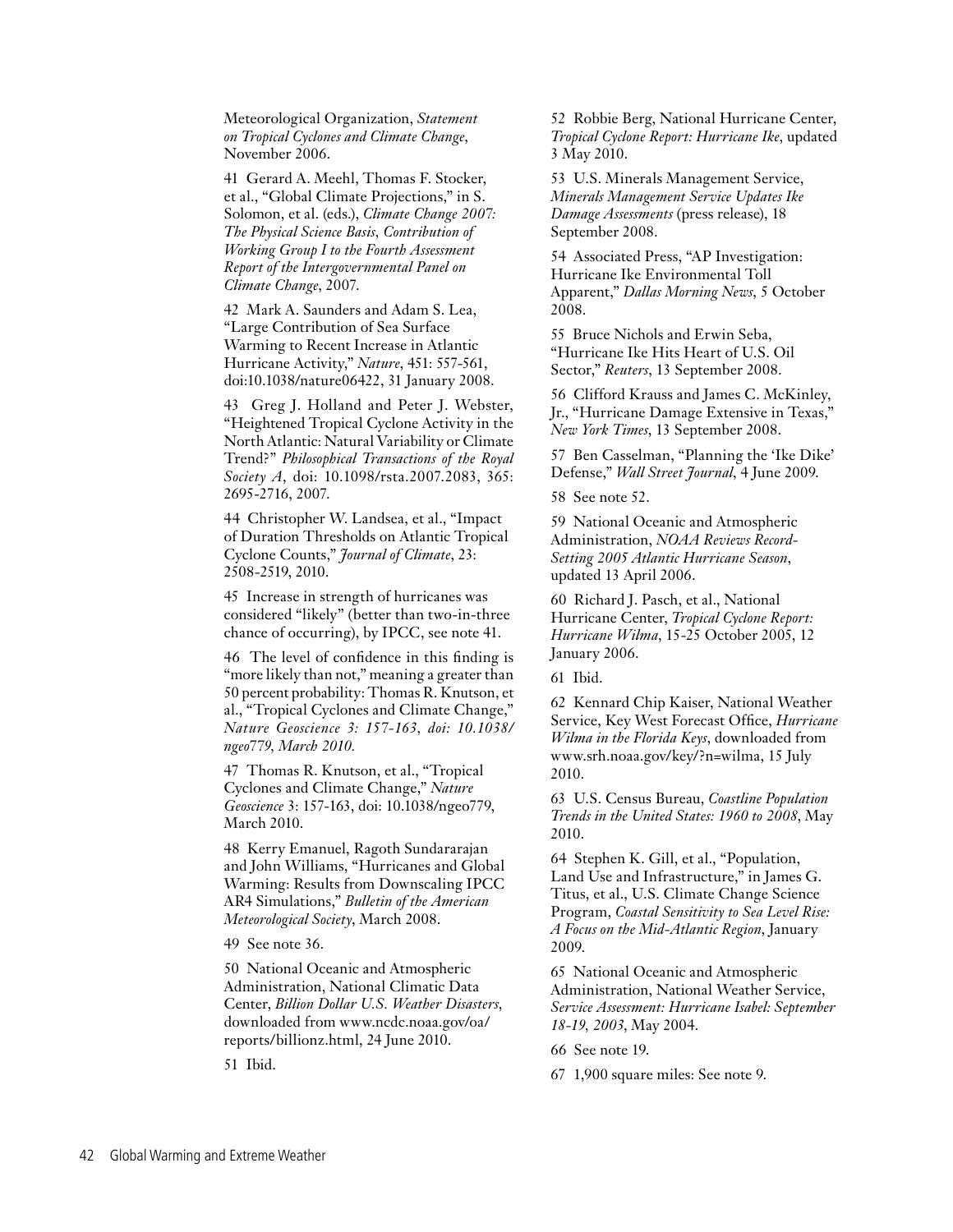Meteorological Organization, *Statement on Tropical Cyclones and Climate Change*, November 2006.

41 Gerard A. Meehl, Thomas F. Stocker, et al., "Global Climate Projections," in S. Solomon, et al. (eds.), *Climate Change 2007: The Physical Science Basis, Contribution of Working Group I to the Fourth Assessment Report of the Intergovernmental Panel on Climate Change*, 2007.

42 Mark A. Saunders and Adam S. Lea, "Large Contribution of Sea Surface Warming to Recent Increase in Atlantic Hurricane Activity," *Nature*, 451: 557-561, doi:10.1038/nature06422, 31 January 2008.

43 Greg J. Holland and Peter J. Webster, "Heightened Tropical Cyclone Activity in the North Atlantic: Natural Variability or Climate Trend?" *Philosophical Transactions of the Royal Society A*, doi: 10.1098/rsta.2007.2083, 365: 2695-2716, 2007.

44 Christopher W. Landsea, et al., "Impact of Duration Thresholds on Atlantic Tropical Cyclone Counts," *Journal of Climate*, 23: 2508-2519, 2010.

45 Increase in strength of hurricanes was considered "likely" (better than two-in-three chance of occurring), by IPCC, see note 41.

46 The level of confidence in this finding is "more likely than not," meaning a greater than 50 percent probability: Thomas R. Knutson, et al., "Tropical Cyclones and Climate Change," *Nature Geoscience 3: 157-163, doi: 10.1038/ ngeo779, March 2010.*

47 Thomas R. Knutson, et al., "Tropical Cyclones and Climate Change," *Nature Geoscience* 3: 157-163, doi: 10.1038/ngeo779, March 2010.

48 Kerry Emanuel, Ragoth Sundararajan and John Williams, "Hurricanes and Global Warming: Results from Downscaling IPCC AR4 Simulations," *Bulletin of the American Meteorological Society*, March 2008.

49 See note 36.

50 National Oceanic and Atmospheric Administration, National Climatic Data Center, *Billion Dollar U.S. Weather Disasters*, downloaded from www.ncdc.noaa.gov/oa/ reports/billionz.html, 24 June 2010.

51 Ibid.

52 Robbie Berg, National Hurricane Center, *Tropical Cyclone Report: Hurricane Ike*, updated 3 May 2010.

53 U.S. Minerals Management Service, *Minerals Management Service Updates Ike Damage Assessments* (press release), 18 September 2008.

54 Associated Press, "AP Investigation: Hurricane Ike Environmental Toll Apparent," *Dallas Morning News*, 5 October 2008.

55 Bruce Nichols and Erwin Seba, "Hurricane Ike Hits Heart of U.S. Oil Sector," *Reuters*, 13 September 2008.

56 Clifford Krauss and James C. McKinley, Jr., "Hurricane Damage Extensive in Texas," *New York Times*, 13 September 2008.

57 Ben Casselman, "Planning the 'Ike Dike' Defense," *Wall Street Journal*, 4 June 2009.

58 See note 52.

59 National Oceanic and Atmospheric Administration, *NOAA Reviews Record-Setting 2005 Atlantic Hurricane Season*, updated 13 April 2006.

60 Richard J. Pasch, et al., National Hurricane Center, *Tropical Cyclone Report: Hurricane Wilma*, 15-25 October 2005, 12 January 2006.

61 Ibid.

62 Kennard Chip Kaiser, National Weather Service, Key West Forecast Office, *Hurricane Wilma in the Florida Keys*, downloaded from www.srh.noaa.gov/key/?n=wilma, 15 July 2010.

63 U.S. Census Bureau, *Coastline Population Trends in the United States: 1960 to 2008*, May 2010.

64 Stephen K. Gill, et al., "Population, Land Use and Infrastructure," in James G. Titus, et al., U.S. Climate Change Science Program, *Coastal Sensitivity to Sea Level Rise: A Focus on the Mid-Atlantic Region*, January 2009.

65 National Oceanic and Atmospheric Administration, National Weather Service, *Service Assessment: Hurricane Isabel: September 18-19, 2003*, May 2004.

66 See note 19.

67 1,900 square miles: See note 9.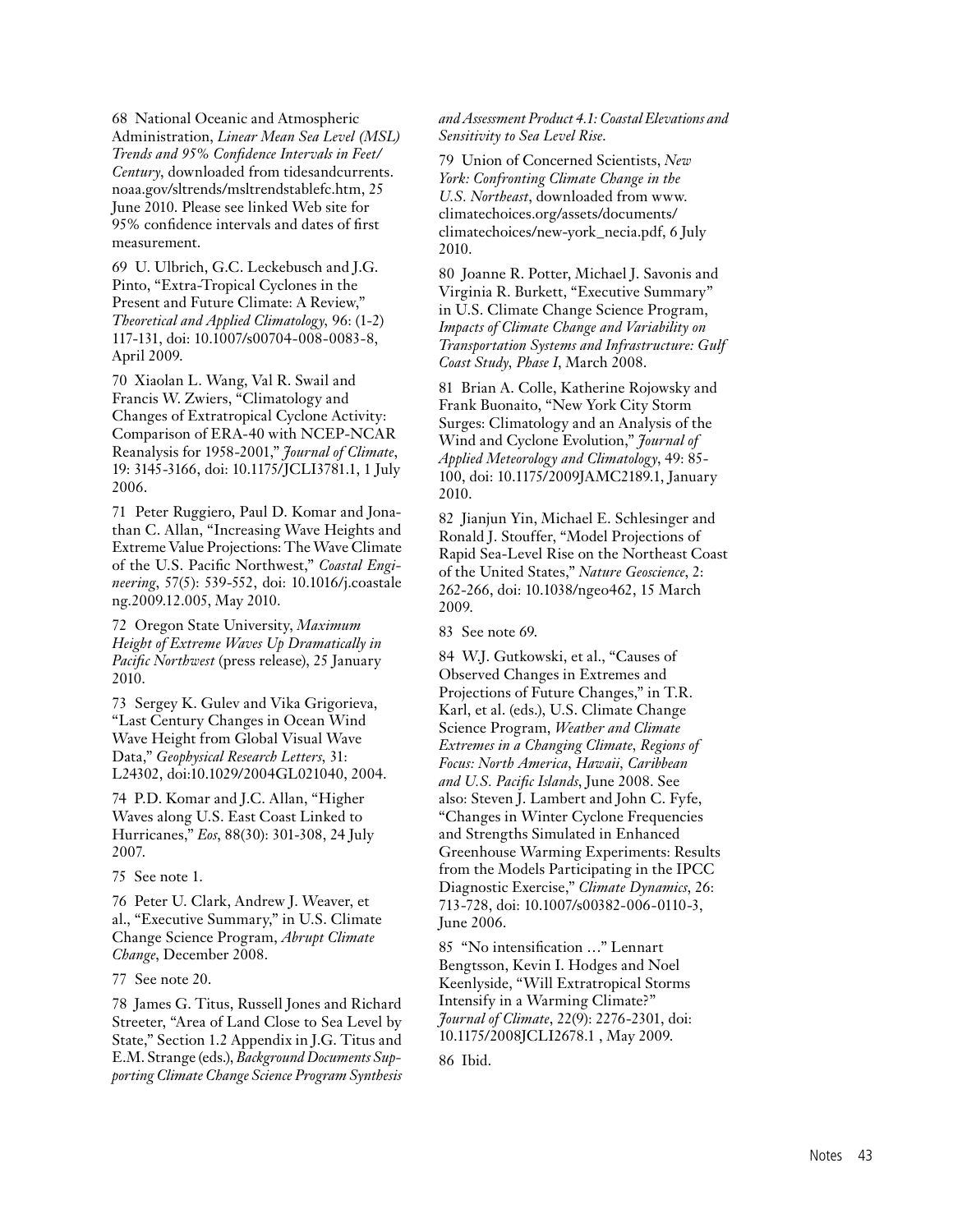68 National Oceanic and Atmospheric Administration, *Linear Mean Sea Level (MSL) Trends and 95% Confidence Intervals in Feet/ Century*, downloaded from tidesandcurrents. noaa.gov/sltrends/msltrendstablefc.htm, 25 June 2010. Please see linked Web site for 95% confidence intervals and dates of first measurement.

69 U. Ulbrich, G.C. Leckebusch and J.G. Pinto, "Extra-Tropical Cyclones in the Present and Future Climate: A Review," *Theoretical and Applied Climatology,* 96: (1-2) 117-131, doi: 10.1007/s00704-008-0083-8, April 2009.

70 Xiaolan L. Wang, Val R. Swail and Francis W. Zwiers, "Climatology and Changes of Extratropical Cyclone Activity: Comparison of ERA-40 with NCEP-NCAR Reanalysis for 1958-2001," *Journal of Climate*, 19: 3145-3166, doi: 10.1175/JCLI3781.1, 1 July 2006.

71 Peter Ruggiero, Paul D. Komar and Jonathan C. Allan, "Increasing Wave Heights and Extreme Value Projections: The Wave Climate of the U.S. Pacific Northwest," *Coastal Engineering*, 57(5): 539-552, doi: 10.1016/j.coastale ng.2009.12.005, May 2010.

72 Oregon State University, *Maximum Height of Extreme Waves Up Dramatically in Pacific Northwest* (press release), 25 January 2010.

73 Sergey K. Gulev and Vika Grigorieva, "Last Century Changes in Ocean Wind Wave Height from Global Visual Wave Data," *Geophysical Research Letters,* 31: L24302, doi:10.1029/2004GL021040, 2004.

74 P.D. Komar and J.C. Allan, "Higher Waves along U.S. East Coast Linked to Hurricanes," *Eos*, 88(30): 301-308, 24 July 2007.

75 See note 1.

76 Peter U. Clark, Andrew J. Weaver, et al., "Executive Summary," in U.S. Climate Change Science Program, *Abrupt Climate Change*, December 2008.

77 See note 20.

78 James G. Titus, Russell Jones and Richard Streeter, "Area of Land Close to Sea Level by State," Section 1.2 Appendix in J.G. Titus and E.M. Strange (eds.), *Background Documents Supporting Climate Change Science Program Synthesis* 

#### *and Assessment Product 4.1: Coastal Elevations and Sensitivity to Sea Level Rise*.

79 Union of Concerned Scientists, *New York: Confronting Climate Change in the U.S. Northeast*, downloaded from www. climatechoices.org/assets/documents/ climatechoices/new-york\_necia.pdf, 6 July 2010.

80 Joanne R. Potter, Michael J. Savonis and Virginia R. Burkett, "Executive Summary" in U.S. Climate Change Science Program, *Impacts of Climate Change and Variability on Transportation Systems and Infrastructure: Gulf Coast Study, Phase I*, March 2008.

81 Brian A. Colle, Katherine Rojowsky and Frank Buonaito, "New York City Storm Surges: Climatology and an Analysis of the Wind and Cyclone Evolution," *Journal of Applied Meteorology and Climatology*, 49: 85- 100, doi: 10.1175/2009JAMC2189.1, January 2010.

82 Jianjun Yin, Michael E. Schlesinger and Ronald J. Stouffer, "Model Projections of Rapid Sea-Level Rise on the Northeast Coast of the United States," *Nature Geoscience*, 2: 262-266, doi: 10.1038/ngeo462, 15 March 2009.

83 See note 69.

84 W.J. Gutkowski, et al., "Causes of Observed Changes in Extremes and Projections of Future Changes," in T.R. Karl, et al. (eds.), U.S. Climate Change Science Program, *Weather and Climate Extremes in a Changing Climate, Regions of Focus: North America, Hawaii, Caribbean and U.S. Pacific Islands*, June 2008. See also: Steven J. Lambert and John C. Fyfe, "Changes in Winter Cyclone Frequencies and Strengths Simulated in Enhanced Greenhouse Warming Experiments: Results from the Models Participating in the IPCC Diagnostic Exercise," *Climate Dynamics*, 26: 713-728, doi: 10.1007/s00382-006-0110-3, June 2006.

85 "No intensification …" Lennart Bengtsson, Kevin I. Hodges and Noel Keenlyside, "Will Extratropical Storms Intensify in a Warming Climate?" *Journal of Climate*, 22(9): 2276-2301, doi: 10.1175/2008JCLI2678.1 , May 2009.

86 Ibid.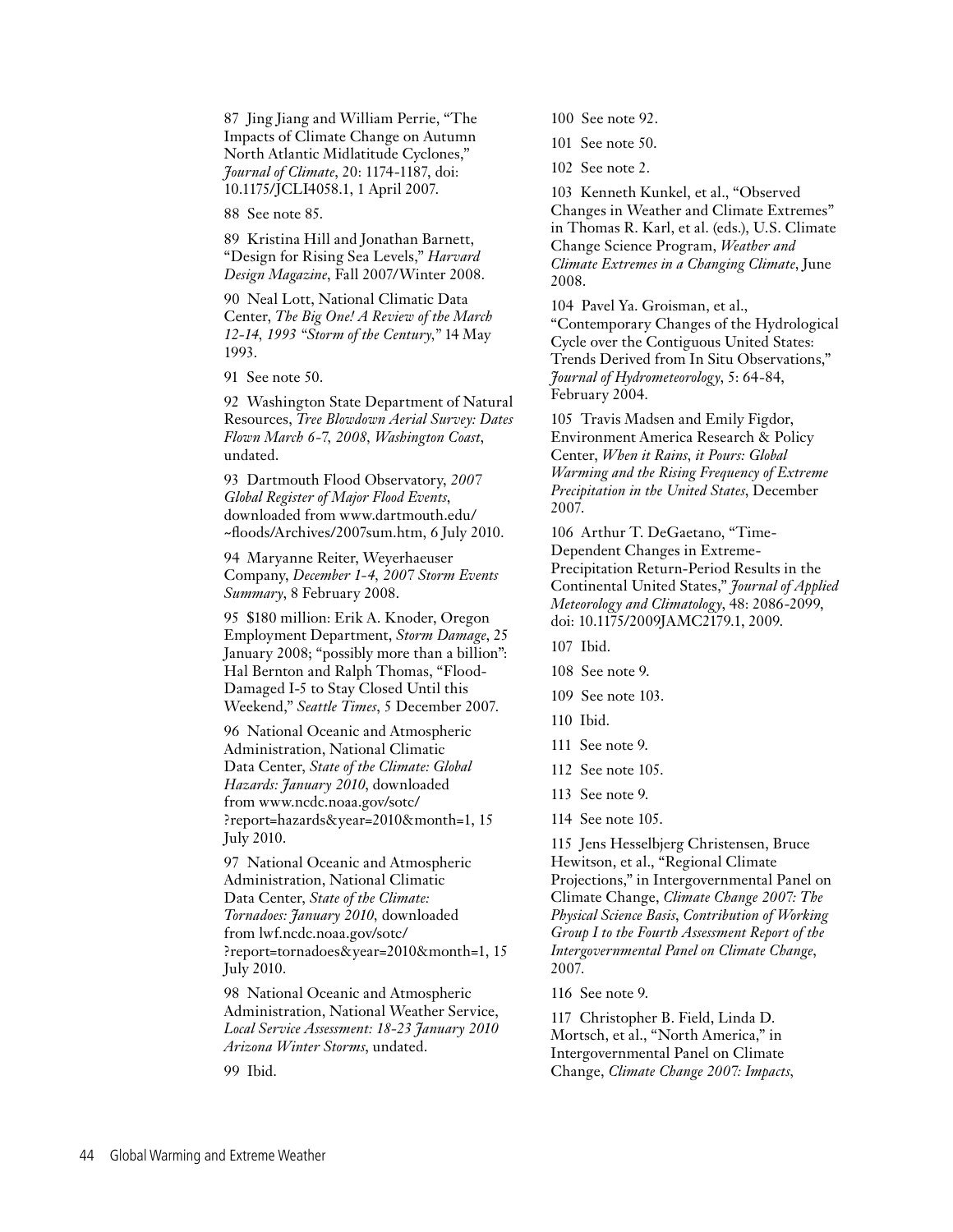87 Jing Jiang and William Perrie, "The Impacts of Climate Change on Autumn North Atlantic Midlatitude Cyclones," *Journal of Climate*, 20: 1174-1187, doi: 10.1175/JCLI4058.1, 1 April 2007.

88 See note 85.

89 Kristina Hill and Jonathan Barnett, "Design for Rising Sea Levels," *Harvard Design Magazine*, Fall 2007/Winter 2008.

90 Neal Lott, National Climatic Data Center, *The Big One! A Review of the March 12-14, 1993 "Storm of the Century,"* 14 May 1993.

91 See note 50.

92 Washington State Department of Natural Resources, *Tree Blowdown Aerial Survey: Dates Flown March 6-7, 2008, Washington Coast*, undated.

93 Dartmouth Flood Observatory, *2007 Global Register of Major Flood Events*, downloaded from www.dartmouth.edu/ ~floods/Archives/2007sum.htm, 6 July 2010.

94 Maryanne Reiter, Weyerhaeuser Company, *December 1-4, 2007 Storm Events Summary*, 8 February 2008.

95 \$180 million: Erik A. Knoder, Oregon Employment Department, *Storm Damage*, 25 January 2008; "possibly more than a billion": Hal Bernton and Ralph Thomas, "Flood-Damaged I-5 to Stay Closed Until this Weekend," *Seattle Times*, 5 December 2007.

96 National Oceanic and Atmospheric Administration, National Climatic Data Center, *State of the Climate: Global Hazards: January 2010*, downloaded from www.ncdc.noaa.gov/sotc/ ?report=hazards&year=2010&month=1, 15 July 2010.

97 National Oceanic and Atmospheric Administration, National Climatic Data Center, *State of the Climate: Tornadoes: January 2010,* downloaded from lwf.ncdc.noaa.gov/sotc/ ?report=tornadoes&year=2010&month=1, 15 July 2010.

98 National Oceanic and Atmospheric Administration, National Weather Service, *Local Service Assessment: 18-23 January 2010 Arizona Winter Storms*, undated.

99 Ibid.

100 See note 92.

101 See note 50.

102 See note 2.

103 Kenneth Kunkel, et al., "Observed Changes in Weather and Climate Extremes" in Thomas R. Karl, et al. (eds.), U.S. Climate Change Science Program, *Weather and Climate Extremes in a Changing Climate*, June 2008.

104 Pavel Ya. Groisman, et al., "Contemporary Changes of the Hydrological Cycle over the Contiguous United States: Trends Derived from In Situ Observations," *Journal of Hydrometeorology*, 5: 64-84, February 2004.

105 Travis Madsen and Emily Figdor, Environment America Research & Policy Center, *When it Rains, it Pours: Global Warming and the Rising Frequency of Extreme Precipitation in the United States*, December 2007.

106 Arthur T. DeGaetano, "Time-Dependent Changes in Extreme-Precipitation Return-Period Results in the Continental United States," *Journal of Applied Meteorology and Climatology*, 48: 2086-2099, doi: 10.1175/2009JAMC2179.1, 2009.

107 Ibid.

- 108 See note 9.
- 109 See note 103.
- 110 Ibid.
- 111 See note 9.
- 112 See note 105.
- 113 See note 9.
- 114 See note 105.

115 Jens Hesselbjerg Christensen, Bruce Hewitson, et al., "Regional Climate Projections," in Intergovernmental Panel on Climate Change, *Climate Change 2007: The Physical Science Basis*, *Contribution of Working Group I to the Fourth Assessment Report of the Intergovernmental Panel on Climate Change*, 2007.

116 See note 9.

117 Christopher B. Field, Linda D. Mortsch, et al., "North America," in Intergovernmental Panel on Climate Change, *Climate Change 2007: Impacts,*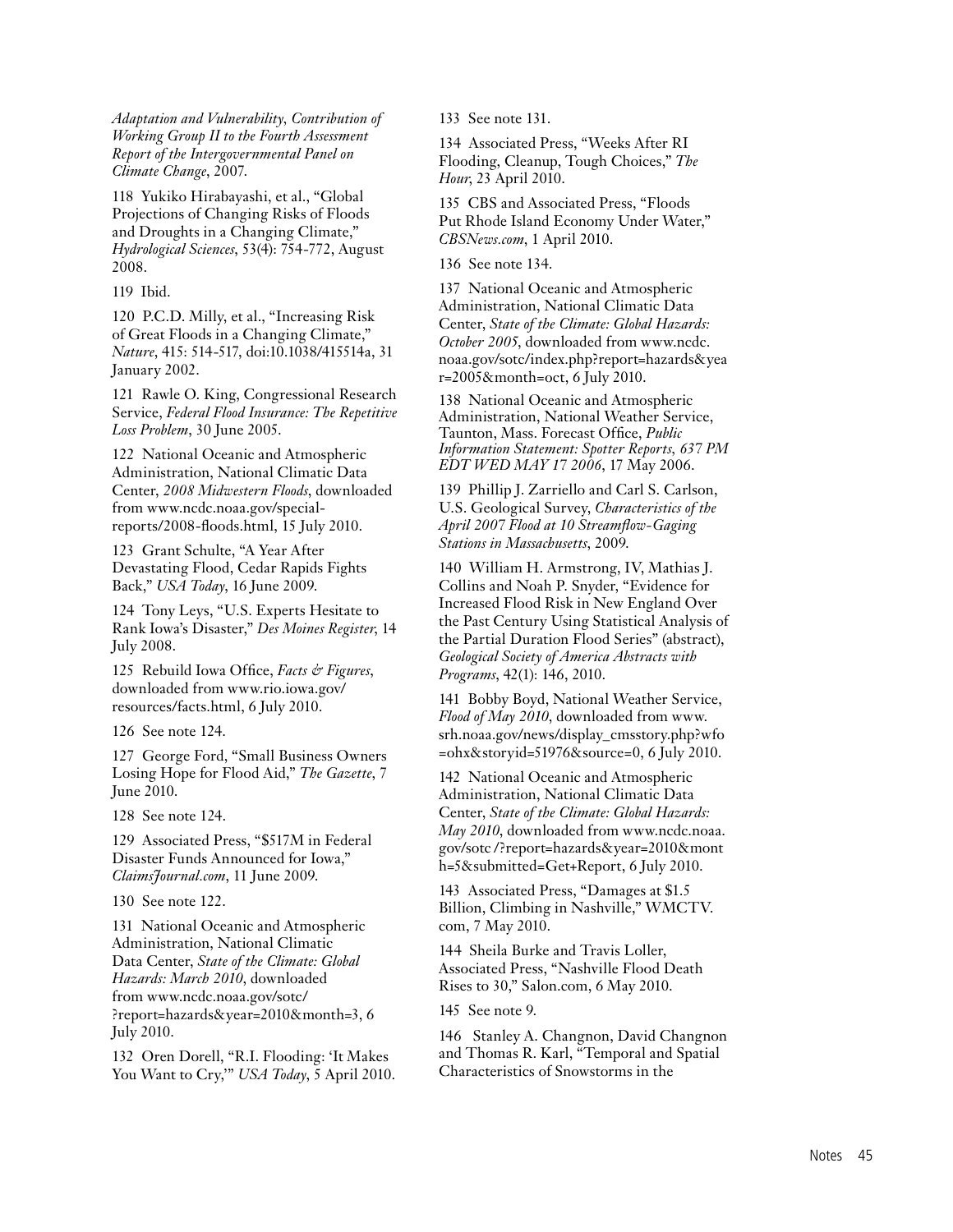*Adaptation and Vulnerability, Contribution of Working Group II to the Fourth Assessment Report of the Intergovernmental Panel on Climate Change*, 2007.

118 Yukiko Hirabayashi, et al., "Global Projections of Changing Risks of Floods and Droughts in a Changing Climate," *Hydrological Sciences*, 53(4): 754-772, August 2008.

119 Ibid.

120 P.C.D. Milly, et al., "Increasing Risk of Great Floods in a Changing Climate," *Nature*, 415: 514-517, doi:10.1038/415514a, 31 January 2002.

121 Rawle O. King, Congressional Research Service, *Federal Flood Insurance: The Repetitive Loss Problem*, 30 June 2005.

122 National Oceanic and Atmospheric Administration, National Climatic Data Center, *2008 Midwestern Floods*, downloaded from www.ncdc.noaa.gov/specialreports/2008-floods.html, 15 July 2010.

123 Grant Schulte, "A Year After Devastating Flood, Cedar Rapids Fights Back," *USA Today*, 16 June 2009.

124 Tony Leys, "U.S. Experts Hesitate to Rank Iowa's Disaster," *Des Moines Register*, 14 July 2008.

125 Rebuild Iowa Office, *Facts & Figures*, downloaded from www.rio.iowa.gov/ resources/facts.html, 6 July 2010.

126 See note 124.

127 George Ford, "Small Business Owners Losing Hope for Flood Aid," *The Gazette*, 7 June 2010.

128 See note 124.

129 Associated Press, "\$517M in Federal Disaster Funds Announced for Iowa," *ClaimsJournal.com*, 11 June 2009.

130 See note 122.

131 National Oceanic and Atmospheric Administration, National Climatic Data Center, *State of the Climate: Global Hazards: March 2010*, downloaded from www.ncdc.noaa.gov/sotc/ ?report=hazards&year=2010&month=3, 6 July 2010.

132 Oren Dorell, "R.I. Flooding: 'It Makes You Want to Cry,'" *USA Today*, 5 April 2010. 133 See note 131.

134 Associated Press, "Weeks After RI Flooding, Cleanup, Tough Choices," *The Hour*, 23 April 2010.

135 CBS and Associated Press, "Floods Put Rhode Island Economy Under Water," *CBSNews.com*, 1 April 2010.

136 See note 134.

137 National Oceanic and Atmospheric Administration, National Climatic Data Center, *State of the Climate: Global Hazards: October 2005*, downloaded from www.ncdc. noaa.gov/sotc/index.php?report=hazards&yea r=2005&month=oct, 6 July 2010.

138 National Oceanic and Atmospheric Administration, National Weather Service, Taunton, Mass. Forecast Office, *Public Information Statement: Spotter Reports, 637 PM EDT WED MAY 17 2006*, 17 May 2006.

139 Phillip J. Zarriello and Carl S. Carlson, U.S. Geological Survey, *Characteristics of the April 2007 Flood at 10 Streamflow-Gaging Stations in Massachusetts*, 2009.

140 William H. Armstrong, IV, Mathias J. Collins and Noah P. Snyder, "Evidence for Increased Flood Risk in New England Over the Past Century Using Statistical Analysis of the Partial Duration Flood Series" (abstract), *Geological Society of America Abstracts with Programs*, 42(1): 146, 2010.

141 Bobby Boyd, National Weather Service, *Flood of May 2010*, downloaded from www. srh.noaa.gov/news/display\_cmsstory.php?wfo =ohx&storyid=51976&source=0, 6 July 2010.

142 National Oceanic and Atmospheric Administration, National Climatic Data Center, *State of the Climate: Global Hazards: May 2010*, downloaded from www.ncdc.noaa. gov/sotc /?report=hazards&year=2010&mont h=5&submitted=Get+Report, 6 July 2010.

143 Associated Press, "Damages at \$1.5 Billion, Climbing in Nashville," WMCTV. com, 7 May 2010.

144 Sheila Burke and Travis Loller, Associated Press, "Nashville Flood Death Rises to 30," Salon.com, 6 May 2010.

145 See note 9.

146 Stanley A. Changnon, David Changnon and Thomas R. Karl, "Temporal and Spatial Characteristics of Snowstorms in the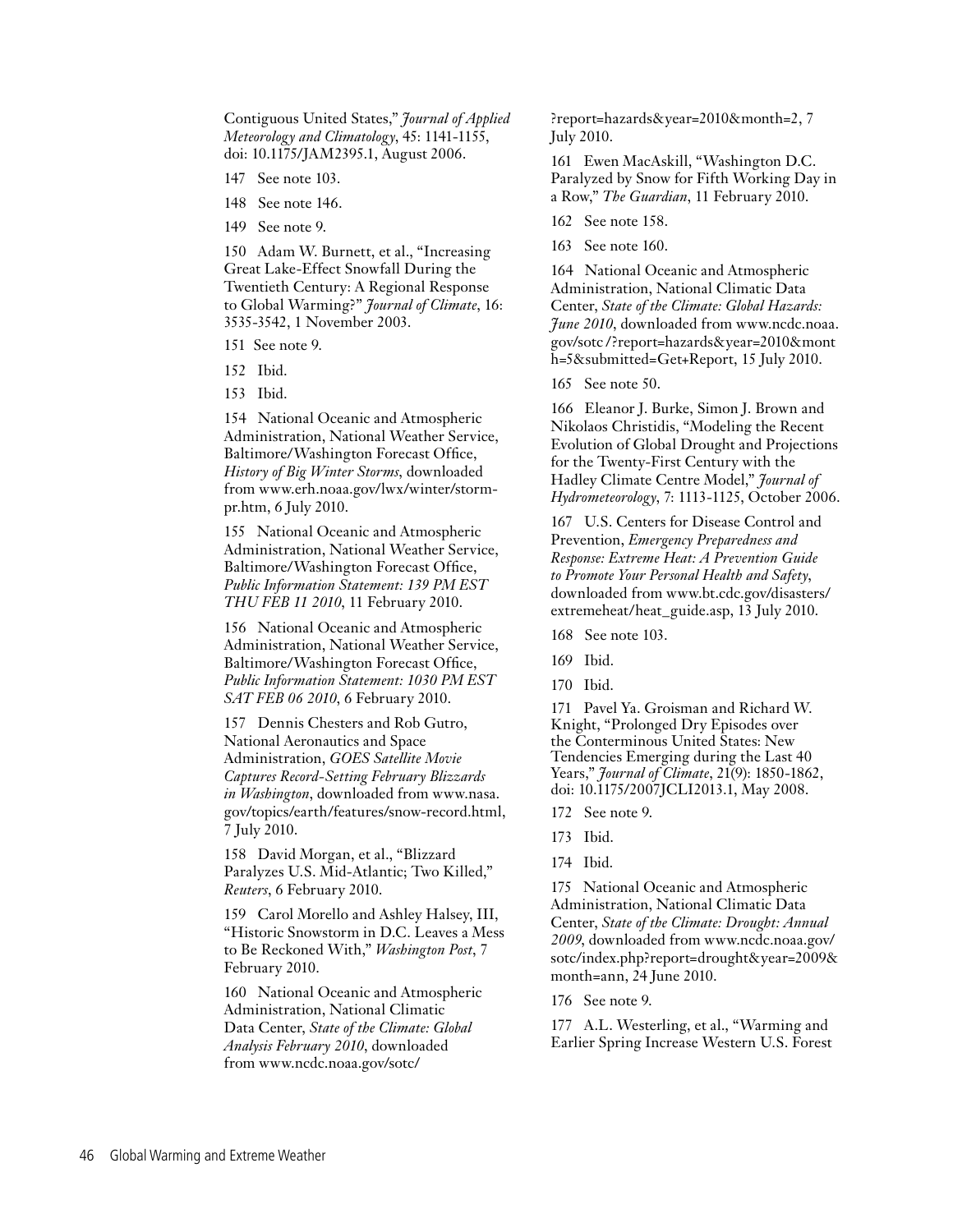Contiguous United States," *Journal of Applied Meteorology and Climatology*, 45: 1141-1155, doi: 10.1175/JAM2395.1, August 2006.

- 147 See note 103.
- 148 See note 146.
- 149 See note 9.

150 Adam W. Burnett, et al., "Increasing Great Lake-Effect Snowfall During the Twentieth Century: A Regional Response to Global Warming?" *Journal of Climate*, 16: 3535-3542, 1 November 2003.

151 See note 9.

- 152 Ibid.
- 153 Ibid.

154 National Oceanic and Atmospheric Administration, National Weather Service, Baltimore/Washington Forecast Office, *History of Big Winter Storms*, downloaded from www.erh.noaa.gov/lwx/winter/stormpr.htm, 6 July 2010.

155 National Oceanic and Atmospheric Administration, National Weather Service, Baltimore/Washington Forecast Office, *Public Information Statement: 139 PM EST THU FEB 11 2010*, 11 February 2010.

156 National Oceanic and Atmospheric Administration, National Weather Service, Baltimore/Washington Forecast Office, *Public Information Statement: 1030 PM EST SAT FEB 06 2010*, 6 February 2010.

157 Dennis Chesters and Rob Gutro, National Aeronautics and Space Administration, *GOES Satellite Movie Captures Record-Setting February Blizzards in Washington*, downloaded from www.nasa. gov/topics/earth/features/snow-record.html, 7 July 2010.

158 David Morgan, et al., "Blizzard Paralyzes U.S. Mid-Atlantic; Two Killed," *Reuters*, 6 February 2010.

159 Carol Morello and Ashley Halsey, III, "Historic Snowstorm in D.C. Leaves a Mess to Be Reckoned With," *Washington Post*, 7 February 2010.

160 National Oceanic and Atmospheric Administration, National Climatic Data Center, *State of the Climate: Global Analysis February 2010*, downloaded from www.ncdc.noaa.gov/sotc/

?report=hazards&year=2010&month=2, 7 July 2010.

161 Ewen MacAskill, "Washington D.C. Paralyzed by Snow for Fifth Working Day in a Row," *The Guardian*, 11 February 2010.

162 See note 158.

163 See note 160.

164 National Oceanic and Atmospheric Administration, National Climatic Data Center, *State of the Climate: Global Hazards: June 2010*, downloaded from www.ncdc.noaa. gov/sotc /?report=hazards&year=2010&mont h=5&submitted=Get+Report, 15 July 2010.

165 See note 50.

166 Eleanor J. Burke, Simon J. Brown and Nikolaos Christidis, "Modeling the Recent Evolution of Global Drought and Projections for the Twenty-First Century with the Hadley Climate Centre Model," *Journal of Hydrometeorology*, 7: 1113-1125, October 2006.

167 U.S. Centers for Disease Control and Prevention, *Emergency Preparedness and Response: Extreme Heat: A Prevention Guide to Promote Your Personal Health and Safety*, downloaded from www.bt.cdc.gov/disasters/ extremeheat/heat\_guide.asp, 13 July 2010.

168 See note 103.

169 Ibid.

170 Ibid.

171 Pavel Ya. Groisman and Richard W. Knight, "Prolonged Dry Episodes over the Conterminous United States: New Tendencies Emerging during the Last 40 Years," *Journal of Climate*, 21(9): 1850-1862, doi: 10.1175/2007JCLI2013.1, May 2008.

172 See note 9.

173 Ibid.

174 Ibid.

175 National Oceanic and Atmospheric Administration, National Climatic Data Center, *State of the Climate: Drought: Annual 2009*, downloaded from www.ncdc.noaa.gov/ sotc/index.php?report=drought&year=2009& month=ann, 24 June 2010.

176 See note 9.

177 A.L. Westerling, et al., "Warming and Earlier Spring Increase Western U.S. Forest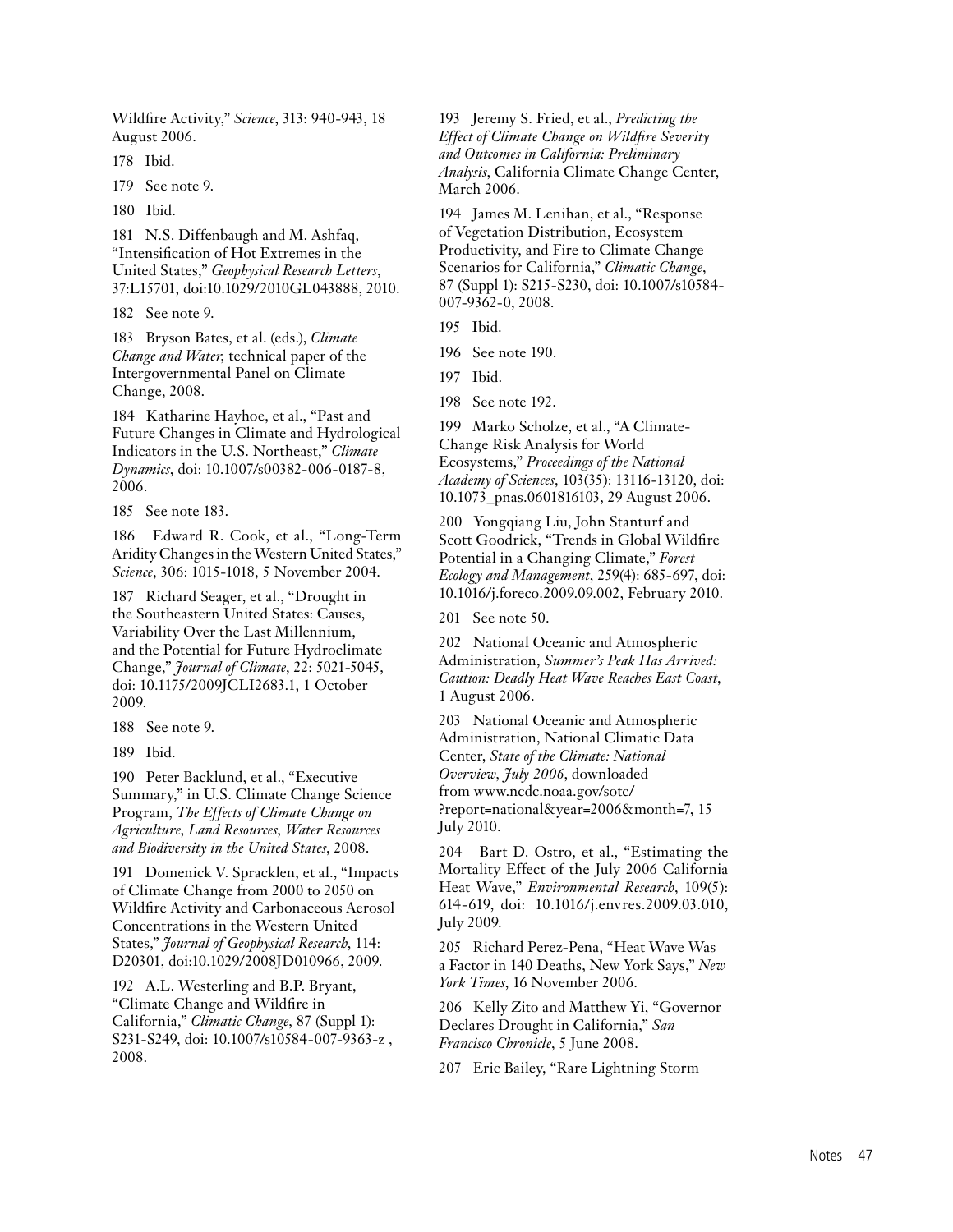Wildfire Activity," *Science*, 313: 940-943, 18 August 2006.

178 Ibid.

179 See note 9.

180 Ibid.

181 N.S. Diffenbaugh and M. Ashfaq, "Intensification of Hot Extremes in the United States," *Geophysical Research Letters*, 37:L15701, doi:10.1029/2010GL043888, 2010.

182 See note 9.

183 Bryson Bates, et al. (eds.), *Climate Change and Water,* technical paper of the Intergovernmental Panel on Climate Change, 2008.

184 Katharine Hayhoe, et al., "Past and Future Changes in Climate and Hydrological Indicators in the U.S. Northeast," *Climate Dynamics*, doi: 10.1007/s00382-006-0187-8, 2006.

185 See note 183.

186 Edward R. Cook, et al., "Long-Term Aridity Changes in the Western United States," *Science*, 306: 1015-1018, 5 November 2004.

187 Richard Seager, et al., "Drought in the Southeastern United States: Causes, Variability Over the Last Millennium, and the Potential for Future Hydroclimate Change," *Journal of Climate*, 22: 5021-5045, doi: 10.1175/2009JCLI2683.1, 1 October 2009.

188 See note 9.

189 Ibid.

190 Peter Backlund, et al., "Executive Summary," in U.S. Climate Change Science Program, *The Effects of Climate Change on Agriculture, Land Resources, Water Resources and Biodiversity in the United States*, 2008.

191 Domenick V. Spracklen, et al., "Impacts of Climate Change from 2000 to 2050 on Wildfire Activity and Carbonaceous Aerosol Concentrations in the Western United States," *Journal of Geophysical Research*, 114: D20301, doi:10.1029/2008JD010966, 2009.

192 A.L. Westerling and B.P. Bryant, "Climate Change and Wildfire in California," *Climatic Change*, 87 (Suppl 1): S231-S249, doi: 10.1007/s10584-007-9363-z, 2008.

193 Jeremy S. Fried, et al., *Predicting the Effect of Climate Change on Wildfire Severity and Outcomes in California: Preliminary Analysis*, California Climate Change Center, March 2006.

194 James M. Lenihan, et al., "Response of Vegetation Distribution, Ecosystem Productivity, and Fire to Climate Change Scenarios for California," *Climatic Change*, 87 (Suppl 1): S215-S230, doi: 10.1007/s10584- 007-9362-0, 2008.

195 Ibid.

196 See note 190.

197 Ibid.

198 See note 192.

199 Marko Scholze, et al., "A Climate-Change Risk Analysis for World Ecosystems," *Proceedings of the National Academy of Sciences*, 103(35): 13116-13120, doi: 10.1073\_pnas.0601816103, 29 August 2006.

200 Yongqiang Liu, John Stanturf and Scott Goodrick, "Trends in Global Wildfire Potential in a Changing Climate," *Forest Ecology and Management*, 259(4): 685-697, doi: 10.1016/j.foreco.2009.09.002, February 2010.

201 See note 50.

202 National Oceanic and Atmospheric Administration, *Summer's Peak Has Arrived: Caution: Deadly Heat Wave Reaches East Coast*, 1 August 2006.

203 National Oceanic and Atmospheric Administration, National Climatic Data Center, *State of the Climate: National Overview, July 2006*, downloaded from www.ncdc.noaa.gov/sotc/ ?report=national&year=2006&month=7, 15 July 2010.

204 Bart D. Ostro, et al., "Estimating the Mortality Effect of the July 2006 California Heat Wave," *Environmental Research*, 109(5): 614-619, doi: 10.1016/j.envres.2009.03.010, July 2009.

205 Richard Perez-Pena, "Heat Wave Was a Factor in 140 Deaths, New York Says," *New York Times*, 16 November 2006.

206 Kelly Zito and Matthew Yi, "Governor Declares Drought in California," *San Francisco Chronicle*, 5 June 2008.

207 Eric Bailey, "Rare Lightning Storm